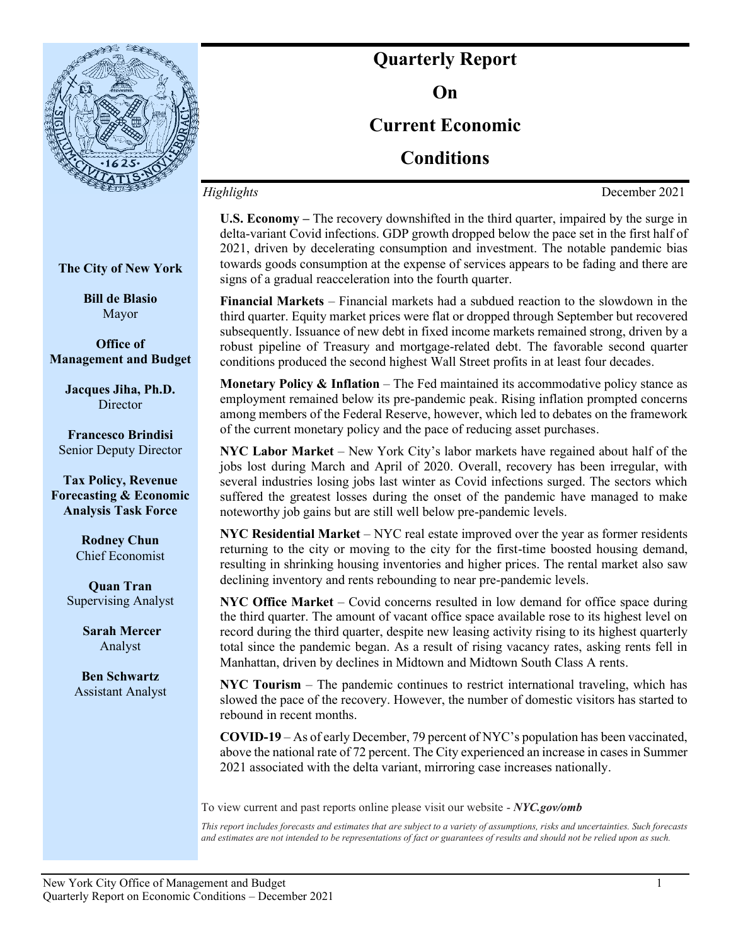

**Quarterly Report On Current Economic Conditions**

*Highlights* December 2021

**U.S. Economy –** The recovery downshifted in the third quarter, impaired by the surge in delta-variant Covid infections. GDP growth dropped below the pace set in the first half of 2021, driven by decelerating consumption and investment. The notable pandemic bias towards goods consumption at the expense of services appears to be fading and there are signs of a gradual reacceleration into the fourth quarter.

**Financial Markets** – Financial markets had a subdued reaction to the slowdown in the third quarter. Equity market prices were flat or dropped through September but recovered subsequently. Issuance of new debt in fixed income markets remained strong, driven by a robust pipeline of Treasury and mortgage-related debt. The favorable second quarter conditions produced the second highest Wall Street profits in at least four decades.

**Monetary Policy & Inflation** – The Fed maintained its accommodative policy stance as employment remained below its pre-pandemic peak. Rising inflation prompted concerns among members of the Federal Reserve, however, which led to debates on the framework of the current monetary policy and the pace of reducing asset purchases.

**NYC Labor Market** – New York City's labor markets have regained about half of the jobs lost during March and April of 2020. Overall, recovery has been irregular, with several industries losing jobs last winter as Covid infections surged. The sectors which suffered the greatest losses during the onset of the pandemic have managed to make noteworthy job gains but are still well below pre-pandemic levels.

**NYC Residential Market** – NYC real estate improved over the year as former residents returning to the city or moving to the city for the first-time boosted housing demand, resulting in shrinking housing inventories and higher prices. The rental market also saw declining inventory and rents rebounding to near pre-pandemic levels.

**NYC Office Market** – Covid concerns resulted in low demand for office space during the third quarter. The amount of vacant office space available rose to its highest level on record during the third quarter, despite new leasing activity rising to its highest quarterly total since the pandemic began. As a result of rising vacancy rates, asking rents fell in Manhattan, driven by declines in Midtown and Midtown South Class A rents.

**NYC Tourism** – The pandemic continues to restrict international traveling, which has slowed the pace of the recovery. However, the number of domestic visitors has started to rebound in recent months.

**COVID-19** – As of early December, 79 percent of NYC's population has been vaccinated, above the national rate of 72 percent. The City experienced an increase in cases in Summer 2021 associated with the delta variant, mirroring case increases nationally.

To view current and past reports online please visit our website - *NYC.gov/omb*

*This report includes forecasts and estimates that are subject to a variety of assumptions, risks and uncertainties. Such forecasts and estimates are not intended to be representations of fact or guarantees of results and should not be relied upon as such.*

**The City of New York**

**Bill de Blasio** Mayor

**Office of Management and Budget**

**Jacques Jiha, Ph.D. Director** 

**Francesco Brindisi** Senior Deputy Director

**Tax Policy, Revenue Forecasting & Economic Analysis Task Force**

> **Rodney Chun**  Chief Economist

**Quan Tran** Supervising Analyst

> **Sarah Mercer** Analyst

**Ben Schwartz** Assistant Analyst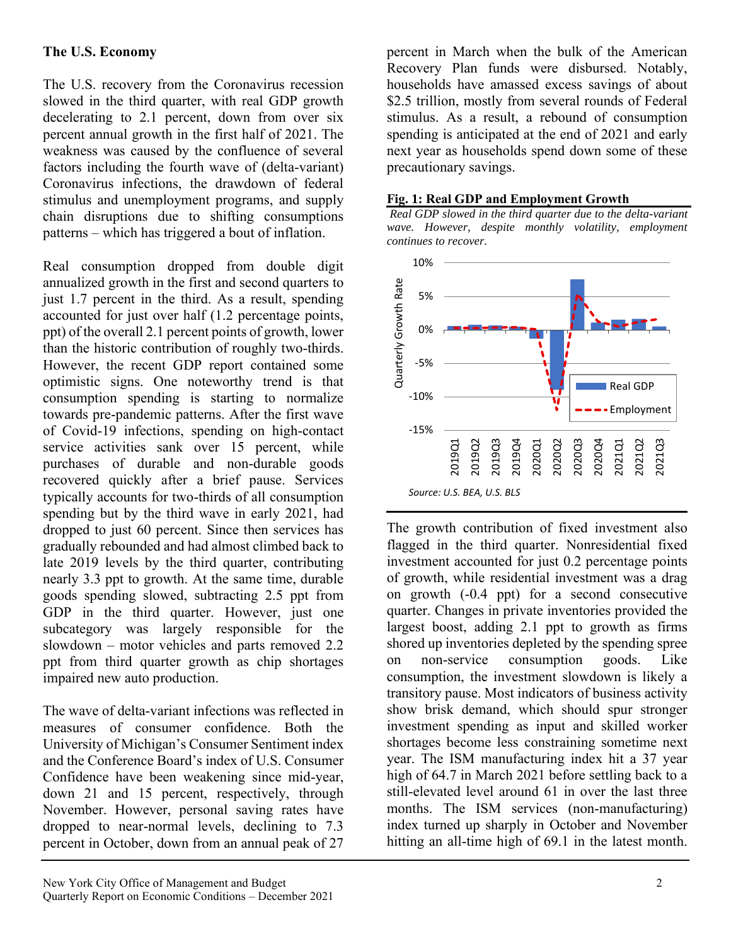# **The U.S. Economy**

The U.S. recovery from the Coronavirus recession slowed in the third quarter, with real GDP growth decelerating to 2.1 percent, down from over six percent annual growth in the first half of 2021. The weakness was caused by the confluence of several factors including the fourth wave of (delta-variant) Coronavirus infections, the drawdown of federal stimulus and unemployment programs, and supply chain disruptions due to shifting consumptions patterns – which has triggered a bout of inflation.

Real consumption dropped from double digit annualized growth in the first and second quarters to just 1.7 percent in the third. As a result, spending accounted for just over half (1.2 percentage points, ppt) of the overall 2.1 percent points of growth, lower than the historic contribution of roughly two-thirds. However, the recent GDP report contained some optimistic signs. One noteworthy trend is that consumption spending is starting to normalize towards pre-pandemic patterns. After the first wave of Covid-19 infections, spending on high-contact service activities sank over 15 percent, while purchases of durable and non-durable goods recovered quickly after a brief pause. Services typically accounts for two-thirds of all consumption spending but by the third wave in early 2021, had dropped to just 60 percent. Since then services has gradually rebounded and had almost climbed back to late 2019 levels by the third quarter, contributing nearly 3.3 ppt to growth. At the same time, durable goods spending slowed, subtracting 2.5 ppt from GDP in the third quarter. However, just one subcategory was largely responsible for the slowdown – motor vehicles and parts removed 2.2 ppt from third quarter growth as chip shortages impaired new auto production.

The wave of delta-variant infections was reflected in measures of consumer confidence. Both the University of Michigan's Consumer Sentiment index and the Conference Board's index of U.S. Consumer Confidence have been weakening since mid-year, down 21 and 15 percent, respectively, through November. However, personal saving rates have dropped to near-normal levels, declining to 7.3 percent in October, down from an annual peak of 27

Recovery Plan funds were disbursed. Notably, households have amassed excess savings of about \$2.5 trillion, mostly from several rounds of Federal stimulus. As a result, a rebound of consumption spending is anticipated at the end of 2021 and early next year as households spend down some of these precautionary savings. **Fig. 1: Real GDP and Employment Growth** *Real GDP slowed in the third quarter due to the delta-variant wave. However, despite monthly volatility, employment* 



percent in March when the bulk of the American

The growth contribution of fixed investment also flagged in the third quarter. Nonresidential fixed investment accounted for just 0.2 percentage points of growth, while residential investment was a drag on growth (-0.4 ppt) for a second consecutive quarter. Changes in private inventories provided the largest boost, adding 2.1 ppt to growth as firms shored up inventories depleted by the spending spree on non-service consumption goods. Like consumption, the investment slowdown is likely a transitory pause. Most indicators of business activity show brisk demand, which should spur stronger investment spending as input and skilled worker shortages become less constraining sometime next year. The ISM manufacturing index hit a 37 year high of 64.7 in March 2021 before settling back to a still-elevated level around 61 in over the last three months. The ISM services (non-manufacturing) index turned up sharply in October and November hitting an all-time high of 69.1 in the latest month.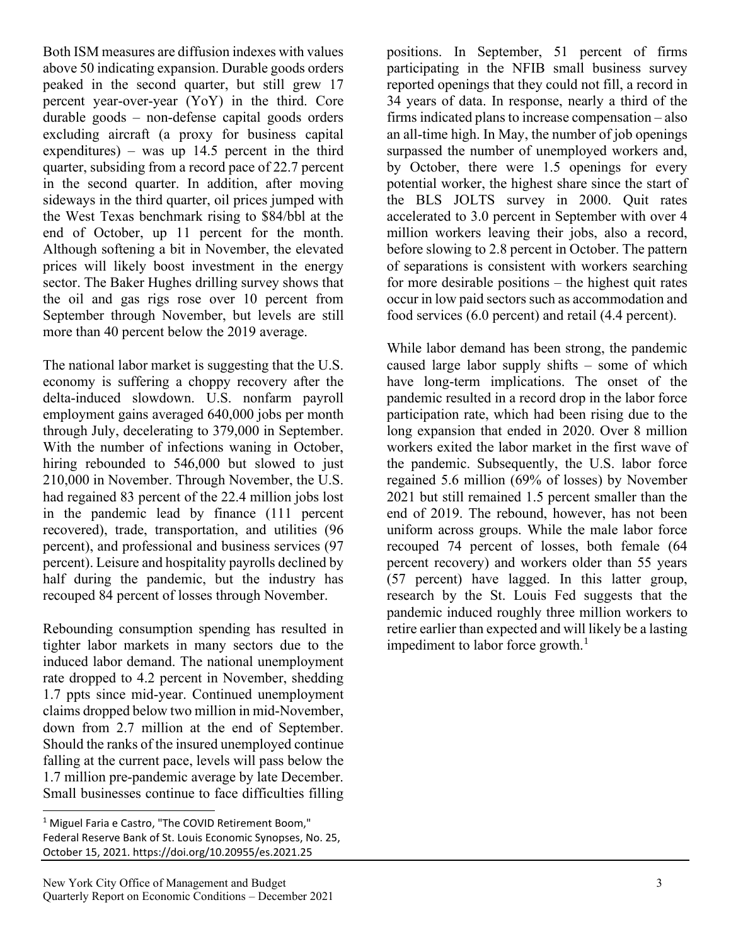Both ISM measures are diffusion indexes with values above 50 indicating expansion. Durable goods orders peaked in the second quarter, but still grew 17 percent year-over-year (YoY) in the third. Core durable goods – non-defense capital goods orders excluding aircraft (a proxy for business capital expenditures) – was up  $14.5$  percent in the third quarter, subsiding from a record pace of 22.7 percent in the second quarter. In addition, after moving sideways in the third quarter, oil prices jumped with the West Texas benchmark rising to \$84/bbl at the end of October, up 11 percent for the month. Although softening a bit in November, the elevated prices will likely boost investment in the energy sector. The Baker Hughes drilling survey shows that the oil and gas rigs rose over 10 percent from September through November, but levels are still more than 40 percent below the 2019 average.

The national labor market is suggesting that the U.S. economy is suffering a choppy recovery after the delta-induced slowdown. U.S. nonfarm payroll employment gains averaged 640,000 jobs per month through July, decelerating to 379,000 in September. With the number of infections waning in October, hiring rebounded to 546,000 but slowed to just 210,000 in November. Through November, the U.S. had regained 83 percent of the 22.4 million jobs lost in the pandemic lead by finance (111 percent recovered), trade, transportation, and utilities (96 percent), and professional and business services (97 percent). Leisure and hospitality payrolls declined by half during the pandemic, but the industry has recouped 84 percent of losses through November.

Rebounding consumption spending has resulted in tighter labor markets in many sectors due to the induced labor demand. The national unemployment rate dropped to 4.2 percent in November, shedding 1.7 ppts since mid-year. Continued unemployment claims dropped below two million in mid-November, down from 2.7 million at the end of September. Should the ranks of the insured unemployed continue falling at the current pace, levels will pass below the 1.7 million pre-pandemic average by late December. Small businesses continue to face difficulties filling

positions. In September, 51 percent of firms participating in the NFIB small business survey reported openings that they could not fill, a record in 34 years of data. In response, nearly a third of the firms indicated plans to increase compensation – also an all-time high. In May, the number of job openings surpassed the number of unemployed workers and, by October, there were 1.5 openings for every potential worker, the highest share since the start of the BLS JOLTS survey in 2000. Quit rates accelerated to 3.0 percent in September with over 4 million workers leaving their jobs, also a record, before slowing to 2.8 percent in October. The pattern of separations is consistent with workers searching for more desirable positions – the highest quit rates occur in low paid sectors such as accommodation and food services (6.0 percent) and retail (4.4 percent).

While labor demand has been strong, the pandemic caused large labor supply shifts – some of which have long-term implications. The onset of the pandemic resulted in a record drop in the labor force participation rate, which had been rising due to the long expansion that ended in 2020. Over 8 million workers exited the labor market in the first wave of the pandemic. Subsequently, the U.S. labor force regained 5.6 million (69% of losses) by November 2021 but still remained 1.5 percent smaller than the end of 2019. The rebound, however, has not been uniform across groups. While the male labor force recouped 74 percent of losses, both female (64 percent recovery) and workers older than 55 years (57 percent) have lagged. In this latter group, research by the St. Louis Fed suggests that the pandemic induced roughly three million workers to retire earlier than expected and will likely be a lasting impediment to labor force growth. $<sup>1</sup>$ </sup>

<sup>&</sup>lt;sup>1</sup> Miguel Faria e Castro, "The COVID Retirement Boom," Federal Reserve Bank of St. Louis Economic Synopses, No. 25, October 15, 2021. https://doi.org/10.20955/es.2021.25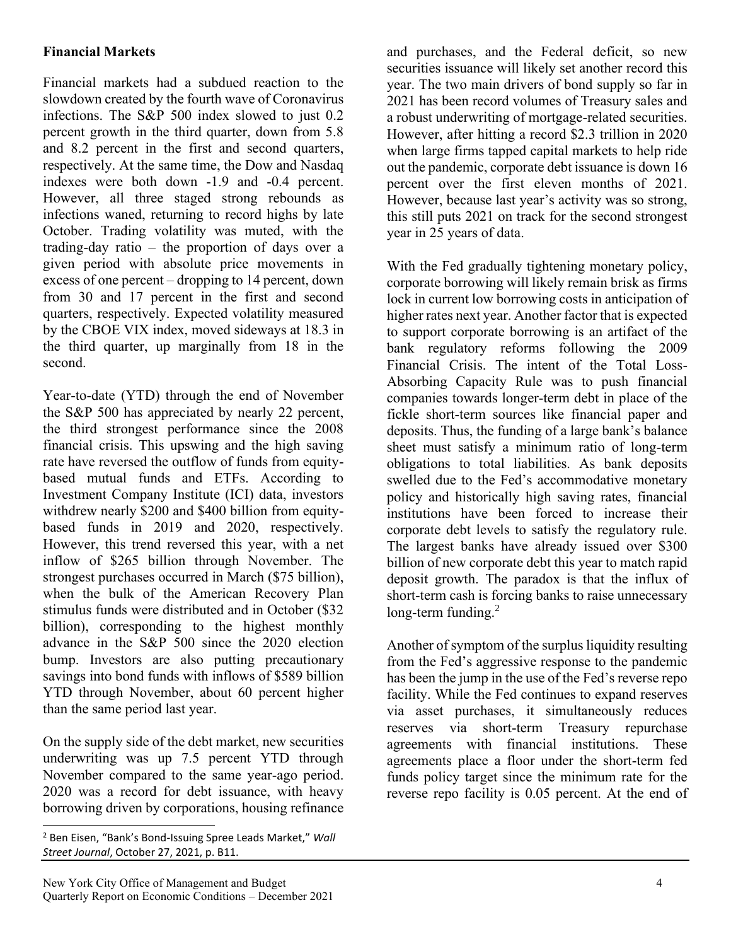# **Financial Markets**

Financial markets had a subdued reaction to the slowdown created by the fourth wave of Coronavirus infections. The S&P 500 index slowed to just 0.2 percent growth in the third quarter, down from 5.8 and 8.2 percent in the first and second quarters, respectively. At the same time, the Dow and Nasdaq indexes were both down -1.9 and -0.4 percent. However, all three staged strong rebounds as infections waned, returning to record highs by late October. Trading volatility was muted, with the trading-day ratio – the proportion of days over a given period with absolute price movements in excess of one percent – dropping to 14 percent, down from 30 and 17 percent in the first and second quarters, respectively. Expected volatility measured by the CBOE VIX index, moved sideways at 18.3 in the third quarter, up marginally from 18 in the second.

Year-to-date (YTD) through the end of November the S&P 500 has appreciated by nearly 22 percent, the third strongest performance since the 2008 financial crisis. This upswing and the high saving rate have reversed the outflow of funds from equitybased mutual funds and ETFs. According to Investment Company Institute (ICI) data, investors withdrew nearly \$200 and \$400 billion from equitybased funds in 2019 and 2020, respectively. However, this trend reversed this year, with a net inflow of \$265 billion through November. The strongest purchases occurred in March (\$75 billion), when the bulk of the American Recovery Plan stimulus funds were distributed and in October (\$32 billion), corresponding to the highest monthly advance in the S&P 500 since the 2020 election bump. Investors are also putting precautionary savings into bond funds with inflows of \$589 billion YTD through November, about 60 percent higher than the same period last year.

On the supply side of the debt market, new securities underwriting was up 7.5 percent YTD through November compared to the same year-ago period. 2020 was a record for debt issuance, with heavy borrowing driven by corporations, housing refinance

and purchases, and the Federal deficit, so new securities issuance will likely set another record this year. The two main drivers of bond supply so far in 2021 has been record volumes of Treasury sales and a robust underwriting of mortgage-related securities. However, after hitting a record \$2.3 trillion in 2020 when large firms tapped capital markets to help ride out the pandemic, corporate debt issuance is down 16 percent over the first eleven months of 2021. However, because last year's activity was so strong, this still puts 2021 on track for the second strongest year in 25 years of data.

With the Fed gradually tightening monetary policy, corporate borrowing will likely remain brisk as firms lock in current low borrowing costs in anticipation of higher rates next year. Another factor that is expected to support corporate borrowing is an artifact of the bank regulatory reforms following the 2009 Financial Crisis. The intent of the Total Loss-Absorbing Capacity Rule was to push financial companies towards longer-term debt in place of the fickle short-term sources like financial paper and deposits. Thus, the funding of a large bank's balance sheet must satisfy a minimum ratio of long-term obligations to total liabilities. As bank deposits swelled due to the Fed's accommodative monetary policy and historically high saving rates, financial institutions have been forced to increase their corporate debt levels to satisfy the regulatory rule. The largest banks have already issued over \$300 billion of new corporate debt this year to match rapid deposit growth. The paradox is that the influx of short-term cash is forcing banks to raise unnecessary long-term funding.<sup>2</sup>

Another of symptom of the surplus liquidity resulting from the Fed's aggressive response to the pandemic has been the jump in the use of the Fed's reverse repo facility. While the Fed continues to expand reserves via asset purchases, it simultaneously reduces reserves via short-term Treasury repurchase agreements with financial institutions. These agreements place a floor under the short-term fed funds policy target since the minimum rate for the reverse repo facility is 0.05 percent. At the end of

<sup>2</sup> Ben Eisen, "Bank's Bond-Issuing Spree Leads Market," *Wall Street Journal*, October 27, 2021, p. B11.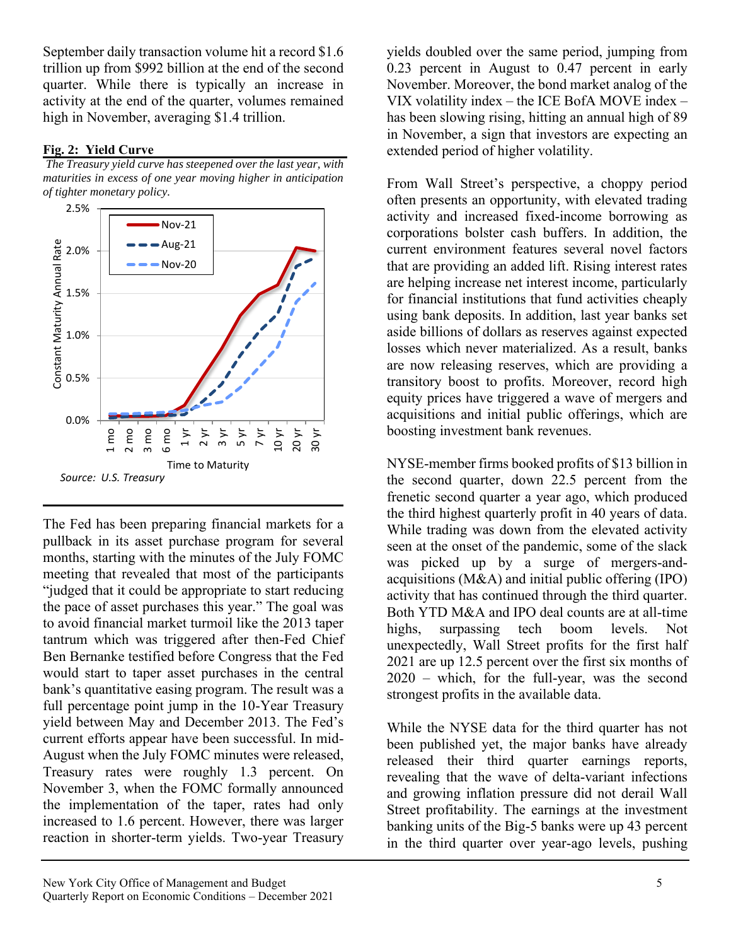September daily transaction volume hit a record \$1.6 trillion up from \$992 billion at the end of the second quarter. While there is typically an increase in activity at the end of the quarter, volumes remained high in November, averaging \$1.4 trillion.

### **Fig. 2: Yield Curve**

*The Treasury yield curve has steepened over the last year, with maturities in excess of one year moving higher in anticipation of tighter monetary policy.*



The Fed has been preparing financial markets for a pullback in its asset purchase program for several months, starting with the minutes of the July FOMC meeting that revealed that most of the participants "judged that it could be appropriate to start reducing the pace of asset purchases this year." The goal was to avoid financial market turmoil like the 2013 taper tantrum which was triggered after then-Fed Chief Ben Bernanke testified before Congress that the Fed would start to taper asset purchases in the central bank's quantitative easing program. The result was a full percentage point jump in the 10-Year Treasury yield between May and December 2013. The Fed's current efforts appear have been successful. In mid-August when the July FOMC minutes were released, Treasury rates were roughly 1.3 percent. On November 3, when the FOMC formally announced the implementation of the taper, rates had only increased to 1.6 percent. However, there was larger reaction in shorter-term yields. Two-year Treasury

yields doubled over the same period, jumping from 0.23 percent in August to 0.47 percent in early November. Moreover, the bond market analog of the VIX volatility index – the ICE BofA MOVE index – has been slowing rising, hitting an annual high of 89 in November, a sign that investors are expecting an extended period of higher volatility.

From Wall Street's perspective, a choppy period often presents an opportunity, with elevated trading activity and increased fixed-income borrowing as corporations bolster cash buffers. In addition, the current environment features several novel factors that are providing an added lift. Rising interest rates are helping increase net interest income, particularly for financial institutions that fund activities cheaply using bank deposits. In addition, last year banks set aside billions of dollars as reserves against expected losses which never materialized. As a result, banks are now releasing reserves, which are providing a transitory boost to profits. Moreover, record high equity prices have triggered a wave of mergers and acquisitions and initial public offerings, which are boosting investment bank revenues.

NYSE-member firms booked profits of \$13 billion in the second quarter, down 22.5 percent from the frenetic second quarter a year ago, which produced the third highest quarterly profit in 40 years of data. While trading was down from the elevated activity seen at the onset of the pandemic, some of the slack was picked up by a surge of mergers-andacquisitions (M&A) and initial public offering (IPO) activity that has continued through the third quarter. Both YTD M&A and IPO deal counts are at all-time highs, surpassing tech boom levels. Not unexpectedly, Wall Street profits for the first half 2021 are up 12.5 percent over the first six months of 2020 – which, for the full-year, was the second strongest profits in the available data.

While the NYSE data for the third quarter has not been published yet, the major banks have already released their third quarter earnings reports, revealing that the wave of delta-variant infections and growing inflation pressure did not derail Wall Street profitability. The earnings at the investment banking units of the Big-5 banks were up 43 percent in the third quarter over year-ago levels, pushing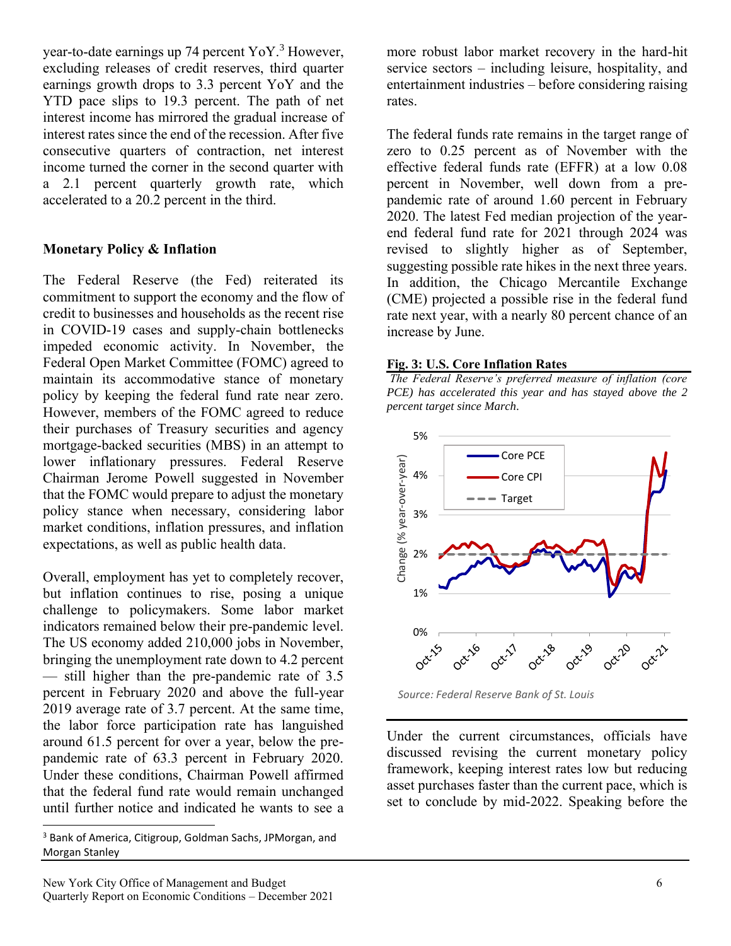year-to-date earnings up 74 percent  $\text{Yo} \text{Y}$ .<sup>3</sup> However, excluding releases of credit reserves, third quarter earnings growth drops to 3.3 percent YoY and the YTD pace slips to 19.3 percent. The path of net interest income has mirrored the gradual increase of interest rates since the end of the recession. After five consecutive quarters of contraction, net interest income turned the corner in the second quarter with a 2.1 percent quarterly growth rate, which accelerated to a 20.2 percent in the third.

# **Monetary Policy & Inflation**

The Federal Reserve (the Fed) reiterated its commitment to support the economy and the flow of credit to businesses and households as the recent rise in COVID-19 cases and supply-chain bottlenecks impeded economic activity. In November, the Federal Open Market Committee (FOMC) agreed to maintain its accommodative stance of monetary policy by keeping the federal fund rate near zero. However, members of the FOMC agreed to reduce their purchases of Treasury securities and agency mortgage-backed securities (MBS) in an attempt to lower inflationary pressures. Federal Reserve Chairman Jerome Powell suggested in November that the FOMC would prepare to adjust the monetary policy stance when necessary, considering labor market conditions, inflation pressures, and inflation expectations, as well as public health data.

Overall, employment has yet to completely recover, but inflation continues to rise, posing a unique challenge to policymakers. Some labor market indicators remained below their pre-pandemic level. The US economy added 210,000 jobs in November, bringing the unemployment rate down to 4.2 percent — still higher than the pre-pandemic rate of 3.5 percent in February 2020 and above the full-year 2019 average rate of 3.7 percent. At the same time, the labor force participation rate has languished around 61.5 percent for over a year, below the prepandemic rate of 63.3 percent in February 2020. Under these conditions, Chairman Powell affirmed that the federal fund rate would remain unchanged until further notice and indicated he wants to see a more robust labor market recovery in the hard-hit service sectors – including leisure, hospitality, and entertainment industries – before considering raising rates.

The federal funds rate remains in the target range of zero to 0.25 percent as of November with the effective federal funds rate (EFFR) at a low 0.08 percent in November, well down from a prepandemic rate of around 1.60 percent in February 2020. The latest Fed median projection of the yearend federal fund rate for 2021 through 2024 was revised to slightly higher as of September, suggesting possible rate hikes in the next three years. In addition, the Chicago Mercantile Exchange (CME) projected a possible rise in the federal fund rate next year, with a nearly 80 percent chance of an increase by June.

### **Fig. 3: U.S. Core Inflation Rates**

*The Federal Reserve's preferred measure of inflation (core PCE) has accelerated this year and has stayed above the 2 percent target since March.*



*Source: Federal Reserve Bank of St. Louis*

Under the current circumstances, officials have discussed revising the current monetary policy framework, keeping interest rates low but reducing asset purchases faster than the current pace, which is set to conclude by mid-2022. Speaking before the

<sup>3</sup> Bank of America, Citigroup, Goldman Sachs, JPMorgan, and Morgan Stanley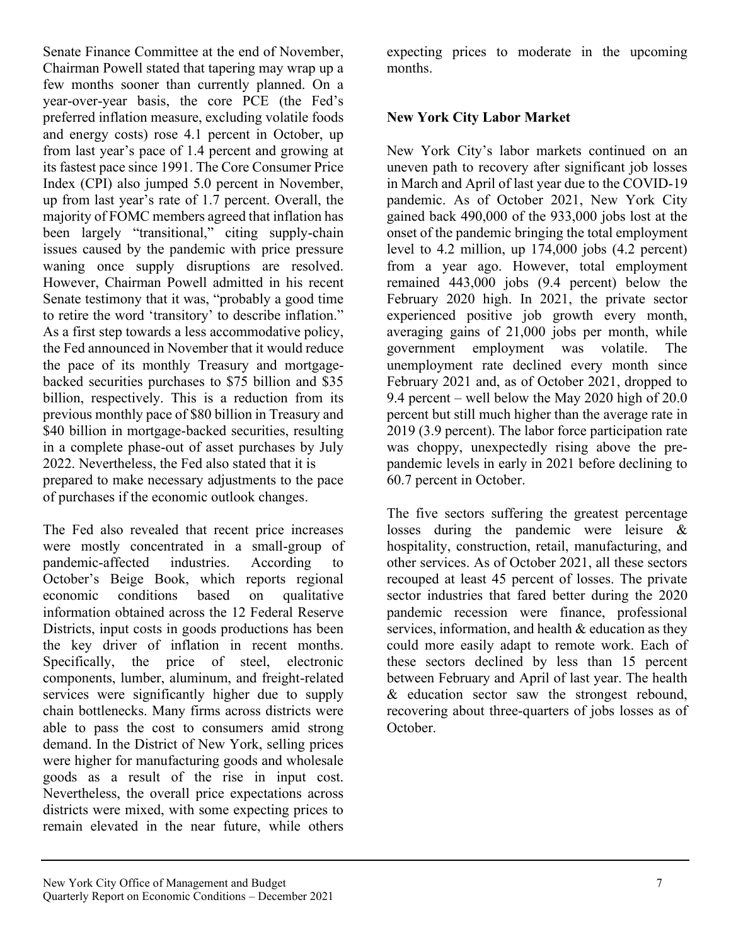Senate Finance Committee at the end of November, Chairman Powell stated that tapering may wrap up a few months sooner than currently planned. On a year-over-year basis, the core PCE (the Fed's preferred inflation measure, excluding volatile foods and energy costs) rose 4.1 percent in October, up from last year's pace of 1.4 percent and growing at its fastest pace since 1991. The Core Consumer Price Index (CPI) also jumped 5.0 percent in November, up from last year's rate of 1.7 percent. Overall, the majority of FOMC members agreed that inflation has been largely "transitional," citing supply-chain issues caused by the pandemic with price pressure waning once supply disruptions are resolved. However, Chairman Powell admitted in his recent Senate testimony that it was, "probably a good time to retire the word 'transitory' to describe inflation." As a first step towards a less accommodative policy, the Fed announced in November that it would reduce the pace of its monthly Treasury and mortgagebacked securities purchases to \$75 billion and \$35 billion, respectively. This is a reduction from its previous monthly pace of \$80 billion in Treasury and \$40 billion in mortgage-backed securities, resulting in a complete phase-out of asset purchases by July 2022. Nevertheless, the Fed also stated that it is prepared to make necessary adjustments to the pace of purchases if the economic outlook changes.

The Fed also revealed that recent price increases were mostly concentrated in a small-group of pandemic-affected industries. According to October's Beige Book, which reports regional economic conditions based on qualitative information obtained across the 12 Federal Reserve Districts, input costs in goods productions has been the key driver of inflation in recent months. Specifically, the price of steel, electronic components, lumber, aluminum, and freight-related services were significantly higher due to supply chain bottlenecks. Many firms across districts were able to pass the cost to consumers amid strong demand. In the District of New York, selling prices were higher for manufacturing goods and wholesale goods as a result of the rise in input cost. Nevertheless, the overall price expectations across districts were mixed, with some expecting prices to remain elevated in the near future, while others

expecting prices to moderate in the upcoming months.

# **New York City Labor Market**

New York City's labor markets continued on an uneven path to recovery after significant job losses in March and April of last year due to the COVID-19 pandemic. As of October 2021, New York City gained back 490,000 of the 933,000 jobs lost at the onset of the pandemic bringing the total employment level to 4.2 million, up 174,000 jobs (4.2 percent) from a year ago. However, total employment remained 443,000 jobs (9.4 percent) below the February 2020 high. In 2021, the private sector experienced positive job growth every month, averaging gains of 21,000 jobs per month, while government employment was volatile. The unemployment rate declined every month since February 2021 and, as of October 2021, dropped to 9.4 percent – well below the May 2020 high of 20.0 percent but still much higher than the average rate in 2019 (3.9 percent). The labor force participation rate was choppy, unexpectedly rising above the prepandemic levels in early in 2021 before declining to 60.7 percent in October.

The five sectors suffering the greatest percentage losses during the pandemic were leisure & hospitality, construction, retail, manufacturing, and other services. As of October 2021, all these sectors recouped at least 45 percent of losses. The private sector industries that fared better during the 2020 pandemic recession were finance, professional services, information, and health & education as they could more easily adapt to remote work. Each of these sectors declined by less than 15 percent between February and April of last year. The health & education sector saw the strongest rebound, recovering about three-quarters of jobs losses as of October.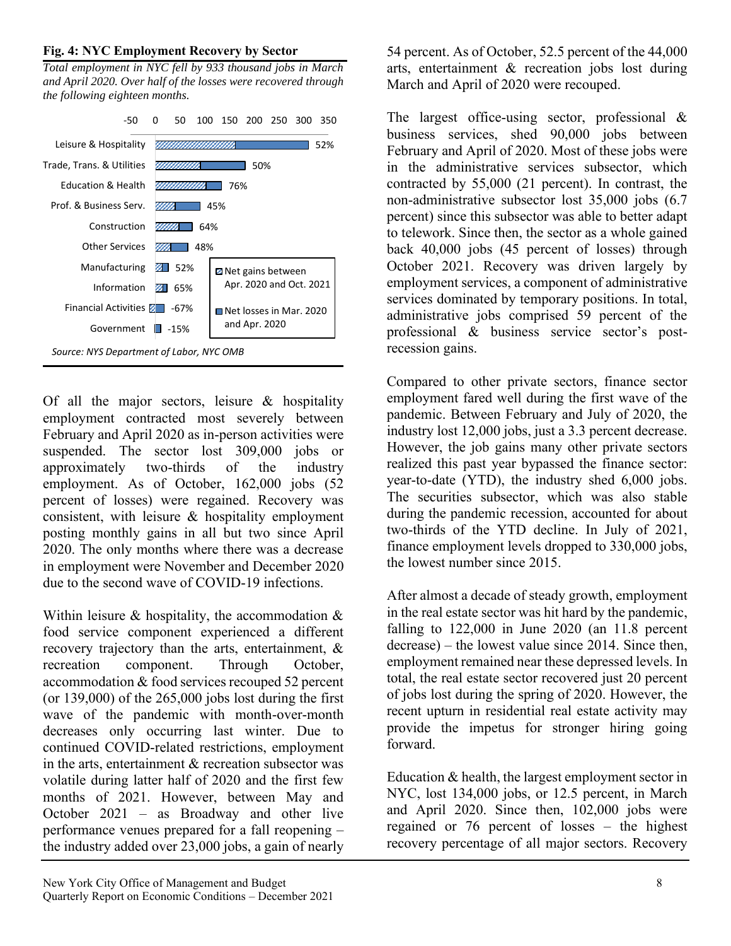### **Fig. 4: NYC Employment Recovery by Sector**

*Total employment in NYC fell by 933 thousand jobs in March and April 2020. Over half of the losses were recovered through the following eighteen months.*



Of all the major sectors, leisure & hospitality employment contracted most severely between February and April 2020 as in-person activities were suspended. The sector lost 309,000 jobs or approximately two-thirds of the industry employment. As of October, 162,000 jobs (52 percent of losses) were regained. Recovery was consistent, with leisure & hospitality employment posting monthly gains in all but two since April 2020. The only months where there was a decrease in employment were November and December 2020 due to the second wave of COVID-19 infections.

Within leisure  $\&$  hospitality, the accommodation  $\&$ food service component experienced a different recovery trajectory than the arts, entertainment, & recreation component. Through October, accommodation & food services recouped 52 percent (or  $139,000$ ) of the  $265,000$  jobs lost during the first wave of the pandemic with month-over-month decreases only occurring last winter. Due to continued COVID-related restrictions, employment in the arts, entertainment & recreation subsector was volatile during latter half of 2020 and the first few months of 2021. However, between May and October 2021 – as Broadway and other live performance venues prepared for a fall reopening – the industry added over 23,000 jobs, a gain of nearly

54 percent. As of October, 52.5 percent of the 44,000 arts, entertainment & recreation jobs lost during March and April of 2020 were recouped.

The largest office-using sector, professional & business services, shed 90,000 jobs between February and April of 2020. Most of these jobs were in the administrative services subsector, which contracted by 55,000 (21 percent). In contrast, the non-administrative subsector lost 35,000 jobs (6.7 percent) since this subsector was able to better adapt to telework. Since then, the sector as a whole gained back 40,000 jobs (45 percent of losses) through October 2021. Recovery was driven largely by employment services, a component of administrative services dominated by temporary positions. In total, administrative jobs comprised 59 percent of the professional & business service sector's postrecession gains.

Compared to other private sectors, finance sector employment fared well during the first wave of the pandemic. Between February and July of 2020, the industry lost 12,000 jobs, just a 3.3 percent decrease. However, the job gains many other private sectors realized this past year bypassed the finance sector: year-to-date (YTD), the industry shed 6,000 jobs. The securities subsector, which was also stable during the pandemic recession, accounted for about two-thirds of the YTD decline. In July of 2021, finance employment levels dropped to 330,000 jobs, the lowest number since 2015.

After almost a decade of steady growth, employment in the real estate sector was hit hard by the pandemic, falling to  $122,000$  in June  $2020$  (an  $11.8$  percent decrease) – the lowest value since 2014. Since then, employment remained near these depressed levels. In total, the real estate sector recovered just 20 percent of jobs lost during the spring of 2020. However, the recent upturn in residential real estate activity may provide the impetus for stronger hiring going forward.

Education & health, the largest employment sector in NYC, lost 134,000 jobs, or 12.5 percent, in March and April 2020. Since then, 102,000 jobs were regained or 76 percent of losses – the highest recovery percentage of all major sectors. Recovery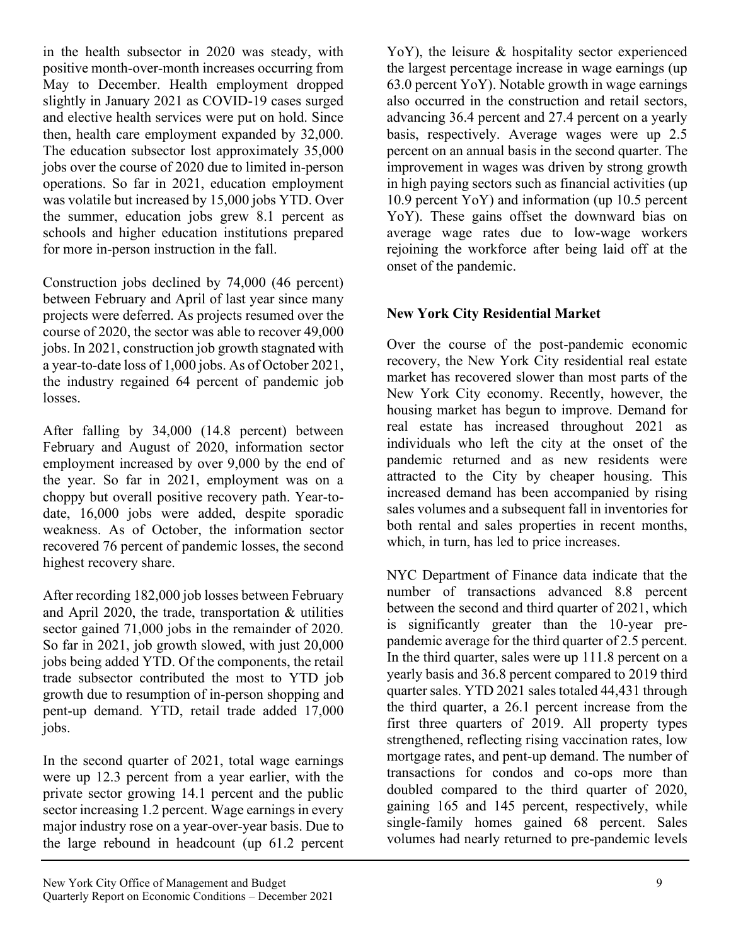in the health subsector in 2020 was steady, with positive month-over-month increases occurring from May to December. Health employment dropped slightly in January 2021 as COVID-19 cases surged and elective health services were put on hold. Since then, health care employment expanded by 32,000. The education subsector lost approximately 35,000 jobs over the course of 2020 due to limited in-person operations. So far in 2021, education employment was volatile but increased by 15,000 jobs YTD. Over the summer, education jobs grew 8.1 percent as schools and higher education institutions prepared for more in-person instruction in the fall.

Construction jobs declined by 74,000 (46 percent) between February and April of last year since many projects were deferred. As projects resumed over the course of 2020, the sector was able to recover 49,000 jobs. In 2021, construction job growth stagnated with a year-to-date loss of 1,000 jobs. As of October 2021, the industry regained 64 percent of pandemic job losses.

After falling by 34,000 (14.8 percent) between February and August of 2020, information sector employment increased by over 9,000 by the end of the year. So far in 2021, employment was on a choppy but overall positive recovery path. Year-todate, 16,000 jobs were added, despite sporadic weakness. As of October, the information sector recovered 76 percent of pandemic losses, the second highest recovery share.

After recording 182,000 job losses between February and April 2020, the trade, transportation & utilities sector gained 71,000 jobs in the remainder of 2020. So far in 2021, job growth slowed, with just 20,000 jobs being added YTD. Of the components, the retail trade subsector contributed the most to YTD job growth due to resumption of in-person shopping and pent-up demand. YTD, retail trade added 17,000 jobs.

In the second quarter of 2021, total wage earnings were up 12.3 percent from a year earlier, with the private sector growing 14.1 percent and the public sector increasing 1.2 percent. Wage earnings in every major industry rose on a year-over-year basis. Due to the large rebound in headcount (up 61.2 percent YoY), the leisure & hospitality sector experienced the largest percentage increase in wage earnings (up 63.0 percent YoY). Notable growth in wage earnings also occurred in the construction and retail sectors, advancing 36.4 percent and 27.4 percent on a yearly basis, respectively. Average wages were up 2.5 percent on an annual basis in the second quarter. The improvement in wages was driven by strong growth in high paying sectors such as financial activities (up 10.9 percent YoY) and information (up 10.5 percent YoY). These gains offset the downward bias on average wage rates due to low-wage workers rejoining the workforce after being laid off at the onset of the pandemic.

# **New York City Residential Market**

Over the course of the post-pandemic economic recovery, the New York City residential real estate market has recovered slower than most parts of the New York City economy. Recently, however, the housing market has begun to improve. Demand for real estate has increased throughout 2021 as individuals who left the city at the onset of the pandemic returned and as new residents were attracted to the City by cheaper housing. This increased demand has been accompanied by rising sales volumes and a subsequent fall in inventories for both rental and sales properties in recent months, which, in turn, has led to price increases.

NYC Department of Finance data indicate that the number of transactions advanced 8.8 percent between the second and third quarter of 2021, which is significantly greater than the 10-year prepandemic average for the third quarter of 2.5 percent. In the third quarter, sales were up 111.8 percent on a yearly basis and 36.8 percent compared to 2019 third quarter sales. YTD 2021 sales totaled 44,431 through the third quarter, a 26.1 percent increase from the first three quarters of 2019. All property types strengthened, reflecting rising vaccination rates, low mortgage rates, and pent-up demand. The number of transactions for condos and co-ops more than doubled compared to the third quarter of 2020, gaining 165 and 145 percent, respectively, while single-family homes gained 68 percent. Sales volumes had nearly returned to pre-pandemic levels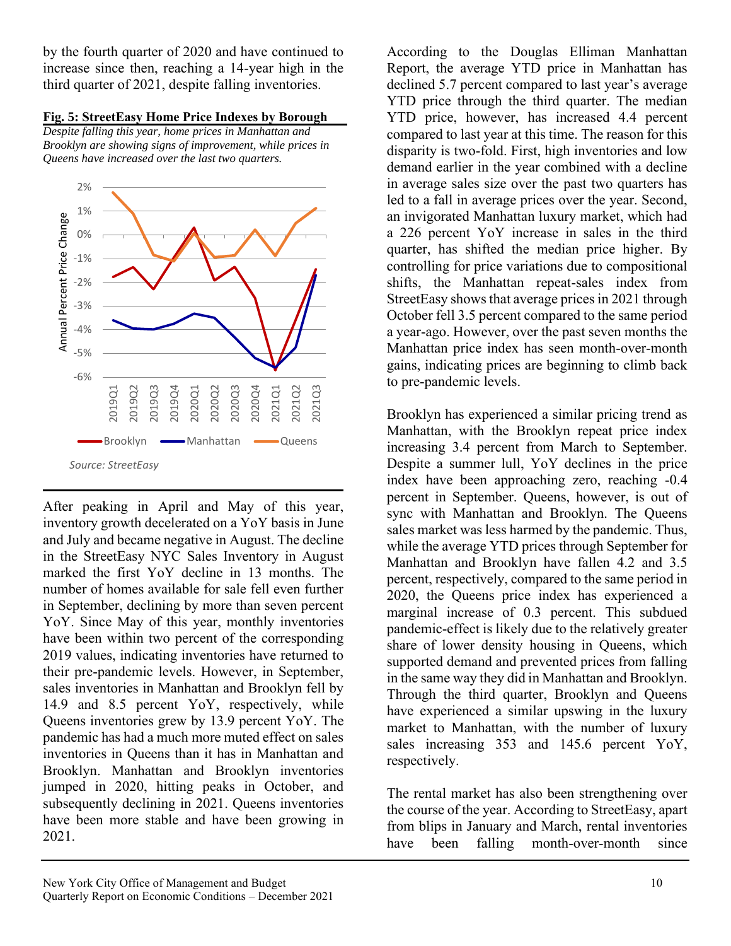by the fourth quarter of 2020 and have continued to increase since then, reaching a 14-year high in the third quarter of 2021, despite falling inventories.



*Brooklyn are showing signs of improvement, while prices in Queens have increased over the last two quarters.*



After peaking in April and May of this year, inventory growth decelerated on a YoY basis in June and July and became negative in August. The decline in the StreetEasy NYC Sales Inventory in August marked the first YoY decline in 13 months. The number of homes available for sale fell even further in September, declining by more than seven percent YoY. Since May of this year, monthly inventories have been within two percent of the corresponding 2019 values, indicating inventories have returned to their pre-pandemic levels. However, in September, sales inventories in Manhattan and Brooklyn fell by 14.9 and 8.5 percent YoY, respectively, while Queens inventories grew by 13.9 percent YoY. The pandemic has had a much more muted effect on sales inventories in Queens than it has in Manhattan and Brooklyn. Manhattan and Brooklyn inventories jumped in 2020, hitting peaks in October, and subsequently declining in 2021. Queens inventories have been more stable and have been growing in 2021.

According to the Douglas Elliman Manhattan Report, the average YTD price in Manhattan has declined 5.7 percent compared to last year's average YTD price through the third quarter. The median YTD price, however, has increased 4.4 percent compared to last year at this time. The reason for this disparity is two-fold. First, high inventories and low demand earlier in the year combined with a decline in average sales size over the past two quarters has led to a fall in average prices over the year. Second, an invigorated Manhattan luxury market, which had a 226 percent YoY increase in sales in the third quarter, has shifted the median price higher. By controlling for price variations due to compositional shifts, the Manhattan repeat-sales index from StreetEasy shows that average prices in 2021 through October fell 3.5 percent compared to the same period a year-ago. However, over the past seven months the Manhattan price index has seen month-over-month gains, indicating prices are beginning to climb back to pre-pandemic levels.

Brooklyn has experienced a similar pricing trend as Manhattan, with the Brooklyn repeat price index increasing 3.4 percent from March to September. Despite a summer lull, YoY declines in the price index have been approaching zero, reaching -0.4 percent in September. Queens, however, is out of sync with Manhattan and Brooklyn. The Queens sales market was less harmed by the pandemic. Thus, while the average YTD prices through September for Manhattan and Brooklyn have fallen 4.2 and 3.5 percent, respectively, compared to the same period in 2020, the Queens price index has experienced a marginal increase of 0.3 percent. This subdued pandemic-effect is likely due to the relatively greater share of lower density housing in Queens, which supported demand and prevented prices from falling in the same way they did in Manhattan and Brooklyn. Through the third quarter, Brooklyn and Queens have experienced a similar upswing in the luxury market to Manhattan, with the number of luxury sales increasing 353 and 145.6 percent YoY, respectively.

The rental market has also been strengthening over the course of the year. According to StreetEasy, apart from blips in January and March, rental inventories have been falling month-over-month since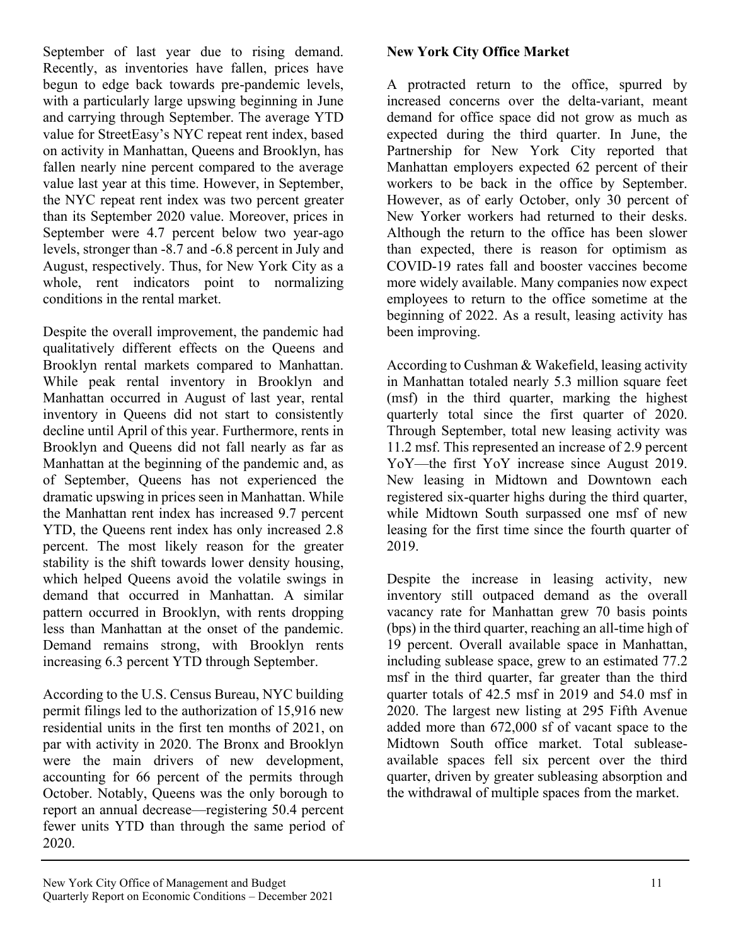September of last year due to rising demand. Recently, as inventories have fallen, prices have begun to edge back towards pre-pandemic levels, with a particularly large upswing beginning in June and carrying through September. The average YTD value for StreetEasy's NYC repeat rent index, based on activity in Manhattan, Queens and Brooklyn, has fallen nearly nine percent compared to the average value last year at this time. However, in September, the NYC repeat rent index was two percent greater than its September 2020 value. Moreover, prices in September were 4.7 percent below two year-ago levels, stronger than -8.7 and -6.8 percent in July and August, respectively. Thus, for New York City as a whole, rent indicators point to normalizing conditions in the rental market.

Despite the overall improvement, the pandemic had qualitatively different effects on the Queens and Brooklyn rental markets compared to Manhattan. While peak rental inventory in Brooklyn and Manhattan occurred in August of last year, rental inventory in Queens did not start to consistently decline until April of this year. Furthermore, rents in Brooklyn and Queens did not fall nearly as far as Manhattan at the beginning of the pandemic and, as of September, Queens has not experienced the dramatic upswing in prices seen in Manhattan. While the Manhattan rent index has increased 9.7 percent YTD, the Queens rent index has only increased 2.8 percent. The most likely reason for the greater stability is the shift towards lower density housing, which helped Queens avoid the volatile swings in demand that occurred in Manhattan. A similar pattern occurred in Brooklyn, with rents dropping less than Manhattan at the onset of the pandemic. Demand remains strong, with Brooklyn rents increasing 6.3 percent YTD through September.

According to the U.S. Census Bureau, NYC building permit filings led to the authorization of 15,916 new residential units in the first ten months of 2021, on par with activity in 2020. The Bronx and Brooklyn were the main drivers of new development, accounting for 66 percent of the permits through October. Notably, Queens was the only borough to report an annual decrease—registering 50.4 percent fewer units YTD than through the same period of 2020.

# **New York City Office Market**

A protracted return to the office, spurred by increased concerns over the delta-variant, meant demand for office space did not grow as much as expected during the third quarter. In June, the Partnership for New York City reported that Manhattan employers expected 62 percent of their workers to be back in the office by September. However, as of early October, only 30 percent of New Yorker workers had returned to their desks. Although the return to the office has been slower than expected, there is reason for optimism as COVID-19 rates fall and booster vaccines become more widely available. Many companies now expect employees to return to the office sometime at the beginning of 2022. As a result, leasing activity has been improving.

According to Cushman & Wakefield, leasing activity in Manhattan totaled nearly 5.3 million square feet (msf) in the third quarter, marking the highest quarterly total since the first quarter of 2020. Through September, total new leasing activity was 11.2 msf. This represented an increase of 2.9 percent YoY—the first YoY increase since August 2019. New leasing in Midtown and Downtown each registered six-quarter highs during the third quarter, while Midtown South surpassed one msf of new leasing for the first time since the fourth quarter of 2019.

Despite the increase in leasing activity, new inventory still outpaced demand as the overall vacancy rate for Manhattan grew 70 basis points (bps) in the third quarter, reaching an all-time high of 19 percent. Overall available space in Manhattan, including sublease space, grew to an estimated 77.2 msf in the third quarter, far greater than the third quarter totals of 42.5 msf in 2019 and 54.0 msf in 2020. The largest new listing at 295 Fifth Avenue added more than 672,000 sf of vacant space to the Midtown South office market. Total subleaseavailable spaces fell six percent over the third quarter, driven by greater subleasing absorption and the withdrawal of multiple spaces from the market.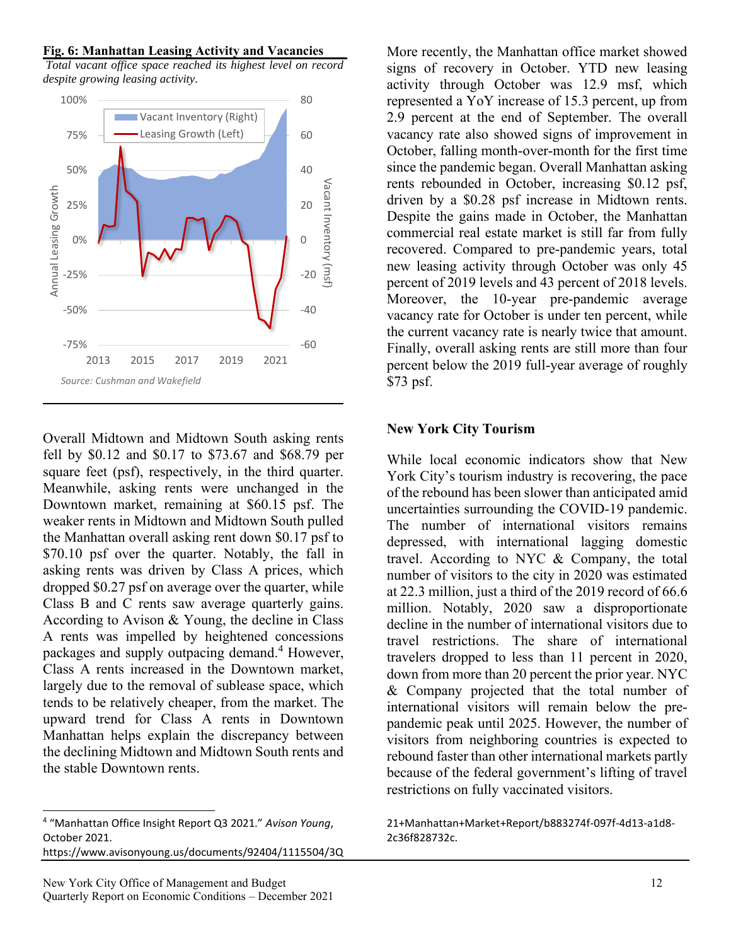### **Fig. 6: Manhattan Leasing Activity and Vacancies**

*Total vacant office space reached its highest level on record despite growing leasing activity.*



Overall Midtown and Midtown South asking rents fell by \$0.12 and \$0.17 to \$73.67 and \$68.79 per square feet (psf), respectively, in the third quarter. Meanwhile, asking rents were unchanged in the Downtown market, remaining at \$60.15 psf. The weaker rents in Midtown and Midtown South pulled the Manhattan overall asking rent down \$0.17 psf to \$70.10 psf over the quarter. Notably, the fall in asking rents was driven by Class A prices, which dropped \$0.27 psf on average over the quarter, while Class B and C rents saw average quarterly gains. According to Avison & Young, the decline in Class A rents was impelled by heightened concessions packages and supply outpacing demand.<sup>4</sup> However, Class A rents increased in the Downtown market, largely due to the removal of sublease space, which tends to be relatively cheaper, from the market. The upward trend for Class A rents in Downtown Manhattan helps explain the discrepancy between the declining Midtown and Midtown South rents and the stable Downtown rents.

4 "Manhattan Office Insight Report Q3 2021." *Avison Young*, October 2021.

https://www.avisonyoung.us/documents/92404/1115504/3Q

More recently, the Manhattan office market showed signs of recovery in October. YTD new leasing activity through October was 12.9 msf, which represented a YoY increase of 15.3 percent, up from 2.9 percent at the end of September. The overall vacancy rate also showed signs of improvement in October, falling month-over-month for the first time since the pandemic began. Overall Manhattan asking rents rebounded in October, increasing \$0.12 psf, driven by a \$0.28 psf increase in Midtown rents. Despite the gains made in October, the Manhattan commercial real estate market is still far from fully recovered. Compared to pre-pandemic years, total new leasing activity through October was only 45 percent of 2019 levels and 43 percent of 2018 levels. Moreover, the 10-year pre-pandemic average vacancy rate for October is under ten percent, while the current vacancy rate is nearly twice that amount. Finally, overall asking rents are still more than four percent below the 2019 full-year average of roughly \$73 psf.

### **New York City Tourism**

While local economic indicators show that New York City's tourism industry is recovering, the pace of the rebound has been slower than anticipated amid uncertainties surrounding the COVID-19 pandemic. The number of international visitors remains depressed, with international lagging domestic travel. According to NYC & Company, the total number of visitors to the city in 2020 was estimated at 22.3 million, just a third of the 2019 record of 66.6 million. Notably, 2020 saw a disproportionate decline in the number of international visitors due to travel restrictions. The share of international travelers dropped to less than 11 percent in 2020, down from more than 20 percent the prior year. NYC & Company projected that the total number of international visitors will remain below the prepandemic peak until 2025. However, the number of visitors from neighboring countries is expected to rebound faster than other international markets partly because of the federal government's lifting of travel restrictions on fully vaccinated visitors.

21+Manhattan+Market+Report/b883274f-097f-4d13-a1d8- 2c36f828732c.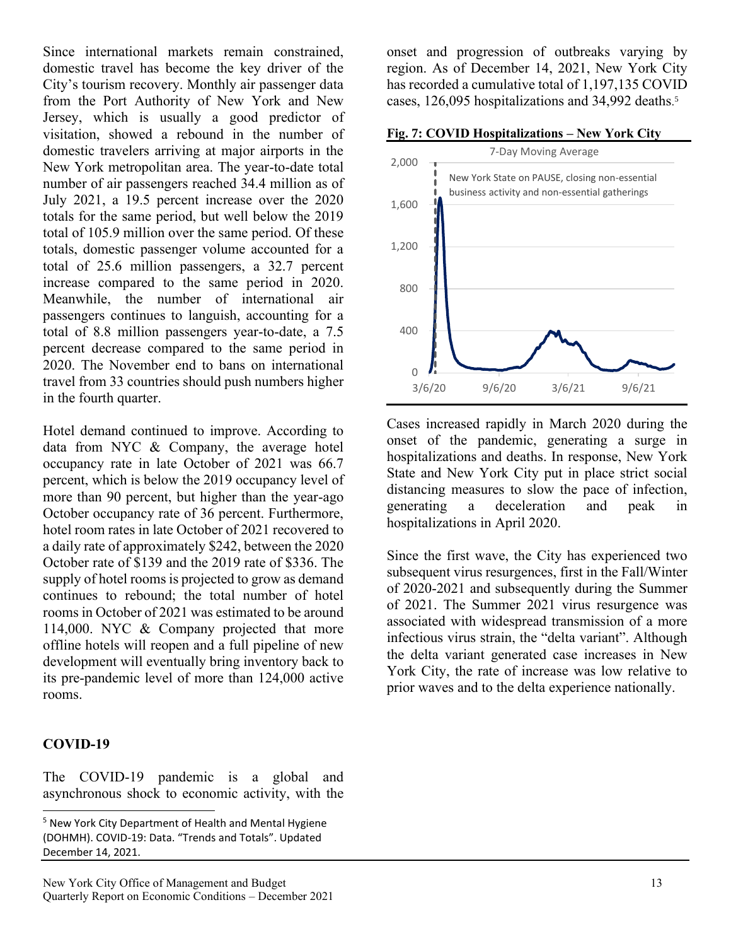Since international markets remain constrained, domestic travel has become the key driver of the City's tourism recovery. Monthly air passenger data from the Port Authority of New York and New Jersey, which is usually a good predictor of visitation, showed a rebound in the number of domestic travelers arriving at major airports in the New York metropolitan area. The year-to-date total number of air passengers reached 34.4 million as of July 2021, a 19.5 percent increase over the 2020 totals for the same period, but well below the 2019 total of 105.9 million over the same period. Of these totals, domestic passenger volume accounted for a total of 25.6 million passengers, a 32.7 percent increase compared to the same period in 2020. Meanwhile, the number of international air passengers continues to languish, accounting for a total of 8.8 million passengers year-to-date, a 7.5 percent decrease compared to the same period in 2020. The November end to bans on international travel from 33 countries should push numbers higher in the fourth quarter.

Hotel demand continued to improve. According to data from NYC & Company, the average hotel occupancy rate in late October of 2021 was 66.7 percent, which is below the 2019 occupancy level of more than 90 percent, but higher than the year-ago October occupancy rate of 36 percent. Furthermore, hotel room rates in late October of 2021 recovered to a daily rate of approximately \$242, between the 2020 October rate of \$139 and the 2019 rate of \$336. The supply of hotel rooms is projected to grow as demand continues to rebound; the total number of hotel rooms in October of 2021 was estimated to be around 114,000. NYC & Company projected that more offline hotels will reopen and a full pipeline of new development will eventually bring inventory back to its pre-pandemic level of more than 124,000 active rooms.

# **COVID-19**

The COVID-19 pandemic is a global and asynchronous shock to economic activity, with the

onset and progression of outbreaks varying by region. As of December 14, 2021, New York City has recorded a cumulative total of 1,197,135 COVID cases, 126,095 hospitalizations and 34,992 deaths. 5

**Fig. 7: COVID Hospitalizations – New York City**



Cases increased rapidly in March 2020 during the onset of the pandemic, generating a surge in hospitalizations and deaths. In response, New York State and New York City put in place strict social distancing measures to slow the pace of infection, generating a deceleration and peak in hospitalizations in April 2020.

Since the first wave, the City has experienced two subsequent virus resurgences, first in the Fall/Winter of 2020-2021 and subsequently during the Summer of 2021. The Summer 2021 virus resurgence was associated with widespread transmission of a more infectious virus strain, the "delta variant". Although the delta variant generated case increases in New York City, the rate of increase was low relative to prior waves and to the delta experience nationally.

<sup>5</sup> New York City Department of Health and Mental Hygiene (DOHMH). COVID-19: Data. "Trends and Totals". Updated December 14, 2021.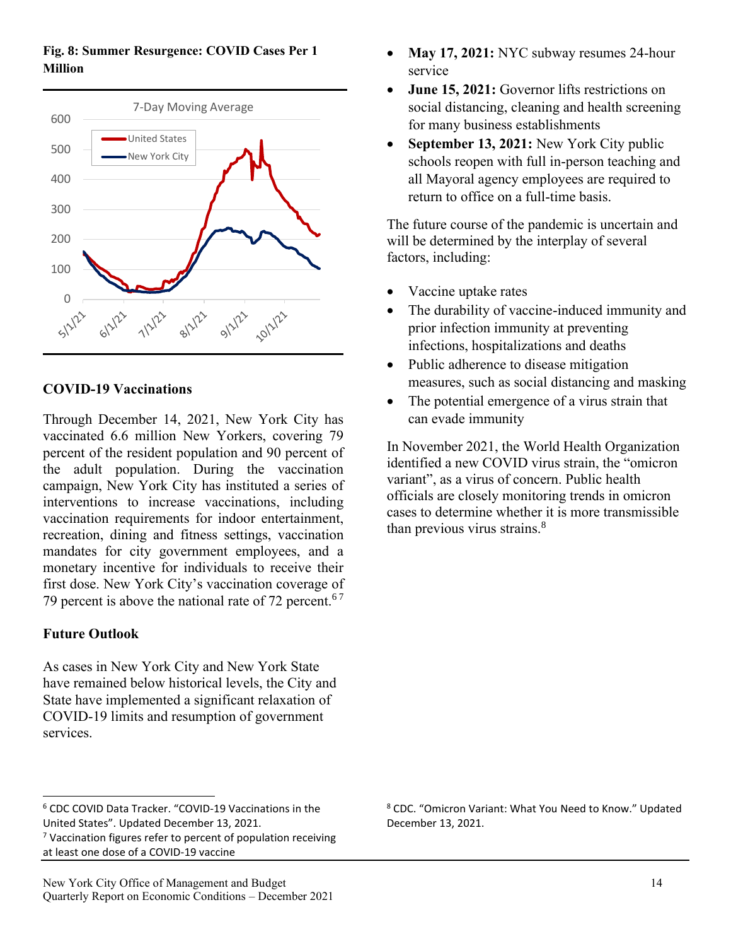**Fig. 8: Summer Resurgence: COVID Cases Per 1 Million**



## **COVID-19 Vaccinations**

Through December 14, 2021, New York City has vaccinated 6.6 million New Yorkers, covering 79 percent of the resident population and 90 percent of the adult population. During the vaccination campaign, New York City has instituted a series of interventions to increase vaccinations, including vaccination requirements for indoor entertainment, recreation, dining and fitness settings, vaccination mandates for city government employees, and a monetary incentive for individuals to receive their first dose. New York City's vaccination coverage of 79 percent is above the national rate of 72 percent.<sup>67</sup>

## **Future Outlook**

As cases in New York City and New York State have remained below historical levels, the City and State have implemented a significant relaxation of COVID-19 limits and resumption of government services.

- May 17, 2021: NYC subway resumes 24-hour service
- **June 15, 2021:** Governor lifts restrictions on social distancing, cleaning and health screening for many business establishments
- **September 13, 2021:** New York City public schools reopen with full in-person teaching and all Mayoral agency employees are required to return to office on a full-time basis.

The future course of the pandemic is uncertain and will be determined by the interplay of several factors, including:

- Vaccine uptake rates
- The durability of vaccine-induced immunity and prior infection immunity at preventing infections, hospitalizations and deaths
- Public adherence to disease mitigation measures, such as social distancing and masking
- The potential emergence of a virus strain that can evade immunity

In November 2021, the World Health Organization identified a new COVID virus strain, the "omicron variant", as a virus of concern. Public health officials are closely monitoring trends in omicron cases to determine whether it is more transmissible than previous virus strains. $8$ 

<sup>8</sup> CDC. "Omicron Variant: What You Need to Know." Updated December 13, 2021.

<sup>6</sup> CDC COVID Data Tracker. "COVID-19 Vaccinations in the United States". Updated December 13, 2021.

 $7$  Vaccination figures refer to percent of population receiving at least one dose of a COVID-19 vaccine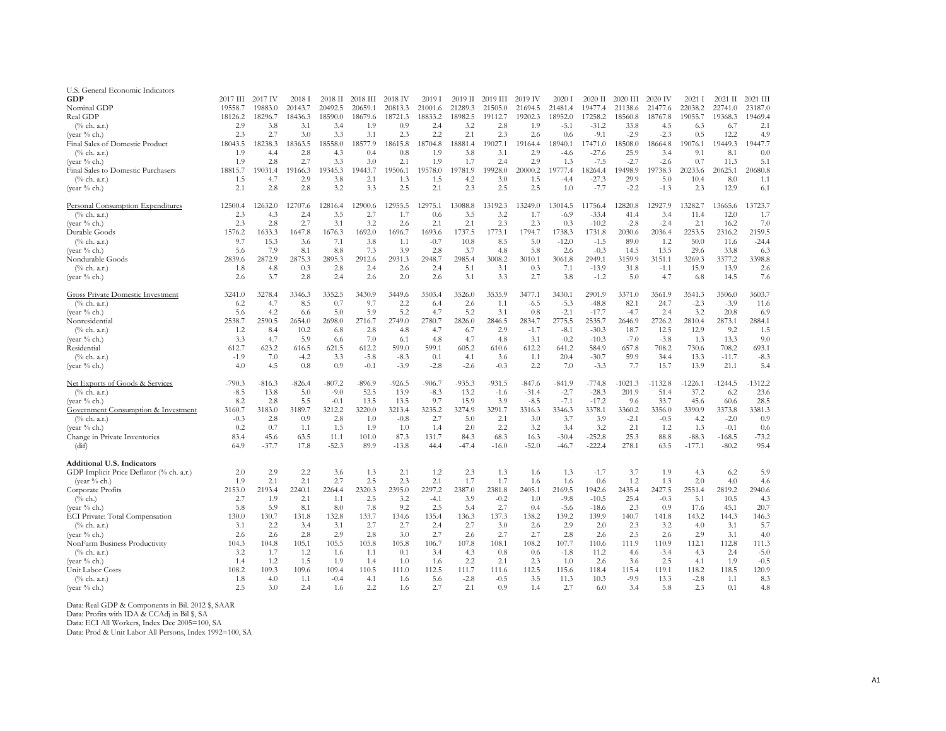| U.S. General Economic Indicators         |          |          |          |           |          |          |          |          |          |          |             |           |           |           |          |           |            |
|------------------------------------------|----------|----------|----------|-----------|----------|----------|----------|----------|----------|----------|-------------|-----------|-----------|-----------|----------|-----------|------------|
| GDP                                      | 2017 III | 2017 IV  | 2018 I   | $2018$ II | 2018 III | 2018 IV  | 2019 I   | 2019 II  | 2019 III | 2019 IV  | 2020 1      | $2020$ II | 2020 III  | 2020 IV   | $2021$ I | 2021 II   | $2021$ III |
| Nominal GDP                              | 19558.7  | 19883.0  | 20143.7  | 20492.5   | 20659.1  | 20813.3  | 21001.6  | 21289.3  | 21505.0  | 21694.5  | 21481.4     | 19477.4   | 21138.6   | 21477.6   | 22038.2  | 22741.0   | 23187.0    |
| Real GDP                                 | 18126.2  | 18296.7  | 18436.3  | 18590.0   | 18679.6  | 18721.3  | 18833.2  | 18982.5  | 19112.7  | 19202.3  | 18952.0     | 17258.2   | 18560.8   | 18767.8   | 19055.7  | 19368.3   | 19469.4    |
| $(\%$ ch. a.r.)                          | 2.9      | 3.8      | 3.1      | 3.4       | 1.9      | 0.9      | 2.4      | 3.2      | 2.8      | 1.9      | $-5.1$      | $-31.2$   | 33.8      | 4.5       | 6.3      | 6.7       | 2.1        |
| (vear $%$ ch.)                           | 2.3      | 2.7      | 3.0      | 3.3       | 3.1      | 2.3      | 2.2      | 2.1      | 2.3      | 2.6      | 0.6         | $-9.1$    | $-2.9$    | $-2.3$    | 0.5      | 12.2      | 4.9        |
| Final Sales of Domestic Product          | 18043.5  | 18238.3  | 18363.5  | 18558.0   | 18577.9  | 18615.8  | 18704.8  | 18881.4  | 19027.1  | 19164.4  | 18940.1     | 17471.0   | 18508.0   | 18664.8   | 19076.1  | 19449.3   | 19447.7    |
| $(\%$ ch. a.r.)                          | 1.9      | 4.4      | 2.8      | 4.3       | 0.4      | 0.8      | 1.9      | 3.8      | 3.1      | 2.9      | $-4.6$      | $-27.6$   | 25.9      | 3.4       | 9.1      | 8.1       | 0.0        |
| (year $%$ ch.)                           | 1.9      | 2.8      | 2.7      | 3.3       | 3.0      | 2.1      | 1.9      | 1.7      | 2.4      | 2.9      | 1.3         | $-7.5$    | $-2.7$    | $-2.6$    | 0.7      | 11.3      | 5.1        |
| Final Sales to Domestic Purchasers       | 18815.7  | 19031.4  | 19166.3  | 19345.3   | 143.7    | 19506.1  | 19578.0  | 19781.9  | 19928.0  | 20000.2  | 19777.4     | 18264.4   | 19498.9   | 19738.3   | 20233.6  | 20625.1   | 20680.8    |
| $(\%$ ch. a.r.)                          | 1.5      | 4.7      | 2.9      | 3.8       | 2.1      | 1.3      | 1.5      | 4.2      | 3.0      | 1.5      |             | $-27.3$   | 29.9      | 5.0       | 10.4     | 8.0       | 1.1        |
| (year % ch.)                             | 2.1      | 2.8      | 2.8      | 3.2       | 3.3      | 2.5      | 2.1      | 2.3      | 2.5      | 2.5      | -4.4<br>1.0 | $-7.7$    | $-2.2$    | $-1.3$    | 2.3      | 12.9      | 6.1        |
| Personal Consumption Expenditures        | 12500.4  | 12632.0  | 12707.6  | 12816.4   | 12900.6  | 12955.5  | 12975.1  | 13088.8  | 13192.3  | 13249.0  | 13014.5     | 11756.4   | 12820.8   | 12927.9   | 13282.7  | 13665.6   | 13723.7    |
| $(\%$ ch. a.r.)                          | 2.3      | 4.3      | 2.4      | 3.5       | 2.7      | 1.7      | 0.6      | 3.5      | 3.2      | 1.7      | $-6.9$      | $-33.4$   | 41.4      | 3.4       | 11.4     | 12.0      | 1.7        |
| (vear $%$ ch.)                           | 2.3      | 2.8      | 2.7      | 3.1       | 3.2      | 2.6      | 2.1      | 2.1      | 2.3      | 2.3      | 0.3         | $-10.2$   | $-2.8$    | $-2.4$    | 2.1      | 16.2      | 7.0        |
| Durable Goods                            | 1576.2   | 1633.3   | 1647.8   | 1676.3    | 1692.0   | 1696.7   | 1693.6   | 1737.5   | 1773.1   | 1794.7   | 1738.3      | 1731.8    | 2030.6    | 2036.4    | 2253.5   | 2316.2    | 2159.5     |
| $(\%$ ch. a.r.)                          | 9.7      | 15.3     | 3.6      | 7.1       | 3.8      | 1.1      | $-0.7$   | 10.8     | 8.5      | 5.0      | $-12.0$     | $-1.5$    | 89.0      | 1.2       | 50.0     | 11.6      | $-24.4$    |
| (year % ch.)                             | 5.6      | 7.9      | 8.1      | 8.8       | 7.3      | 3.9      | 2.8      | 3.7      | 4.8      | 5.8      | 2.6         | $-0.3$    | 14.5      | 13.5      | 29.6     | 33.8      | 6.3        |
| Nondurable Goods                         | 2839.6   | 2872.9   | 2875.3   | 2895.3    | 2912.6   | 2931.3   | 2948.7   | 2985.4   | 3008.2   | 3010.1   | 3061.8      | 2949.1    | 3159.9    | 3151.1    | 3269.3   | 3377.2    | 3398.8     |
| $(\%$ ch. a.r.)                          | 1.8      | 4.8      | 0.3      | 2.8       | 2.4      | 2.6      | 2.4      | 5.1      | 3.1      | 0.3      | 7.1         | $-13.9$   | 31.8      | $-1.1$    | 15.9     | 13.9      | 2.6        |
| (vear $%$ ch.)                           | 2.6      | 3.7      | 2.8      | 2.4       | 2.6      | 2.0      | 2.6      | 3.1      | 3.3      | 2.7      | 3.8         | $-1.2$    | 5.0       | 4.7       | 6.8      | 14.5      | 7.6        |
| <b>Gross Private Domestic Investment</b> | 3241.0   | 3278.4   | 3346.3   | 3352.5    | 3430.9   | 3449.6   | 3503.4   | 3526.0   | 3535.9   | 3477.1   | 3430.1      | 2901.9    | 3371.0    | 3561.9    | 3541.3   | 3506.0    | 3603.7     |
| $(\%$ ch. a.r.)                          | 6.2      | 4.7      | 8.5      | 0.7       | 9.7      | 2.2      | 6.4      | 2.6      | 1.1      | $-6.5$   | $-5.3$      | $-48.8$   | 82.1      | 24.7      | $-2.3$   | $-3.9$    | 11.6       |
| (year % ch.)                             | 5.6      | 4.2      | 6.6      | 5.0       | 5.9      | 5.2      | 4.7      | 5.2      | 3.1      | 0.8      | $-2.1$      | $-17.7$   | $-4.7$    | 2.4       | 3.2      | 20.8      | 6.9        |
| Nonresidential                           | 2538.7   | 2590.5   | 2654.0   | 2698.0    | 2716.7   | 2749.0   | 2780.7   | 2826.0   | 2846.5   | 2834.7   | 2775.5      | 2535.7    | 2646.9    | 2726.2    | 2810.4   | 2873.1    | 2884.1     |
| $(\%$ ch. a.r.)                          | 1.2      | 8.4      | 10.2     | 6.8       | 2.8      | 4.8      | 4.7      | 6.7      | 2.9      | $-1.7$   | $-8.1$      | $-30.3$   | 18.7      | 12.5      | 12.9     | 9.2       | 1.5        |
| (year % ch.)                             | 3.3      | 4.7      | 5.9      | 6.6       | 7.0      | 6.1      | 4.8      | 4.7      | 4.8      | 3.1      | $-0.2$      | $-10.3$   | $-7.0$    | $-3.8$    | 1.3      | 13.3      | 9.0        |
| Residential                              | 612.7    | 623.2    | 616.5    | 621.5     | 612.2    | 599.0    | 599.1    | 605.2    | 610.6    | 612.2    | 641.2       | 584.9     | 657.8     | 708.2     | 730.6    | 708.2     | 693.1      |
| $(\%$ ch. a.r.)                          | $-1.9$   | 7.0      | $-4.2$   | 3.3       | $-5.8$   | $-8.3$   | 0.1      | 4.1      | 3.6      | 1.1      | 20.4        | $-30.7$   | 59.9      | 34.4      | 13.3     | $-11.7$   | $-8.3$     |
| (year % ch.)                             | 4.0      | 4.5      | 0.8      | 0.9       | $-0.1$   | $-3.9$   | $-2.8$   | $-2.6$   | $-0.3$   | 2.2      | 7.0         | $-3.3$    | 7.7       | 15.7      | 13.9     | 21.1      | 5.4        |
| Net Exports of Goods & Services          | $-790.3$ | $-816.3$ | $-826.4$ | $-807.2$  | $-896.9$ | $-926.5$ | $-906.7$ | $-935.3$ | $-931.5$ | $-847.6$ | $-841.9$    | $-774.8$  | $-1021.3$ | $-1132.8$ | 1226.1   | $-1244.5$ | $-1312.2$  |
| $(\%$ ch. a.r.)                          | $-8.5$   | 13.8     | 5.0      | $-9.0$    | 52.5     | 13.9     | $-8.3$   | 13.2     | $-1.6$   | $-31.4$  | $-2.7$      | $-28.3$   | 201.9     | 51.4      | 37.2     | 6.2       | 23.6       |
| (vear $%$ ch.)                           | 8.2      | 2.8      | 5.5      | $-0.1$    | 13.5     | 13.5     | 9.7      | 15.9     | 3.9      | $-8.5$   | $-7.1$      | $-17.2$   | 9.6       | 33.7      | 45.6     | 60.6      | 28.5       |
| Government Consumption & Investment      | 3160.7   | 3183.0   | 3189.7   | 3212.2    | 3220.0   | 3213.4   | 3235.2   | 3274.9   | 3291.7   | 3316.3   | 3346.3      | 3378.1    | 3360.2    | 3356.0    | 3390.9   | 3373.8    | 3381.3     |
| $(\%$ ch. a.r.)                          | $-0.3$   | 2.8      | 0.9      | 2.8       | 1.0      | $-0.8$   | 2.7      | 5.0      | 2.1      | 3.0      | 3.7         | 3.9       | $-2.1$    | $-0.5$    | 4.2      | $-2.0$    | 0.9        |
| (year % ch.)                             | 0.2      | 0.7      | 1.1      | 1.5       | 1.9      | 1.0      | 1.4      | 2.0      | 2.2      | 3.2      | 3.4         | 3.2       | 2.1       | 1.2       | 1.3      | $-0.1$    | 0.6        |
| Change in Private Inventories            | 83.4     | 45.6     | 63.5     | 11.1      | 101.0    | 87.3     | 131.7    | 84.3     | 68.3     | 16.3     | $-30.4$     | $-252.8$  | 25.3      | 88.8      | $-88.3$  | $-168.5$  | $-73.2$    |
| (dif)                                    | 64.9     | $-37.7$  | 17.8     | $-52.3$   | 89.9     | $-13.8$  | 44.4     | $-47.4$  | $-16.0$  | $-52.0$  | $-46.7$     | $-222.4$  | 278.1     | 63.5      | $-177.1$ | $-80.2$   | 95.4       |
| <b>Additional U.S. Indicators</b>        |          |          |          |           |          |          |          |          |          |          |             |           |           |           |          |           |            |
| GDP Implicit Price Deflator (% ch. a.r.) | 2.0      | 2.9      | 2.2      | 3.6       | 1.3      | 2.1      | 1.2      | 2.3      | 1.3      | 1.6      | 1.3         | $-1.7$    | 3.7       | 1.9       | 4.3      | 6.2       | 5.9        |
| (vear $%$ ch.)                           | 1.9      | 2.1      | 2.1      | 2.7       | 2.5      | 2.3      | 2.1      | 1.7      | 1.7      | 1.6      | 1.6         | 0.6       | 1.2       | 1.3       | 2.0      | 4.0       | 4.6        |
| Corporate Profits                        | 2153.0   | 2193.4   | 2240.1   | 2264.4    | 2320.3   | 2395.0   | 2297.2   | 2387.0   | 2381.8   | 2405.1   | 2169.5      | 1942.6    | 2435.4    | 2427.5    | 2551.4   | 2819.2    | 2940.6     |
| $(\%$ ch.)                               | 2.7      | 1.9      | 2.1      | 1.1       | 2.5      | 3.2      | $-4.1$   | 3.9      | $-0.2$   | 1.0      | $-9.8$      | $-10.5$   | 25.4      | $-0.3$    | 5.1      | 10.5      | 4.3        |
| (year % ch.)                             | 5.8      | 5.9      | 8.1      | 8.0       | 7.8      | 9.2      | 2.5      | 5.4      | 2.7      | 0.4      | $-5.6$      | $-18.6$   | 2.3       | 0.9       | 17.6     | 45.1      | 20.7       |
| <b>ECI Private: Total Compensation</b>   | 130.0    | 130.7    | 131.8    | 132.8     | 133.7    | 134.6    | 135.4    | 136.3    | 137.3    | 138.2    | 139.2       | 139.9     | 140.7     | 141.8     | 143.2    | 144.3     | 146.3      |
| $(\%$ ch. a.r.)                          | 3.1      | 2.2      | 3.4      | 3.1       | 2.7      | 2.7      | 2.4      | 2.7      | 3.0      | 2.6      | 2.9         | 2.0       | 2.3       | 3.2       | 4.0      | 3.1       | 5.7        |
| (vear $%$ ch.)                           | 2.6      | 2.6      | 2.8      | 2.9       | 2.8      | 3.0      | 2.7      | 2.6      | 2.7      | 2.7      | 2.8         | 2.6       | 2.5       | 2.6       | 2.9      | 3.1       | 4.0        |
| NonFarm Business Productivity            | 104.3    | 104.8    | 105.1    | 105.5     | 105.8    | 105.8    | 106.7    | 107.8    | 108.1    | 108.2    | 107.7       | 110.6     | 111.9     | 110.9     | 112.1    | 112.8     | 111.3      |
| $(\%$ ch. a.r.)                          | 3.2      | 1.7      | 1.2      | 1.6       | 1.1      | 0.1      | 3.4      | 4.3      | 0.8      | 0.6      | $-1.8$      | 11.2      | 4.6       | $-3.4$    | 4.3      | 2.4       | $-5.0$     |
| (vear $%$ ch.)                           | 1.4      | 1.2      | 1.5      | 1.9       | 1.4      | 1.0      | 1.6      | 2.2      | 2.1      | 2.3      | 1.0         | 2.6       | 3.6       | 2.5       | 4.1      | 1.9       | $-0.5$     |
| Unit Labor Costs                         | 108.2    | 109.3    | 109.6    | 109.4     | 110.5    | 111.0    | 112.5    | 111.7    | 111.6    | 112.5    | 115.6       | 118.4     | 115.4     | 119.1     | 118.2    | 118.5     | 120.9      |
| $(\%$ ch. a.r.)                          | 1.8      | 4.0      | 1.1      | $-0.4$    | 4.1      | 1.6      | 5.6      | $-2.8$   | $-0.5$   | 3.5      | 11.3        | 10.3      | $-9.9$    | 13.3      | $-2.8$   | 1.1       | 8.3        |
| (year $%$ ch.)                           | 2.5      | 3.0      | 2.4      | 1.6       | 2.2      | 1.6      | 2.7      | 2.1      | 0.9      | 1.4      | 2.7         | 6.0       | 3.4       | 5.8       | 2.3      | 0.1       | 4.8        |
|                                          |          |          |          |           |          |          |          |          |          |          |             |           |           |           |          |           |            |

Data: Real GDP & Components in Bil. 2012 \$, SAAR<br>Data: Profits with IDA & CCAdj in Bil \$, SA<br>Data: ECI All Workers, Index Dec 2005=100, SA<br>Data: Prod & Unit Labor All Persons, Index 1992=100, SA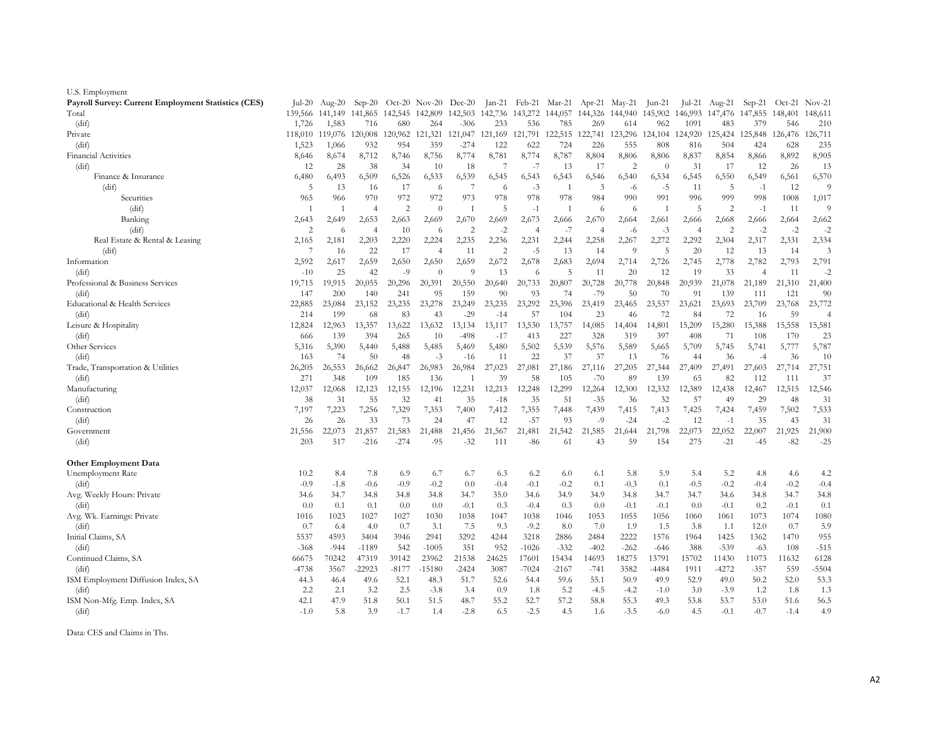| U.S. Employment                                     |                         |            |                         |                         |                        |                         |                 |                         |               |                         |                                 |                 |                         |            |                 |               |                 |
|-----------------------------------------------------|-------------------------|------------|-------------------------|-------------------------|------------------------|-------------------------|-----------------|-------------------------|---------------|-------------------------|---------------------------------|-----------------|-------------------------|------------|-----------------|---------------|-----------------|
| Payroll Survey: Current Employment Statistics (CES) | $ ul-20$                | Aug-20     | $Sep-20$                |                         | Oct-20 $Nov-20$ Dec-20 |                         |                 | Jan-21 Feb-21 Mar-21    |               |                         | Apr-21 May-21                   | $\text{Jun-21}$ | Jul-21                  | Aug-21     | $Sep-21$        |               | $Oct-21$ Nov-21 |
| Total                                               | 139,566                 | 141,149    |                         | 141,865 142,545 142,809 |                        | 142,503                 | 142,736 143,272 |                         |               |                         | 144,057 144,326 144,940 145,902 |                 | 146,993                 | 147,476    | 147,855 148,401 |               | 148,611         |
| (dif)                                               | 1,726                   | 1,583      | 716                     | 680                     | 264                    | $-306$                  | 233             | 536                     | 785           | 269                     | 614                             | 962             | 1091                    | 483        | 379             | 546           | 210             |
| Private                                             | 118,010                 | 119,076    | 120,008                 | 120,962                 | 121,321                | 121,047                 | 121,169         | 121,791                 | 122,515       | 122,741                 | 123,296                         | 124,104         | 124,920                 | 125,424    | 125,848         | 126,476       | 126,711         |
| (dif)                                               | 1,523                   | 1,066      | 932                     | 954                     | 359                    | $-274$                  | 122             | 622                     | 724           | 226                     | 555                             | 808             | 816                     | 504        | 424             | 628           | 235             |
| <b>Financial Activities</b>                         | 8,646                   | 8,674      | 8,712                   | 8,746                   | 8,756                  | 8,774                   | 8,781           | 8,774                   | 8,787         | 8,804                   | 8,806                           | 8,806           | 8,837                   | 8,854      | 8,866           | 8,892         | 8,905           |
| (dif)                                               | 12                      | 28         | 38                      | 34                      | 10                     | 18                      | 7               | $-7$                    | 13            | 17                      | $\overline{2}$                  | $\theta$        | 31                      | 17         | 12              | 26            | 13              |
| Finance & Insurance                                 | 6,480                   | 6,493      | 6,509                   | 6,526                   | 6,533                  | 6,539                   | 6,545           | 6,543                   | 6,543         | 6,546                   | 6,540                           | 6,534           | 6,545                   | 6,550      | 6,549           | 6,561         | 6,570           |
| (dif)                                               | 5                       | 13         | -16                     | 17                      | 6                      | 7                       | 6               | $-3$                    | -1            | 3                       | -6                              | $-5$            | 11                      | -5         | $-1$            | 12            | 9               |
| Securities                                          | 965                     | 966        | 970                     | 972                     | 972                    | 973                     | 978             | 978                     | 978           | 984                     | 990                             | 991             | 996                     | 999        | 998             | 1008          | 1,017           |
| (dif)                                               |                         |            | $\overline{4}$          | $\overline{2}$          | $\theta$               | -1                      | 5               | $-1$                    |               | 6                       | 6                               | -1              | 5                       | 2          | $-1$            | 11            | 9               |
| Banking                                             | 2,643<br>$\overline{2}$ | 2,649      | 2,653<br>$\overline{4}$ | 2,663                   | 2,669                  | 2,670<br>$\overline{2}$ | 2,669           | 2,673<br>$\overline{4}$ | 2,666         | 2,670<br>$\overline{4}$ | 2,664                           | 2,661           | 2,666                   | 2,668<br>2 | 2,666           | 2,664         | 2,662<br>$-2$   |
| (dif)<br>Real Estate & Rental & Leasing             | 2,165                   | 6<br>2,181 | 2,203                   | 10<br>2,220             | 6<br>2,224             | 2,235                   | $-2$<br>2,236   | 2,231                   | $-7$<br>2,244 | 2,258                   | -6<br>2,267                     | $-3$<br>2,272   | $\overline{4}$<br>2,292 | 2,304      | $-2$<br>2,317   | $-2$<br>2,331 | 2,334           |
| (dif)                                               | 7                       | 16         | 22                      | 17                      | $\overline{4}$         | 11                      | $\overline{2}$  | $-5$                    | 13            | 14                      | $\Omega$                        | 5               | 20                      | 12         | 13              | 14            | $\mathfrak{Z}$  |
| Information                                         | 2,592                   | 2,617      | 2,659                   | 2,650                   | 2,650                  | 2,659                   | 2,672           | 2,678                   | 2,683         | 2,694                   | 2,714                           | 2,726           | 2,745                   | 2,778      | 2,782           | 2,793         | 2,791           |
| (dif)                                               | $-10$                   | 25         | 42                      | $-9$                    | $\Omega$               | 9                       | 13              | 6                       | 5             | 11                      | 20                              | 12              | 19                      | 33         | $\overline{4}$  | 11            | $-2$            |
| Professional & Business Services                    | 19,715                  | 19,915     | 20,055                  | 20,296                  | 20,391                 | 20,550                  | 20,640          | 20,733                  | 20,807        | 20,728                  | 20,778                          | 20,848          | 20,939                  | 21,078     | 21,189          | 21,310        | 21,400          |
| (dif)                                               | 147                     | 200        | 140                     | 241                     | 95                     | 159                     | 90              | 93                      | 74            | $-79$                   | 50                              | 70              | 91                      | 139        | 111             | 121           | 90              |
| Educational & Health Services                       | 22,885                  | 23,084     | 23,152                  | 23,235                  | 23,278                 | 23,249                  | 23,235          | 23,292                  | 23,396        | 23,419                  | 23,465                          | 23,537          | 23,621                  | 23,693     | 23,709          | 23,768        | 23,772          |
| (dif)                                               | 214                     | 199        | 68                      | 83                      | 43                     | $-29$                   | $-14$           | 57                      | 104           | 23                      | 46                              | 72              | 84                      | 72         | 16              | 59            | $\overline{4}$  |
| Leisure & Hospitality                               | 12,824                  | 12,963     | 13,357                  | 13,622                  | 13,632                 | 13,134                  | 13,117          | 13,530                  | 13,757        | 14,085                  | 14,404                          | 14,801          | 15,209                  | 15,280     | 15,388          | 15,558        | 15,581          |
| (dif)                                               | 666                     | 139        | 394                     | 265                     | 10                     | $-498$                  | $-17$           | 413                     | 227           | 328                     | 319                             | 397             | 408                     | 71         | 108             | 170           | 23              |
| Other Services                                      | 5,316                   | 5,390      | 5,440                   | 5,488                   | 5,485                  | 5,469                   | 5,480           | 5,502                   | 5,539         | 5,576                   | 5,589                           | 5,665           | 5,709                   | 5,745      | 5,741           | 5,777         | 5,787           |
| (dif)                                               | 163                     | 74         | 50                      | 48                      | $-3$                   | $-16$                   | 11              | 22                      | 37            | 37                      | 13                              | 76              | 44                      | 36         | $-4$            | 36            | 10              |
| Trade, Transportation & Utilities                   | 26,205                  | 26,553     | 26,662                  | 26,847                  | 26,983                 | 26,984                  | 27,023          | 27,081                  | 27,186        | 27,116                  | 27,205                          | 27,344          | 27,409                  | 27,491     | 27,603          | 27,714        | 27,751          |
| (dif)                                               | 271                     | 348        | 109                     | 185                     | 136                    |                         | 39              | 58                      | 105           | $-70$                   | 89                              | 139             | 65                      | 82         | 112             | 111           | 37              |
| Manufacturing                                       | 12,037                  | 12,068     | 12,123                  | 12,155                  | 12,196                 | 12,231                  | 12,213          | 12,248                  | 12,299        | 12,264                  | 12,300                          | 12,332          | 12,389                  | 12,438     | 12,467          | 12,515        | 12,546          |
| (dif)                                               | 38                      | 31         | 55                      | 32                      | 41                     | 35                      | $-18$           | 35                      | 51            | $-35$                   | 36                              | 32              | 57                      | 49         | 29              | 48            | 31              |
| Construction                                        | 7,197                   | 7,223      | 7,256                   | 7,329                   | 7,353                  | 7,400                   | 7,412           | 7,355                   | 7,448         | 7,439                   | 7,415                           | 7,413           | 7,425                   | 7,424      | 7,459           | 7,502         | 7,533           |
| $\int \mathrm{d}\mathbf{i} f$                       | 26                      | 26         | 33                      | 73                      | 24                     | 47                      | 12              | $-57$                   | 93            | $-9$                    | $-24$                           | -2              | 12                      | $-1$       | 35              | 43            | 31              |
| Government                                          | 21,556                  | 22,073     | 21,857                  | 21,583                  | 21,488                 | 21,456                  | 21,567          | 21,481                  | 21,542        | 21,585                  | 21,644                          | 21,798          | 22,073                  | 22,052     | 22,007          | 21,925        | 21,900          |
| (dif)                                               | 203                     | 517        | $-216$                  | $-274$                  | -95                    | $-32$                   | 111             | $-86$                   | 61            | 43                      | 59                              | 154             | 275                     | $-21$      | $-45$           | $-82$         | $-25$           |
| Other Employment Data                               |                         |            |                         |                         |                        |                         |                 |                         |               |                         |                                 |                 |                         |            |                 |               |                 |
| Unemployment Rate                                   | 10.2                    | 8.4        | 7.8                     | 6.9                     | 6.7                    | 6.7                     | 6.3             | 6.2                     | 6.0           | 6.1                     | 5.8                             | 5.9             | 5.4                     | 5.2        | 4.8             | 4.6           | 4.2             |
| (dif)                                               | $-0.9$                  | $-1.8$     | $-0.6$                  | $-0.9$                  | $-0.2$                 | 0.0                     | $-0.4$          | $-0.1$                  | $-0.2$        | 0.1                     | $-0.3$                          | 0.1             | $-0.5$                  | $-0.2$     | $-0.4$          | $-0.2$        | $-0.4$          |
| Avg. Weekly Hours: Private                          | 34.6                    | 34.7       | 34.8                    | 34.8                    | 34.8                   | 34.7                    | 35.0            | 34.6                    | 34.9          | 34.9                    | 34.8                            | 34.7            | 34.7                    | 34.6       | 34.8            | 34.7          | 34.8            |
| (dif)                                               | 0.0                     | 0.1        | 0.1                     | 0.0                     | 0.0                    | $-0.1$                  | 0.3             | $-0.4$                  | 0.3           | 0.0                     | $-0.1$                          | $-0.1$          | 0.0                     | $-0.1$     | 0.2             | $-0.1$        | 0.1             |
| Avg. Wk. Earnings: Private                          | 1016                    | 1023       | 1027                    | 1027                    | 1030                   | 1038                    | 1047            | 1038                    | 1046          | 1053                    | 1055                            | 1056            | 1060                    | 1061       | 1073            | 1074          | 1080            |
| (dif)                                               | 0.7                     | 6.4        | 4.0                     | 0.7                     | 3.1                    | 7.5                     | 9.3             | $-9.2$                  | 8.0           | 7.0                     | 1.9                             | 1.5             | 3.8                     | 1.1        | 12.0            | 0.7           | 5.9             |
| Initial Claims, SA                                  | 5537                    | 4593       | 3404                    | 3946                    | 2941                   | 3292                    | 4244            | 3218                    | 2886          | 2484                    | 2222                            | 1576            | 1964                    | 1425       | 1362            | 1470          | 955             |
| (dif)                                               | $-368$                  | $-944$     | -1189                   | 542                     | $-1005$                | 351                     | 952             | $-1026$                 | $-332$        | $-402$                  | $-262$                          | -646            | 388                     | $-539$     | -63             | 108           | $-515$          |
| Continued Claims, SA                                | 66675                   | 70242      | 47319                   | 39142                   | 23962                  | 21538                   | 24625           | 17601                   | 15434         | 14693                   | 18275                           | 13791           | 15702                   | 11430      | 11073           | 11632         | 6128            |
| (dif)                                               | $-4738$                 | 3567       | -22923                  | $-8177$                 | $-15180$               | $-2424$                 | 3087            | $-7024$                 | $-2167$       | $-741$                  | 3582                            | $-4484$         | 1911                    | -4272      | $-357$          | 559           | -5504           |
| ISM Employment Diffusion Index, SA                  | 44.3                    | 46.4       | 49.6                    | 52.1                    | 48.3                   | 51.7                    | 52.6            | 54.4                    | 59.6          | 55.1                    | 50.9                            | 49.9            | 52.9                    | 49.0       | 50.2            | 52.0          | 53.3            |
| (dif)                                               | 2.2                     | 2.1        | 3.2                     | 2.5                     | $-3.8$                 | 3.4                     | 0.9             | 1.8                     | 5.2           | $-4.5$                  | $-4.2$                          | $-1.0$          | 3.0                     | $-3.9$     | 1.2             | 1.8           | 1.3             |
| ISM Non-Mfg. Emp. Index, SA                         | 42.1                    | 47.9       | 51.8                    | 50.1                    | 51.5                   | 48.7                    | 55.2            | 52.7                    | 57.2          | 58.8                    | 55.3                            | 49.3            | 53.8                    | 53.7       | 53.0            | 51.6          | 56.5            |
| (dif)                                               | $-1.0$                  | 5.8        | 3.9                     | $-1.7$                  | 1.4                    | $-2.8$                  | 6.5             | $-2.5$                  | 4.5           | 1.6                     | $-3.5$                          | $-6.0$          | 4.5                     | $-0.1$     | $-0.7$          | $-1.4$        | 4.9             |

Data: CES and Claims in Ths.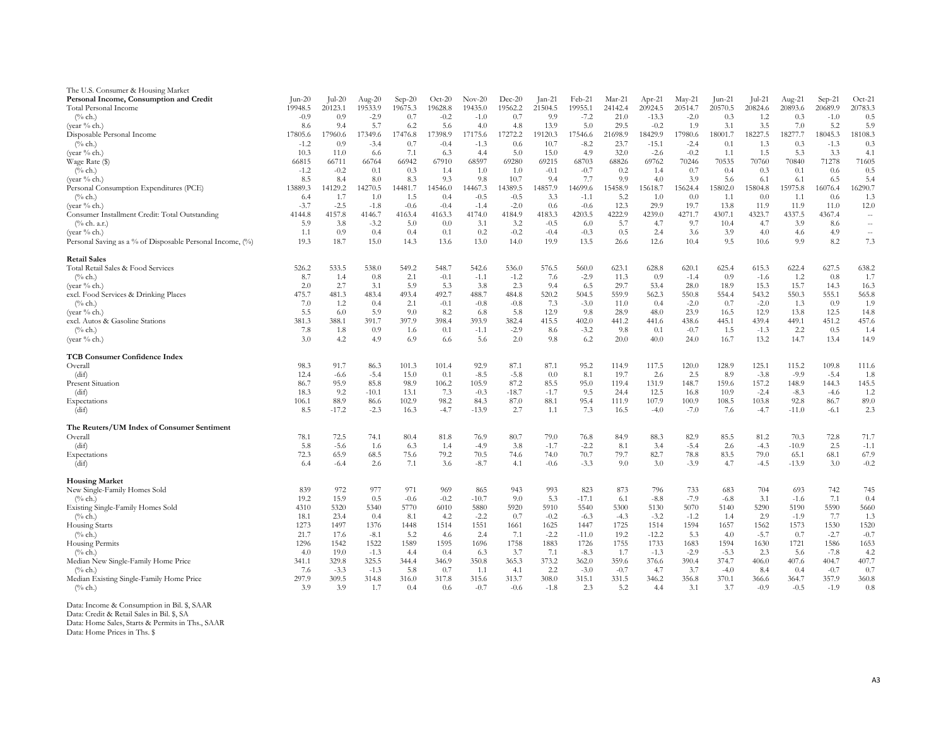| The U.S. Consumer & Housing Market                        |                 |          |           |          |          |          |          |          |         |         |          |                 |         |         |         |          |                      |
|-----------------------------------------------------------|-----------------|----------|-----------|----------|----------|----------|----------|----------|---------|---------|----------|-----------------|---------|---------|---------|----------|----------------------|
| Personal Income, Consumption and Credit                   | $\text{Jun-20}$ | $ ul-20$ | Aug- $20$ | $Sep-20$ | $Oct-20$ | $Nov-20$ | $Dec-20$ | $Jan-21$ | Feb-21  | Mar-21  | $Apr-21$ | $\text{May-}21$ | Jun-21  | Jul-21  | Aug-21  | $Sep-21$ | $Oct-21$             |
| Total Personal Income                                     | 19948.5         | 20123.1  | 19533.9   | 19675.3  | 19628.8  | 19435.0  | 19562.2  | 21504.5  | 19955.1 | 24142.4 | 20924.5  | 20514.7         | 20570.5 | 20824.6 | 20893.6 | 20689.9  | 20783.3              |
| $(\%$ ch.)                                                | $-0.9$          | 0.9      | $-2.9$    | 0.7      | $-0.2$   | $-1.0$   | 0.7      | 9.9      | $-7.2$  | 21.0    | $-13.3$  | $-2.0$          | 0.3     | 1.2     | 0.3     | $-1.0$   | 0.5                  |
| (year % ch.)                                              | 8.6             | 9.4      | 5.7       | 6.2      | 5.6      | 4.0      | 4.8      | 13.9     | 5.0     | 29.5    | $-0.2$   | 1.9             | 3.1     | 3.5     | 7.0     | 5.2      | 5.9                  |
| Disposable Personal Income                                | 17805.6         | 17960.6  | 17349.6   | 17476.8  | 17398.9  | 17175.6  | 17272.2  | 19120.3  | 17546.6 | 21698.9 | 18429.9  | 17980.6         | 18001.7 | 18227.5 | 18277.7 | 18045.3  | 18108.3              |
| $(\%$ ch.)                                                | $-1.2$          | 0.9      | $-3.4$    | 0.7      | $-0.4$   | $-1.3$   | 0.6      | 10.7     | $-8.2$  | 23.7    | $-15.1$  | $-2.4$          | 0.1     | 1.3     | 0.3     | $-1.3$   | 0.3                  |
| (year % ch.)                                              | 10.3            | 11.0     | 6.6       | 7.1      | 6.3      | 4.4      | 5.0      | 15.0     | 4.9     | 32.0    | $-2.6$   | $-0.2$          | 1.1     | 1.5     | 5.3     | 3.3      | 4.1                  |
| Wage Rate (\$)                                            | 66815           | 66711    | 66764     | 66942    | 67910    | 68597    | 69280    | 69215    | 68703   | 68826   | 69762    | 70246           | 70535   | 70760   | 70840   | 71278    | 71605                |
| $(\%$ ch.)                                                | $-1.2$          | $-0.2$   | 0.1       | 0.3      | 1.4      | 1.0      | 1.0      | $-0.1$   | $-0.7$  | 0.2     | 1.4      | 0.7             | 0.4     | 0.3     | 0.1     | 0.6      | 0.5                  |
| (year % ch.)                                              | 8.5             | 8.4      | 8.0       | 8.3      | 9.3      | 9.8      | 10.7     | 9.4      | 7.7     | 9.9     | 4.0      | 3.9             | 5.6     | 6.1     | 6.1     | 6.5      | 5.4                  |
| Personal Consumption Expenditures (PCE)                   | 13889.3         | 14129.2  | 14270.5   | 14481.7  | 14546.0  | 14467.3  | 14389.5  | 14857.9  | 14699.6 | 15458.9 | 15618.7  | 15624.4         | 15802.0 | 15804.8 | 15975.8 | 16076.4  | 16290.7              |
| $(\%$ ch.)                                                | 6.4             | 1.7      | 1.0       | 1.5      | 0.4      | $-0.5$   | $-0.5$   | 3.3      | $-1.1$  | 5.2     | 1.0      | 0.0             | 1.1     | 0.0     | 1.1     | 0.6      | 1.3                  |
| (year % ch.)                                              | $-3.7$          | $-2.5$   | $-1.8$    | $-0.6$   | $-0.4$   | $-1.4$   | $-2.0$   | 0.6      | $-0.6$  | 12.3    | 29.9     | 19.7            | 13.8    | 11.9    | 11.9    | 11.0     | 12.0                 |
| Consumer Installment Credit: Total Outstanding            | 4144.8          | 4157.8   | 4146.7    | 4163.4   | 4163.3   | 4174.0   | 4184.9   | 4183.3   | 4203.5  | 4222.9  | 4239.0   | 4271.7          | 4307.1  | 4323.7  | 4337.5  | 4367.4   | $\sim$               |
| $(\%$ ch. a.r.)                                           | 5.9             | 3.8      | $-3.2$    | 5.0      | 0.0      | 3.1      | 3.2      | $-0.5$   | 6.0     | 5.7     | 4.7      | 9.7             | 10.4    | 4.7     | 3.9     | 8.6      | $\sim$               |
| (year % ch.)                                              | 1.1             | 0.9      | 0.4       | 0.4      | 0.1      | 0.2      | $-0.2$   | $-0.4$   | $-0.3$  | 0.5     | 2.4      | 3.6             | 3.9     | 4.0     | 4.6     | 4.9      | $\ddot{\phantom{a}}$ |
| Personal Saving as a % of Disposable Personal Income, (%) | 19.3            | 18.7     | 15.0      | 14.3     | 13.6     | 13.0     | 14.0     | 19.9     | 13.5    | 26.6    | 12.6     | 10.4            | 9.5     | 10.6    | 9.9     | 8.2      | 7.3                  |
| <b>Retail Sales</b>                                       |                 |          |           |          |          |          |          |          |         |         |          |                 |         |         |         |          |                      |
| Total Retail Sales & Food Services                        | 526.2           | 533.5    | 538.0     | 549.2    | 548.7    | 542.6    | 536.0    | 576.5    | 560.0   | 623.1   | 628.8    | 620.1           | 625.4   | 615.3   | 622.4   | 627.5    | 638.2                |
| $(\%$ ch.)                                                | 8.7             | 1.4      | 0.8       | 2.1      | $-0.1$   | $-1.1$   | $-1.2$   | 7.6      | $-2.9$  | 11.3    | 0.9      | $-1.4$          | 0.9     | $-1.6$  | 1.2     | 0.8      | 1.7                  |
| (year % ch.)                                              | 2.0             | 2.7      | 3.1       | 5.9      | 5.3      | 3.8      | 2.3      | 9.4      | 6.5     | 29.7    | 53.4     | 28.0            | 18.9    | 15.3    | 15.7    | 14.3     | 16.3                 |
| excl. Food Services & Drinking Places                     | 475.7           | 481.3    | 483.4     | 493.4    | 492.7    | 488.7    | 484.8    | 520.2    | 504.5   | 559.9   | 562.3    | 550.8           | 554.4   | 543.2   | 550.3   | 555.1    | 565.8                |
| $(\%$ ch.)                                                | 7.0             | 1.2      | 0.4       | 2.1      | $-0.1$   | $-0.8$   | $-0.8$   | 7.3      | $-3.0$  | 11.0    | 0.4      | $-2.0$          | 0.7     | $-2.0$  | 1.3     | 0.9      | 1.9                  |
| (year % ch.)                                              | 5.5             | 6.0      | 5.9       | 9.0      | 8.2      | 6.8      | 5.8      | 12.9     | 9.8     | 28.9    | 48.0     | 23.9            | 16.5    | 12.9    | 13.8    | 12.5     | 14.8                 |
| excl. Autos & Gasoline Stations                           | 381.3           | 388.1    | 391.7     | 397.9    | 398.4    | 393.9    | 382.4    | 415.5    | 402.0   | 441.2   | 441.6    | 438.6           | 445.1   | 439.4   | 449.1   | 451.2    | 457.6                |
| $(\%$ ch.)                                                | 7.8             | 1.8      | 0.9       | 1.6      | 0.1      | $-1.1$   | $-2.9$   | 8.6      | $-3.2$  | 9.8     | 0.1      | $-0.7$          | 1.5     | $-1.3$  | 2.2     | 0.5      | 1.4                  |
| (year % ch.)                                              | 3.0             | 4.2      | 4.9       | 6.9      | 6.6      | 5.6      | 2.0      | 9.8      | 6.2     | 20.0    | 40.0     | 24.0            | 16.7    | 13.2    | 14.7    | 13.4     | 14.9                 |
| <b>TCB Consumer Confidence Index</b>                      |                 |          |           |          |          |          |          |          |         |         |          |                 |         |         |         |          |                      |
| Overall                                                   | 98.3            | 91.7     | 86.3      | 101.3    | 101.4    | 92.9     | 87.1     | 87.1     | 95.2    | 114.9   | 117.5    | 120.0           | 128.9   | 125.1   | 115.2   | 109.8    | 111.6                |
| (dif)                                                     | 12.4            | $-6.6$   | $-5.4$    | 15.0     | 0.1      | $-8.5$   | $-5.8$   | 0.0      | 8.1     | 19.7    | 2.6      | 2.5             | 8.9     | $-3.8$  | $-9.9$  | $-5.4$   | -1.8                 |
| <b>Present Situation</b>                                  | 86.7            | 95.9     | 85.8      | 98.9     | 106.2    | 105.9    | 87.2     | 85.5     | 95.0    | 119.4   | 131.9    | 148.7           | 159.6   | 157.2   | 148.9   | 144.3    | 145.5                |
| (dif)                                                     | 18.3            | 9.2      | $-10.1$   | 13.1     | 7.3      | $-0.3$   | $-18.7$  | $-1.7$   | 9.5     | 24.4    | 12.5     | 16.8            | 10.9    | $-2.4$  | $-8.3$  | $-4.6$   | -1.2                 |
| Expectations                                              | 106.1           | 88.9     | 86.6      | 102.9    | 98.2     | 84.3     | 87.0     | 88.1     | 95.4    | 111.9   | 107.9    | 100.9           | 108.5   | 103.8   | 92.8    | 86.7     | 89.0                 |
| (dif)                                                     | 8.5             | $-17.2$  | $-2.3$    | 16.3     | $-4.7$   | $-13.9$  | 2.7      | -1.1     | 7.3     | 16.5    | $-4.0$   | $-7.0$          | 7.6     | $-4.7$  | $-11.0$ | $-6.1$   | 2.3                  |
| The Reuters/UM Index of Consumer Sentiment                |                 |          |           |          |          |          |          |          |         |         |          |                 |         |         |         |          |                      |
| Overall                                                   | 78.1            | 72.5     | 74.1      | 80.4     | 81.8     | 76.9     | 80.7     | 79.0     | 76.8    | 84.9    | 88.3     | 82.9            | 85.5    | 81.2    | 70.3    | 72.8     | 71.7                 |
| (dif)                                                     | 5.8             | $-5.6$   | 1.6       | 6.3      | 1.4      | $-4.9$   | 3.8      | $-1.7$   | $-2.2$  | 8.1     | 3.4      | $-5.4$          | 2.6     | $-4.3$  | $-10.9$ | 2.5      | $-1.1$               |
| Expectations                                              | 72.3            | 65.9     | 68.5      | 75.6     | 79.2     | 70.5     | 74.6     | 74.0     | 70.7    | 79.7    | 82.7     | 78.8            | 83.5    | 79.0    | 65.1    | 68.1     | 67.9                 |
| (dif)                                                     | 6.4             | $-6.4$   | 2.6       | 7.1      | 3.6      | $-8.7$   | 4.1      | $-0.6$   | $-3.3$  | 9.0     | 3.0      | $-3.9$          | 4.7     | $-4.5$  | $-13.9$ | 3.0      | $-0.2$               |
| <b>Housing Market</b>                                     |                 |          |           |          |          |          |          |          |         |         |          |                 |         |         |         |          |                      |
| New Single-Family Homes Sold                              | 839             | 972      | 977       | 971      | 969      | 865      | 943      | 993      | 823     | 873     | 796      | 733             | 683     | 704     | 693     | 742      | 745                  |
| $(\%$ ch.)                                                | 19.2            | 15.9     | 0.5       | $-0.6$   | $-0.2$   | $-10.7$  | 9.0      | 5.3      | $-17.1$ | 6.1     | $-8.8$   | $-7.9$          | $-6.8$  | 3.1     | $-1.6$  | 7.1      | 0.4                  |
| Existing Single-Family Homes Sold                         | 4310            | 5320     | 5340      | 5770     | 6010     | 5880     | 5920     | 5910     | 5540    | 5300    | 5130     | 5070            | 5140    | 5290    | 5190    | 5590     | 5660                 |
| $(\%$ ch.)                                                | 18.1            | 23.4     | 0.4       | 8.1      | 4.2      | $-2.2$   | 0.7      | $-0.2$   | $-6.3$  | $-4.3$  | $-3.2$   | $-1.2$          | 1.4     | 2.9     | $-1.9$  | 7.7      | 1.3                  |
| Housing Starts                                            | 1273            | 1497     | 1376      | 1448     | 1514     | 1551     | 1661     | 1625     | 1447    | 1725    | 1514     | 1594            | 1657    | 1562    | 1573    | 1530     | 1520                 |
| $(\%$ ch.)                                                | 21.7            | 17.6     | $-8.1$    | 5.2      | 4.6      | 2.4      | 7.1      | $-2.2$   | $-11.0$ | 19.2    | $-12.2$  | 5.3             | 4.0     | $-5.7$  | 0.7     | $-2.7$   | $-0.7$               |
| Housing Permits                                           | 1296            | 1542     | 1522      | 1589     | 1595     | 1696     | 1758     | 1883     | 1726    | 1755    | 1733     | 1683            | 1594    | 1630    | 1721    | 1586     | 1653                 |
| $(\%$ ch.)                                                | 4.0             | 19.0     | $-1.3$    | 4.4      | 0.4      | 6.3      | 3.7      | 7.1      | $-8.3$  | 1.7     | $-1.3$   | $-2.9$          | $-5.3$  | 2.3     | 5.6     | $-7.8$   | 4.2                  |
| Median New Single-Family Home Price                       | 341.1           | 329.8    | 325.5     | 344.4    | 346.9    | 350.8    | 365.3    | 373.2    | 362.0   | 359.6   | 376.6    | 390.4           | 374.7   | 406.0   | 407.6   | 404.7    | 407.7                |
| $(\%$ ch.)                                                | 7.6             | $-3.3$   | $-1.3$    | 5.8      | 0.7      | 1.1      | 4.1      | 2.2      | $-3.0$  | $-0.7$  | 4.7      | 3.7             | $-4.0$  | 8.4     | 0.4     | $-0.7$   | 0.7                  |
| Median Existing Single-Family Home Price                  | 297.9           | 309.5    | 314.8     | 316.0    | 317.8    | 315.6    | 313.7    | 308.0    | 315.1   | 331.5   | 346.2    | 356.8           | 370.1   | 366.6   | 364.7   | 357.9    | 360.8                |
| $(\%$ ch.)                                                | 3.9             | 3.9      | 1.7       | 0.4      | 0.6      | $-0.7$   | $-0.6$   | $-1.8$   | 2.3     | 5.2     | 4.4      | 3.1             | 3.7     | $-0.9$  | $-0.5$  | $-1.9$   | 0.8                  |
| Data: Income & Consumption in Bil. \$, SAAR               |                 |          |           |          |          |          |          |          |         |         |          |                 |         |         |         |          |                      |

Data: Income & Consumption in Bil. \$, SAAR Data: Credit & Retail Sales in Bil. \$, SA Data: Home Sales, Starts & Permits in Ths., SAAR

Data: Home Prices in Ths. \$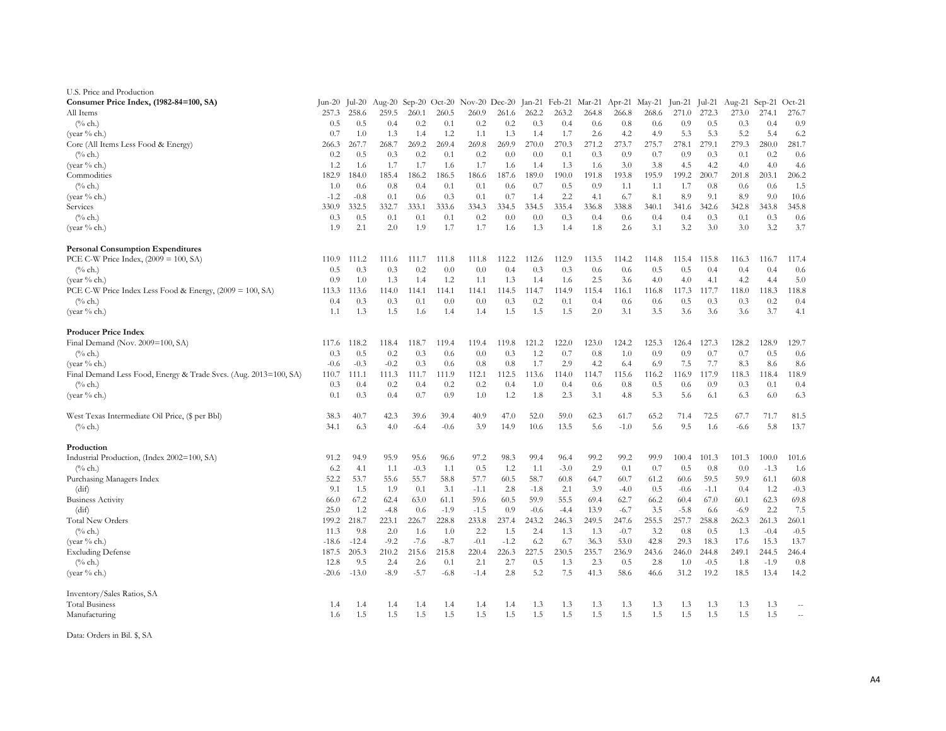| U.S. Price and Production                                        |         |         |        |        |        |                                                         |        |        |        |       |        |               |        |        |        |          |                          |
|------------------------------------------------------------------|---------|---------|--------|--------|--------|---------------------------------------------------------|--------|--------|--------|-------|--------|---------------|--------|--------|--------|----------|--------------------------|
| Consumer Price Index, (1982-84=100, SA)                          | Jun-20  | Jul-20  |        |        |        | Aug-20 Sep-20 Oct-20 Nov-20 Dec-20 Jan-21 Feb-21 Mar-21 |        |        |        |       |        | Apr-21 May-21 | Jun-21 | Jul-21 | Aug-21 | $Sep-21$ | $Oct-21$                 |
| All Items                                                        | 257.3   | 258.6   | 259.5  | 260.1  | 260.5  | 260.9                                                   | 261.6  | 262.2  | 263.2  | 264.8 | 266.8  | 268.6         | 271.0  | 272.3  | 273.0  | 274.1    | 276.7                    |
| $(\%$ ch.)                                                       | 0.5     | 0.5     | 0.4    | 0.2    | 0.1    | 0.2                                                     | 0.2    | 0.3    | 0.4    | 0.6   | 0.8    | 0.6           | 0.9    | 0.5    | 0.3    | 0.4      | 0.9                      |
| (year % ch.)                                                     | 0.7     | 1.0     | 1.3    | 1.4    | 1.2    | 1.1                                                     | 1.3    | 1.4    | 1.7    | 2.6   | 4.2    | 4.9           | 5.3    | 5.3    | 5.2    | 5.4      | 6.2                      |
| Core (All Items Less Food & Energy)                              | 266.3   | 267.7   | 268.7  | 269.2  | 269.4  | 269.8                                                   | 269.9  | 270.0  | 270.3  | 271.2 | 273.7  | 275.7         | 278.1  | 279.1  | 279.3  | 280.0    | 281.7                    |
| $(\%$ ch.)                                                       | 0.2     | 0.5     | 0.3    | 0.2    | 0.1    | 0.2                                                     | 0.0    | 0.0    | 0.1    | 0.3   | 0.9    | 0.7           | 0.9    | 0.3    | 0.1    | 0.2      | 0.6                      |
| (year % ch.)                                                     | 1.2     | 1.6     | 1.7    | 1.7    | 1.6    | 1.7                                                     | 1.6    | 1.4    | 1.3    | 1.6   | 3.0    | 3.8           | 4.5    | 4.2    | 4.0    | 4.0      | 4.6                      |
| Commodities                                                      | 182.9   | 184.0   | 185.4  | 186.2  | 186.5  | 186.6                                                   | 187.6  | 189.0  | 190.0  | 191.8 | 193.8  | 195.9         | 199.2  | 200.7  | 201.8  | 203.1    | 206.2                    |
| $(\%$ ch.)                                                       | 1.0     | 0.6     | 0.8    | 0.4    | 0.1    | 0.1                                                     | 0.6    | 0.7    | 0.5    | 0.9   | 1.1    | 1.1           | 1.7    | 0.8    | 0.6    | 0.6      | 1.5                      |
| (year $%$ ch.)                                                   | $-1.2$  | $-0.8$  | 0.1    | 0.6    | 0.3    | 0.1                                                     | 0.7    | 1.4    | 2.2    | 4.1   | 6.7    | 8.1           | 8.9    | 9.1    | 8.9    | 9.0      | 10.6                     |
| Services                                                         | 330.9   | 332.5   | 332.7  | 333.1  | 333.6  | 334.3                                                   | 334.5  | 334.5  | 335.4  | 336.8 | 338.8  | 340.1         | 341.6  | 342.6  | 342.8  | 343.8    | 345.8                    |
|                                                                  |         |         |        |        |        |                                                         |        |        |        |       |        |               |        |        |        |          |                          |
| $(\%$ ch.)                                                       | 0.3     | 0.5     | 0.1    | 0.1    | 0.1    | 0.2                                                     | 0.0    | 0.0    | 0.3    | 0.4   | 0.6    | 0.4           | 0.4    | 0.3    | 0.1    | 0.3      | 0.6                      |
| (year % ch.)                                                     | 1.9     | 2.1     | 2.0    | 1.9    | 1.7    | 1.7                                                     | 1.6    | 1.3    | 1.4    | 1.8   | 2.6    | 3.1           | 3.2    | 3.0    | 3.0    | 3.2      | 3.7                      |
| <b>Personal Consumption Expenditures</b>                         |         |         |        |        |        |                                                         |        |        |        |       |        |               |        |        |        |          |                          |
| PCE C-W Price Index, $(2009 = 100, SA)$                          | 110.9   | 111.2   | 111.6  | 111.7  | 111.8  | 111.8                                                   | 112.2  | 112.6  | 112.9  | 113.5 | 114.2  | 114.8         | 115.4  | 115.8  | 116.3  | 116.7    | 117.4                    |
| $(\%$ ch.)                                                       | 0.5     | 0.3     | 0.3    | 0.2    | 0.0    | 0.0                                                     | 0.4    | 0.3    | 0.3    | 0.6   | 0.6    | 0.5           | 0.5    | 0.4    | 0.4    | 0.4      | 0.6                      |
| (year $%$ ch.)                                                   | 0.9     | 1.0     | 1.3    | 1.4    | 1.2    | 1.1                                                     | 1.3    | 1.4    | 1.6    | 2.5   | 3.6    | 4.0           | 4.0    | 4.1    | 4.2    | 4.4      | 5.0                      |
| PCE C-W Price Index Less Food & Energy, (2009 = 100, SA)         | 113.3   | 113.6   | 114.0  | 114.1  | 114.1  | 114.1                                                   | 114.5  | 114.7  | 114.9  | 115.4 | 116.1  | 116.8         | 117.3  | 117.7  | 118.0  | 118.3    | 118.8                    |
| $(\%$ ch.)                                                       | 0.4     | 0.3     | 0.3    | 0.1    | 0.0    | 0.0                                                     | 0.3    | 0.2    | 0.1    | 0.4   | 0.6    | 0.6           | 0.5    | 0.3    | 0.3    | 0.2      | 0.4                      |
| (year $%$ ch.)                                                   | 1.1     | 1.3     | 1.5    | 1.6    | 1.4    | 1.4                                                     | 1.5    | 1.5    | 1.5    | 2.0   | 3.1    | 3.5           | 3.6    | 3.6    | 3.6    | 3.7      | 4.1                      |
| <b>Producer Price Index</b>                                      |         |         |        |        |        |                                                         |        |        |        |       |        |               |        |        |        |          |                          |
| Final Demand (Nov. 2009=100, SA)                                 | 117.6   | 118.2   | 118.4  | 118.7  | 119.4  | 119.4                                                   | 119.8  | 121.2  | 122.0  | 123.0 | 124.2  | 125.3         | 126.4  | 127.3  | 128.2  | 128.9    | 129.7                    |
| $(\%$ ch.)                                                       | 0.3     | 0.5     | 0.2    | 0.3    | 0.6    | 0.0                                                     | 0.3    | 1.2    | 0.7    | 0.8   | 1.0    | 0.9           | 0.9    | 0.7    | 0.7    | 0.5      | 0.6                      |
| (year % ch.)                                                     | $-0.6$  | $-0.3$  | $-0.2$ | 0.3    | 0.6    | 0.8                                                     | 0.8    | 1.7    | 2.9    | 4.2   | 6.4    | 6.9           | 7.5    | 7.7    | 8.3    | 8.6      | 8.6                      |
| Final Demand Less Food, Energy & Trade Svcs. (Aug. 2013=100, SA) | 110.7   | 111.1   | 111.3  | 111.7  | 111.9  | 112.1                                                   | 112.5  | 113.6  | 114.0  | 114.7 | 115.6  | 116.2         | 116.9  | 117.9  | 118.3  | 118.4    | 118.9                    |
| $(\%$ ch.)                                                       | 0.3     | 0.4     | 0.2    | 0.4    | 0.2    | 0.2                                                     | 0.4    | 1.0    | 0.4    | 0.6   | 0.8    | 0.5           | 0.6    | 0.9    | 0.3    | 0.1      | 0.4                      |
| (year % ch.)                                                     | 0.1     | 0.3     | 0.4    | 0.7    | 0.9    | 1.0                                                     | 1.2    | 1.8    | 2.3    | 3.1   | 4.8    | 5.3           | 5.6    | 6.1    | 6.3    | 6.0      | 6.3                      |
| West Texas Intermediate Oil Price, (\$ per Bbl)                  | 38.3    | 40.7    | 42.3   | 39.6   | 39.4   | 40.9                                                    | 47.0   | 52.0   | 59.0   | 62.3  | 61.7   | 65.2          | 71.4   | 72.5   | 67.7   | 71.7     | 81.5                     |
| $(\%$ ch.)                                                       | 34.1    | 6.3     | 4.0    | $-6.4$ | $-0.6$ | 3.9                                                     | 14.9   | 10.6   | 13.5   | 5.6   | $-1.0$ | 5.6           | 9.5    | 1.6    | $-6.6$ | 5.8      | 13.7                     |
| Production                                                       |         |         |        |        |        |                                                         |        |        |        |       |        |               |        |        |        |          |                          |
| Industrial Production, (Index 2002=100, SA)                      | 91.2    | 94.9    | 95.9   | 95.6   | 96.6   | 97.2                                                    | 98.3   | 99.4   | 96.4   | 99.2  | 99.2   | 99.9          | 100.4  | 101.3  | 101.3  | 100.0    | 101.6                    |
| $(\%$ ch.)                                                       | 6.2     | 4.1     | 1.1    | $-0.3$ | 1.1    | 0.5                                                     | 1.2    | 1.1    | $-3.0$ | 2.9   | 0.1    | 0.7           | 0.5    | 0.8    | 0.0    | $-1.3$   | 1.6                      |
| Purchasing Managers Index                                        | 52.2    | 53.7    | 55.6   | 55.7   | 58.8   | 57.7                                                    | 60.5   | 58.7   | 60.8   | 64.7  | 60.7   | 61.2          | 60.6   | 59.5   | 59.9   | 61.1     | 60.8                     |
| (dif)                                                            | 9.1     | 1.5     | 1.9    | 0.1    | 3.1    | $-1.1$                                                  | 2.8    | $-1.8$ | 2.1    | 3.9   | $-4.0$ | 0.5           | $-0.6$ | $-1.1$ | 0.4    | 1.2      | $-0.3$                   |
| <b>Business Activity</b>                                         | 66.0    | 67.2    | 62.4   | 63.0   | 61.1   | 59.6                                                    | 60.5   | 59.9   | 55.5   | 69.4  | 62.7   | 66.2          | 60.4   | 67.0   | 60.1   | 62.3     | 69.8                     |
| (dif)                                                            | 25.0    | 1.2     | $-4.8$ | 0.6    | $-1.9$ | $-1.5$                                                  | 0.9    | $-0.6$ | $-4.4$ | 13.9  | $-6.7$ | 3.5           | $-5.8$ | 6.6    | $-6.9$ | 2.2      | 7.5                      |
| <b>Total New Orders</b>                                          | 199.2   | 218.7   | 223.1  | 226.7  | 228.8  | 233.8                                                   | 237.4  | 243.2  | 246.3  | 249.5 | 247.6  | 255.5         | 257.7  | 258.8  | 262.3  | 261.3    | 260.1                    |
| $(\%$ ch.)                                                       | 11.3    | 9.8     | 2.0    | 1.6    | 1.0    | 2.2                                                     | 1.5    | 2.4    | 1.3    | 1.3   | $-0.7$ | 3.2           | 0.8    | 0.5    | 1.3    | $-0.4$   | $-0.5$                   |
| (year % ch.)                                                     | $-18.6$ | $-12.4$ | $-9.2$ | $-7.6$ | $-8.7$ | $-0.1$                                                  | $-1.2$ | 6.2    | 6.7    | 36.3  | 53.0   | 42.8          | 29.3   | 18.3   | 17.6   | 15.3     | 13.7                     |
| <b>Excluding Defense</b>                                         | 187.5   | 205.3   | 210.2  | 215.6  | 215.8  | 220.4                                                   | 226.3  | 227.5  | 230.5  | 235.7 | 236.9  | 243.6         | 246.0  | 244.8  | 249.1  | 244.5    | 246.4                    |
| $(\%$ ch.)                                                       | 12.8    | 9.5     | 2.4    | 2.6    | 0.1    | 2.1                                                     | 2.7    | 0.5    | 1.3    | 2.3   | 0.5    | 2.8           | 1.0    | $-0.5$ | 1.8    | $-1.9$   | 0.8                      |
| (year $%$ ch.)                                                   | -20.6   | $-13.0$ | $-8.9$ | $-5.7$ | $-6.8$ | $-1.4$                                                  | 2.8    | 5.2    | 7.5    | 41.3  | 58.6   | 46.6          | 31.2   | 19.2   | 18.5   | 13.4     | 14.2                     |
|                                                                  |         |         |        |        |        |                                                         |        |        |        |       |        |               |        |        |        |          |                          |
| Inventory/Sales Ratios, SA                                       |         |         |        |        |        |                                                         |        |        |        |       |        |               |        |        |        |          |                          |
| <b>Total Business</b>                                            | 1.4     | 1.4     | 1.4    | 1.4    | 1.4    | 1.4                                                     | 1.4    | 1.3    | 1.3    | 1.3   | 1.3    | 1.3           | 1.3    | 1.3    | 1.3    | 1.3      | $\overline{\phantom{a}}$ |
| Manufacturing                                                    | 1.6     | 1.5     | 1.5    | 1.5    | 1.5    | 1.5                                                     | 1.5    | 1.5    | 1.5    | 1.5   | 1.5    | 1.5           | 1.5    | 1.5    | 1.5    | 1.5      | $\sim$                   |

Data: Orders in Bil. \$, SA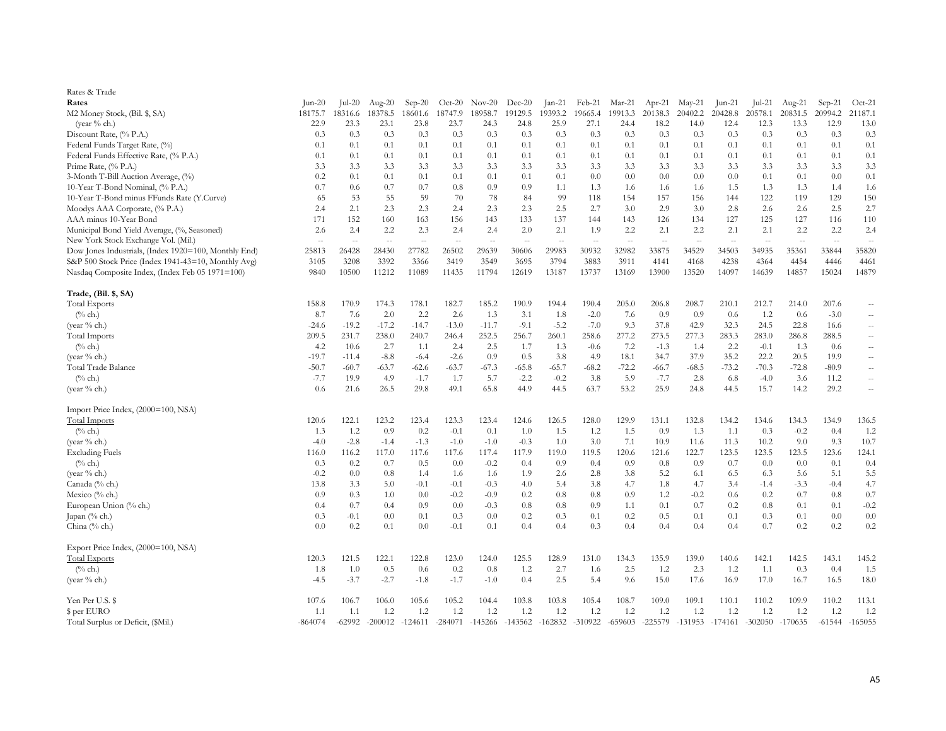| Rates & Trade                                                                      |                 |               |                                 |                                 |                                 |                                 |                                 |               |                   |                                 |                                 |                                 |                 |                                 |               |                  |                                 |
|------------------------------------------------------------------------------------|-----------------|---------------|---------------------------------|---------------------------------|---------------------------------|---------------------------------|---------------------------------|---------------|-------------------|---------------------------------|---------------------------------|---------------------------------|-----------------|---------------------------------|---------------|------------------|---------------------------------|
| Rates                                                                              | $\text{Jun-20}$ | Jul-20        | Aug- $20$                       | $Sep-20$                        | $Oct-20$                        | $Nov-20$                        | $Dec-20$                        | Jan-21        | Feb-21            | Mar-21                          | $Apr-21$                        | $May-21$                        | Jun-21          | $ ul-21$                        | Aug-21        | $Sep-21$         | $Oct-21$                        |
| M2 Money Stock, (Bil. \$, SA)                                                      | 18175.7         | 18316.6       | 18378.5                         | 18601.6                         | 18747.9                         | 18958.7                         | 19129.5                         | 19393.2       | 19665.4           | 19913.3                         | 20138.3                         | 20402.2                         | 20428.8         | 20578.1                         | 20831.5       | 20994.2          | 21187.1                         |
| (year % ch.)                                                                       | 22.9            | 23.3          | 23.1                            | 23.8                            | 23.7                            | 24.3                            | 24.8                            | 25.9          | 27.1              | 24.4                            | 18.2                            | 14.0                            | 12.4            | 12.3                            | 13.3          | 12.9             | 13.0                            |
| Discount Rate, (% P.A.)                                                            | 0.3             | 0.3           | 0.3                             | 0.3                             | 0.3                             | 0.3                             | 0.3                             | 0.3           | 0.3               | 0.3                             | 0.3                             | 0.3                             | 0.3             | 0.3                             | 0.3           | 0.3              | 0.3                             |
| Federal Funds Target Rate, (%)                                                     | 0.1             | 0.1           | 0.1                             | 0.1                             | 0.1                             | 0.1                             | 0.1                             | 0.1           | 0.1               | 0.1                             | 0.1                             | 0.1                             | 0.1             | 0.1                             | 0.1           | 0.1              | 0.1                             |
| Federal Funds Effective Rate, (% P.A.)                                             | 0.1             | 0.1           | 0.1                             | 0.1                             | 0.1                             | 0.1                             | 0.1                             | 0.1           | 0.1               | 0.1                             | 0.1                             | 0.1                             | 0.1             | 0.1                             | 0.1           | 0.1              | 0.1                             |
| Prime Rate, (% P.A.)                                                               | 3.3             | 3.3           | 3.3                             | 3.3                             | 3.3                             | 3.3                             | 3.3                             | 3.3           | 3.3               | 3.3                             | 3.3                             | 3.3                             | 3.3             | 3.3                             | 3.3           | 3.3              | 3.3                             |
| 3-Month T-Bill Auction Average, (%)                                                | 0.2             | 0.1           | 0.1                             | 0.1                             | 0.1                             | 0.1                             | 0.1                             | 0.1           | 0.0               | 0.0                             | 0.0                             | 0.0                             | 0.0             | 0.1                             | 0.1           | 0.0              | 0.1                             |
| 10-Year T-Bond Nominal, (% P.A.)                                                   | 0.7             | 0.6           | 0.7                             | 0.7                             | 0.8                             | 0.9                             | 0.9                             | 1.1           | 1.3               | 1.6                             | 1.6                             | 1.6                             | 1.5             | 1.3                             | 1.3           | 1.4              | 1.6                             |
| 10-Year T-Bond minus FFunds Rate (Y.Curve)                                         | 65              | 53            | 55                              | 59                              | 70                              | 78                              | 84                              | 99            | 118               | 154                             | 157                             | 156                             | 144             | 122                             | 119           | 129              | 150                             |
| Moodys AAA Corporate, (% P.A.)                                                     | 2.4             | 2.1           | 2.3                             | 2.3                             | 2.4                             | 2.3                             | 2.3                             | 2.5           | 2.7               | 3.0                             | 2.9                             | 3.0                             | 2.8             | 2.6                             | 2.6           | 2.5              | 2.7                             |
| AAA minus 10-Year Bond                                                             | 171             | 152           | 160                             | 163                             | 156                             | 143                             | 133                             | 137           | 144               | 143                             | 126                             | 134                             | 127             | 125                             | 127           | 116              | 110                             |
| Municipal Bond Yield Average, (%, Seasoned)<br>New York Stock Exchange Vol. (Mil.) | 2.6<br>$\sim$   | 2.4<br>$\sim$ | 2.2<br>$\overline{\phantom{a}}$ | 2.3<br>$\overline{\phantom{a}}$ | 2.4<br>$\overline{\phantom{a}}$ | 2.4<br>$\overline{\phantom{a}}$ | 2.0<br>$\overline{\phantom{a}}$ | 2.1<br>$\sim$ | 1.9<br>$\sim$     | 2.2<br>$\overline{\phantom{a}}$ | 2.1<br>$\overline{\phantom{a}}$ | 2.2<br>$\overline{\phantom{a}}$ | 2.1<br>$\sim$   | 2.1<br>$\overline{\phantom{a}}$ | 2.2<br>$\sim$ | 2.2<br>$\ddotsc$ | 2.4<br>$\overline{\phantom{a}}$ |
| Dow Jones Industrials, (Index 1920=100, Monthly End)                               | 25813           | 26428         | 28430                           | 27782                           | 26502                           | 29639                           | 30606                           | 29983         | 30932             | 32982                           | 33875                           | 34529                           | 34503           | 34935                           | 35361         | 33844            | 35820                           |
| S&P 500 Stock Price (Index 1941-43=10, Monthly Avg)                                | 3105            | 3208          | 3392                            | 3366                            | 3419                            | 3549                            | 3695                            | 3794          | 3883              | 3911                            | 4141                            | 4168                            | 4238            | 4364                            | 4454          | 4446             | 4461                            |
| Nasdaq Composite Index, (Index Feb 05 1971=100)                                    | 9840            | 10500         | 11212                           | 11089                           | 11435                           | 11794                           | 12619                           | 13187         | 13737             | 13169                           | 13900                           | 13520                           | 14097           | 14639                           | 14857         | 15024            | 14879                           |
| Trade, (Bil. \$, SA)                                                               |                 |               |                                 |                                 |                                 |                                 |                                 |               |                   |                                 |                                 |                                 |                 |                                 |               |                  |                                 |
| <b>Total Exports</b>                                                               | 158.8           | 170.9         | 174.3                           | 178.1                           | 182.7                           | 185.2                           | 190.9                           | 194.4         | 190.4             | 205.0                           | 206.8                           | 208.7                           | 210.1           | 212.7                           | 214.0         | 207.6            | $\sim$                          |
| $(\%$ ch.)                                                                         | 8.7             | 7.6           | 2.0                             | 2.2                             | 2.6                             | 1.3                             | 3.1                             | 1.8           | $-2.0$            | 7.6                             | 0.9                             | 0.9                             | 0.6             | 1.2                             | 0.6           | $-3.0$           | $\overline{\phantom{a}}$        |
| (year % ch.)                                                                       | $-24.6$         | $-19.2$       | $-17.2$                         | $-14.7$                         | $-13.0$                         | $-11.7$                         | $-9.1$                          | $-5.2$        | $-7.0$            | 9.3                             | 37.8                            | 42.9                            | 32.3            | 24.5                            | 22.8          | 16.6             | $\overline{a}$                  |
| <b>Total Imports</b>                                                               | 209.5           | 231.7         | 238.0                           | 240.7                           | 246.4                           | 252.5                           | 256.7                           | 260.1         | 258.6             | 277.2                           | 273.5                           | 277.3                           | 283.3           | 283.0                           | 286.8         | 288.5            | $\overline{\phantom{a}}$        |
| $(\%$ ch.)                                                                         | 4.2             | 10.6          | 2.7                             | 1.1                             | 2.4                             | 2.5                             | 1.7                             | 1.3           | $-0.6$            | 7.2                             | $-1.3$                          | 1.4                             | 2.2             | $-0.1$                          | 1.3           | 0.6              | $\overline{\phantom{a}}$        |
| (year % ch.)                                                                       | $-19.7$         | $-11.4$       | $-8.8$                          | $-6.4$                          | $-2.6$                          | 0.9                             | 0.5                             | 3.8           | 4.9               | 18.1                            | 34.7                            | 37.9                            | 35.2            | 22.2                            | 20.5          | 19.9             | $\overline{\phantom{a}}$        |
| Total Trade Balance                                                                | $-50.7$         | $-60.7$       | $-63.7$                         | $-62.6$                         | $-63.7$                         | $-67.3$                         | $-65.8$                         | $-65.7$       | $-68.2$           | $-72.2$                         | $-66.7$                         | $-68.5$                         | $-73.2$         | $-70.3$                         | $-72.8$       | $-80.9$          | $\sim$ $\sim$                   |
| $(\%$ ch.)                                                                         | $-7.7$          | 19.9          | 4.9                             | $-1.7$                          | 1.7                             | 5.7                             | $-2.2$                          | $-0.2$        | 3.8               | 5.9                             | $-7.7$                          | 2.8                             | 6.8             | $-4.0$                          | 3.6           | 11.2             | $\overline{\phantom{a}}$        |
| (year $%$ ch.)                                                                     | 0.6             | 21.6          | 26.5                            | 29.8                            | 49.1                            | 65.8                            | 44.9                            | 44.5          | 63.7              | 53.2                            | 25.9                            | 24.8                            | 44.5            | 15.7                            | 14.2          | 29.2             | $\overline{\phantom{a}}$        |
| Import Price Index, (2000=100, NSA)                                                |                 |               |                                 |                                 |                                 |                                 |                                 |               |                   |                                 |                                 |                                 |                 |                                 |               |                  |                                 |
| <b>Total Imports</b>                                                               | 120.6           | 122.1         | 123.2                           | 123.4                           | 123.3                           | 123.4                           | 124.6                           | 126.5         | 128.0             | 129.9                           | 131.1                           | 132.8                           | 134.2           | 134.6                           | 134.3         | 134.9            | 136.5                           |
| $(\%$ ch.)                                                                         | 1.3             | 1.2           | 0.9                             | $0.2\,$                         | $-0.1$                          | 0.1                             | 1.0                             | 1.5           | 1.2               | 1.5                             | 0.9                             | 1.3                             | 1.1             | 0.3                             | $-0.2$        | 0.4              | 1.2                             |
| (year % ch.)                                                                       | $-4.0$          | $-2.8$        | $-1.4$                          | $-1.3$                          | $-1.0$                          | $-1.0$                          | $-0.3$                          | 1.0           | 3.0               | 7.1                             | 10.9                            | 11.6                            | 11.3            | 10.2                            | 9.0           | 9.3              | 10.7                            |
| <b>Excluding Fuels</b>                                                             | 116.0           | 116.2         | 117.0                           | 117.6                           | 117.6                           | 117.4                           | 117.9                           | 119.0         | 119.5             | 120.6                           | 121.6                           | 122.7                           | 123.5           | 123.5                           | 123.5         | 123.6            | 124.1                           |
| $(\%$ ch.)<br>(year $%$ ch.)                                                       | 0.3<br>$-0.2$   | 0.2<br>0.0    | 0.7<br>0.8                      | 0.5<br>1.4                      | 0.0<br>1.6                      | $-0.2$<br>1.6                   | 0.4<br>1.9                      | 0.9<br>2.6    | 0.4<br>2.8        | 0.9<br>3.8                      | 0.8<br>5.2                      | 0.9                             | 0.7<br>6.5      | 0.0<br>6.3                      | 0.0<br>5.6    | 0.1<br>5.1       | 0.4<br>5.5                      |
| Canada (% ch.)                                                                     | 13.8            | 3.3           | 5.0                             | $-0.1$                          | $-0.1$                          | $-0.3$                          | 4.0                             | 5.4           | 3.8               | 4.7                             | 1.8                             | 6.1<br>4.7                      | 3.4             | $-1.4$                          | $-3.3$        | $-0.4$           | 4.7                             |
| Mexico (% ch.)                                                                     | 0.9             | 0.3           | 1.0                             | 0.0                             | $-0.2$                          | $-0.9$                          | 0.2                             | $0.8\,$       | 0.8               | 0.9                             | 1.2                             | $-0.2$                          | 0.6             | 0.2                             | 0.7           | 0.8              | 0.7                             |
| European Union (% ch.)                                                             | 0.4             | 0.7           | 0.4                             | 0.9                             | 0.0                             | $-0.3$                          | 0.8                             | 0.8           | 0.9               | 1.1                             | 0.1                             | 0.7                             | 0.2             | 0.8                             | 0.1           | 0.1              | $-0.2$                          |
| Japan (% ch.)                                                                      | 0.3             | $-0.1$        | $0.0\,$                         | 0.1                             | 0.3                             | 0.0                             | 0.2                             | 0.3           | 0.1               | 0.2                             | 0.5                             | 0.1                             | 0.1             | 0.3                             | 0.1           | 0.0              | 0.0                             |
| China (% ch.)                                                                      | 0.0             | 0.2           | 0.1                             | 0.0                             | $-0.1$                          | 0.1                             | 0.4                             | 0.4           | 0.3               | 0.4                             | 0.4                             | 0.4                             | 0.4             | 0.7                             | 0.2           | 0.2              | 0.2                             |
| Export Price Index, (2000=100, NSA)                                                |                 |               |                                 |                                 |                                 |                                 |                                 |               |                   |                                 |                                 |                                 |                 |                                 |               |                  |                                 |
| <b>Total Exports</b>                                                               | 120.3           | 121.5         | 122.1                           | 122.8                           | 123.0                           | 124.0                           | 125.5                           | 128.9         | 131.0             | 134.3                           | 135.9                           | 139.0                           | 140.6           | 142.1                           | 142.5         | 143.1            | 145.2                           |
| $(\%$ ch.)                                                                         | 1.8             | 1.0           | 0.5                             | 0.6                             | 0.2                             | 0.8                             | 1.2                             | 2.7           | 1.6               | 2.5                             | 1.2                             | 2.3                             | 1.2             | 1.1                             | 0.3           | 0.4              | 1.5                             |
| (year % ch.)                                                                       | $-4.5$          | $-3.7$        | $-2.7$                          | $-1.8$                          | $-1.7$                          | $-1.0$                          | 0.4                             | 2.5           | 5.4               | 9.6                             | 15.0                            | 17.6                            | 16.9            | 17.0                            | 16.7          | 16.5             | 18.0                            |
| Yen Per U.S. \$                                                                    | 107.6           | 106.7         | 106.0                           | 105.6                           | 105.2                           | 104.4                           | 103.8                           | 103.8         | 105.4             | 108.7                           | 109.0                           | 109.1                           | 110.1           | 110.2                           | 109.9         | 110.2            | 113.1                           |
| \$ per EURO                                                                        | 1.1             | 1.1           | 1.2                             | 1.2                             | 1.2                             | 1.2                             | 1.2                             | 1.2           | 1.2               | 1.2                             | 1.2                             | 1.2                             | 1.2             | 1.2                             | 1.2           | 1.2              | 1.2                             |
| Total Surplus or Deficit, (\$Mil.)                                                 | $-864074$       | $-62992$      | $-200012 -124611$               |                                 |                                 | $-284071 - 145266$              | -143562                         |               | $-162832 -310922$ | $-659603$                       | $-225579$                       |                                 | -131953 -174161 | -302050                         | $-170635$     | $-61544$         | $-165055$                       |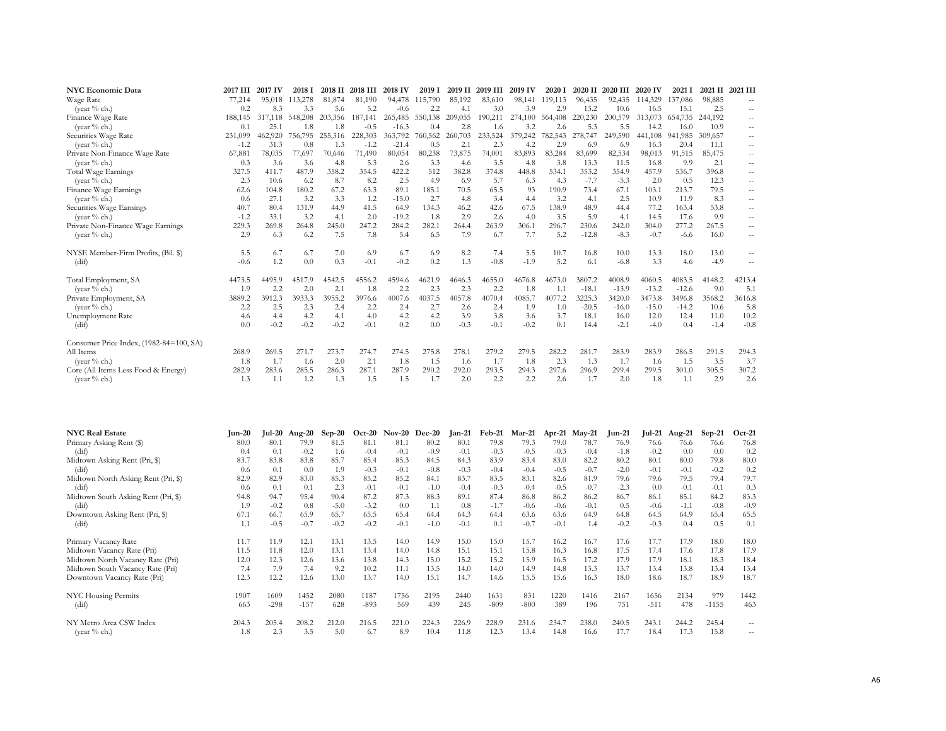| <b>NYC Economic Data</b>                | 2017 III | 2017 IV | 2018 I  | 2018 II | 2018 III | 2018 IV | 2019 I  | 2019 II | 2019 III | 2019 IV | 2020 1  | 2020 II | 2020 III | 2020 IV | 2021 I  | 2021 II | 2021 III |
|-----------------------------------------|----------|---------|---------|---------|----------|---------|---------|---------|----------|---------|---------|---------|----------|---------|---------|---------|----------|
| Wage Rate                               | 77,214   | 95,018  | 113,278 | 81,874  | 81,190   | 94,478  | 115,790 | 85,192  | 83,610   | 98,141  | 119,113 | 96,435  | 92,435   | 114,329 | 137,086 | 98,885  |          |
| (year $%$ ch.)                          | 0.2      | 8.3     | 3.3     | 5.6     | 5.2      | $-0.6$  | 2.2     | 4.1     | 3.0      | 3.9     | 2.9     | 13.2    | 10.6     | 16.5    | 15.1    | 2.5     | $-$      |
| Finance Wage Rate                       | 188,145  | 317,118 | 548,208 | 203,356 | 187,141  | 265,485 | 550,138 | 209,055 | 190,211  | 274,100 | 564,408 | 220,230 | 200,579  | 313.073 | 654,735 | 244,192 |          |
| (year % ch.)                            | 0.1      | 25.1    | 1.8     | 1.8     | $-0.5$   | $-16.3$ | 0.4     | 2.8     | 1.6      | 3.2     | 2.6     | 5.3     | 5.5      | 14.2    | 16.0    | 10.9    | $-1$     |
| Securities Wage Rate                    | 231,099  | 462,920 | 756,795 | 255,316 | 228,303  | 363,792 | 760,562 | 260,703 | 233,524  | 379,242 | 782,543 | 278,747 | 249,590  | 441,108 | 941,985 | 309,657 | $-1$     |
| (year % ch.)                            | $-1.2$   | 31.3    | 0.8     | 1.3     | $-1.2$   | $-21.4$ | 0.5     | 2.1     | 2.3      | 4.2     | 2.9     | 6.9     | 6.9      | 16.3    | 20.4    | 11.1    | $-1$     |
| Private Non-Finance Wage Rate           | 67,881   | 78,035  | 77.697  | 70,646  | 71,490   | 80,054  | 80,238  | 73,875  | 74,001   | 83,893  | 83,284  | 83,699  | 82,534   | 98,013  | 91,515  | 85,475  | $-$      |
| (year % ch.)                            | 0.3      | 3.6     | 3.6     | 4.8     | 5.3      | 2.6     | 3.3     | 4.6     | 3.5      | 4.8     | 3.8     | 13.3    | 11.5     | 16.8    | 9.9     | 2.1     | $-1$     |
| <b>Total Wage Earnings</b>              | 327.5    | 411.7   | 487.9   | 358.2   | 354.5    | 422.2   | 512     | 382.8   | 374.8    | 448.8   | 534.1   | 353.2   | 354.9    | 457.9   | 536.7   | 396.8   | $-$      |
| (year $%$ ch.)                          | 2.3      | 10.6    | 6.2     | 8.7     | 8.2      | 2.5     | 4.9     | 6.9     | 5.7      | 6.3     | 4.3     | $-7.7$  | $-5.3$   | 2.0     | 0.5     | 12.3    | $-$      |
| Finance Wage Earnings                   | 62.6     | 104.8   | 180.2   | 67.2    | 63.3     | 89.1    | 185.1   | 70.5    | 65.5     | 93      | 190.9   | 73.4    | 67.1     | 103.1   | 213.7   | 79.5    | $-$      |
| (year $%$ ch.)                          | 0.6      | 27.1    | 3.2     | 3.3     | 1.2      | $-15.0$ | 2.7     | 4.8     | 3.4      | 4.4     | 3.2     | 4.1     | 2.5      | 10.9    | 11.9    | 8.3     | $-$      |
| Securities Wage Earnings                | 40.7     | 80.4    | 131.9   | 44.9    | 41.5     | 64.9    | 134.3   | 46.2    | 42.6     | 67.5    | 138.9   | 48.9    | 44.4     | 77.2    | 163.4   | 53.8    | $-$      |
| (year % ch.)                            | $-1.2$   | 33.1    | 3.2     | 4.1     | 2.0      | $-19.2$ | 1.8     | 2.9     | 2.6      | 4.0     | 3.5     | 5.9     | 4.1      | 14.5    | 17.6    | 9.9     | $-$      |
| Private Non-Finance Wage Earnings       | 229.3    | 269.8   | 264.8   | 245.0   | 247.2    | 284.2   | 282.1   | 264.4   | 263.9    | 306.1   | 296.7   | 230.6   | 242.0    | 304.0   | 277.2   | 267.5   | $-$      |
| (year $%$ ch.)                          | 2.9      | 6.3     | 6.2     | 7.5     | 7.8      | 5.4     | 6.5     | 7.9     | 6.7      | 7.7     | 5.2     | $-12.8$ | $-8.3$   | $-0.7$  | -6.6    | 16.0    | $-$      |
| NYSE Member-Firm Profits, (Bil. \$)     | 5.5      | 6.7     | 6.7     | 7.0     | 6.9      | 6.7     | 6.9     | 8.2     | 7.4      | 5.5     | 10.7    | 16.8    | 10.0     | 13.3    | 18.0    | 13.0    |          |
| (dif)                                   | $-0.6$   | 1.2     | 0.0     | 0.3     | $-0.1$   | $-0.2$  | 0.2     | 1.3     | $-0.8$   | $-1.9$  | 5.2     | 6.1     | $-6.8$   | 3.3     | 4.6     | $-4.9$  | ٠.       |
| Total Employment, SA                    | 4473.5   | 4495.9  | 4517.9  | 4542.5  | 4556.2   | 4594.6  | 4621.9  | 4646.3  | 4655.0   | 4676.8  | 4673.0  | 3807.2  | 4008.9   | 4060.5  | 4083.5  | 4148.2  | 4213.4   |
| (year % ch.)                            | 1.9      | 2.2     | 2.0     | 2.1     | 1.8      | 2.2     | 2.3     | 2.3     | 2.2      | 1.8     |         | $-18.1$ | $-13.9$  | $-13.2$ | $-12.6$ | 9.0     | 5.1      |
| Private Employment, SA                  | 3889.2   | 3912.3  | 3933.3  | 3955.2  | 3976.6   | 4007.6  | 4037.5  | 4057.8  | 4070.4   | 4085.7  | 4077.2  | 3225.3  | 3420.0   | 3473.8  | 3496.8  | 3568.2  | 3616.8   |
| (year % ch.)                            | 2.2      | 2.5     | 2.3     | 2.4     | 2.2      | 2.4     | 2.7     | 2.6     | 2.4      | 1.9     | 1.0     | $-20.5$ | $-16.0$  | $-15.0$ | $-14.2$ | 10.6    | 5.8      |
| <b>Unemployment Rate</b>                | 4.6      | 4.4     | 4.2     | 4.1     | 4.0      | 4.2     | 4.2     | 3.9     | 3.8      | 3.6     | 3.7     | 18.1    | 16.0     | 12.0    | 12.4    | 11.0    | 10.2     |
| (dif)                                   | 0.0      | $-0.2$  | $-0.2$  | $-0.2$  | $-0.1$   | 0.2     | 0.0     | $-0.3$  | $-0.1$   | $-0.2$  | 0.1     | 14.4    | $-2.1$   | $-4.0$  | 0.4     | $-1.4$  | $-0.8$   |
| Consumer Price Index, (1982-84=100, SA) |          |         |         |         |          |         |         |         |          |         |         |         |          |         |         |         |          |
| All Items                               | 268.9    | 269.5   | 271.7   | 273.7   | 274.7    | 274.5   | 275.8   | 278.1   | 279.2    | 279.5   | 282.2   | 281.7   | 283.9    | 283.9   | 286.5   | 291.5   | 294.3    |
| (year % ch.)                            | 1.8      | 1.7     | 1.6     | 2.0     | 2.1      | 1.8     | 1.5     | 1.6     | 1.7      | 1.8     | 2.3     | 1.3     | 1.7      | 1.6     | 1.5     | 3.5     | 3.7      |
| Core (All Items Less Food & Energy)     | 282.9    | 283.6   | 285.5   | 286.3   | 287.1    | 287.9   | 290.2   | 292.0   | 293.5    | 294.3   | 297.6   | 296.9   | 299.4    | 299.5   | 301.0   | 305.5   | 307.2    |
| (year % ch.)                            | 1.3      | 1.1     | 1.2     | 1.3     | 1.5      | 1.5     | 1.7     | 2.0     | 2.2      | 2.2     | 2.6     | 1.7     | 2.0      | 1.8     | 1.1     | 2.9     | 2.6      |

| <b>NYC Real Estate</b>              | $Jun-20$ | <b>Jul-20</b> | Aug-20 | $Sep-20$ | $Oct-20$ | $Nov-20$ | $Dec-20$ | $Jan-21$ | Feb-21 | Mar-21 | Apr-21 | $Mav-21$ | $\text{Jun-21}$ | <b>Jul-21</b> | Aug-21 | $Sep-21$ | $Oct-21$ |
|-------------------------------------|----------|---------------|--------|----------|----------|----------|----------|----------|--------|--------|--------|----------|-----------------|---------------|--------|----------|----------|
| Primary Asking Rent (\$)            | 80.0     | 80.1          | 79.9   | 81.5     | 81.1     | 81.1     | 80.2     | 80.1     | 79.8   | 79.3   | 79.0   | 78.7     | 76.9            | 76.6          | 76.6   | 76.6     | 76.8     |
| (dif)                               | 0.4      | 0.1           | $-0.2$ | 1.6      | $-0.4$   | $-0.1$   | $-0.9$   | $-0.1$   | $-0.3$ | $-0.5$ | $-0.3$ | $-0.4$   | $-1.8$          | $-0.2$        | 0.0    | 0.0      | 0.2      |
| Midtown Asking Rent (Pri, \$)       | 83.7     | 83.8          | 83.8   | 85.7     | 85.4     | 85.3     | 84.5     | 84.3     | 83.9   | 83.4   | 83.0   | 82.2     | 80.2            | 80.1          | 80.0   | 79.8     | 80.0     |
| (dif)                               | 0.6      | 0.1           | 0.0    | 1.9      | $-0.3$   | $-0.1$   | $-0.8$   | $-0.3$   | $-0.4$ | $-0.4$ | $-0.5$ | $-0.7$   | $-2.0$          | $-0.1$        | $-0.1$ | $-0.2$   | 0.2      |
| Midtown North Asking Rent (Pri, \$) | 82.9     | 82.9          | 83.0   | 85.3     | 85.2     | 85.2     | 84.1     | 83.7     | 83.5   | 83.1   | 82.6   | 81.9     | 79.6            | 79.6          | 79.5   | 79.4     | 79.7     |
| (dif)                               | 0.6      | 0.1           | 0.1    | 2.3      | $-0.1$   | $-0.1$   | $-1.0$   | $-0.4$   | $-0.3$ | $-0.4$ | $-0.5$ | $-0.7$   | $-2.3$          | 0.0           | $-0.1$ | $-0.1$   | 0.3      |
| Midtown South Asking Rent (Pri, \$) | 94.8     | 94.7          | 95.4   | 90.4     | 87.2     | 87.3     | 88.3     | 89.1     | 87.4   | 86.8   | 86.2   | 86.2     | 86.7            | 86.1          | 85.1   | 84.2     | 83.3     |
| (dif)                               | 1.9      | $-0.2$        | 0.8    | $-5.0$   | $-3.2$   | 0.0      | 1.1      | 0.8      | $-1.7$ | $-0.6$ | $-0.6$ | $-0.1$   | 0.5             | $-0.6$        | $-1.1$ | $-0.8$   | $-0.9$   |
| Downtown Asking Rent (Pri, \$)      | 67.1     | 66.7          | 65.9   | 65.7     | 65.5     | 65.4     | 64.4     | 64.3     | 64.4   | 63.6   | 63.6   | 64.9     | 64.8            | 64.5          | 64.9   | 65.4     | 65.5     |
| (dif)                               | 1.1      | $-0.5$        | $-0.7$ | $-0.2$   | $-0.2$   | $-0.1$   | $-1.0$   | $-0.1$   | 0.1    | $-0.7$ | $-0.1$ | 1.4      | $-0.2$          | $-0.3$        | 0.4    | 0.5      | 0.1      |
| Primary Vacancy Rate                | 11.7     | 11.9          | 12.1   | 13.1     | 13.5     | 14.0     | 14.9     | 15.0     | 15.0   | 15.7   | 16.2   | 16.7     | 17.6            | 17.7          | 17.9   | 18.0     | 18.0     |
| Midtown Vacancy Rate (Pri)          | 11.5     | 11.8          | 12.0   | 13.1     | 13.4     | 14.0     | 14.8     | 15.1     | 15.1   | 15.8   | 16.3   | 16.8     | 17.5            | 17.4          | 17.6   | 17.8     | 17.9     |
| Midtown North Vacancy Rate (Pri)    | 12.0     | 12.3          | 12.6   | 13.6     | 13.8     | 14.3     | 15.0     | 15.2     | 15.2   | 15.9   | 16.5   | 17.2     | 17.9            | 17.9          | 18.1   | 18.3     | 18.4     |
| Midtown South Vacancy Rate (Pri)    | 7.4      | 7.9           | 7.4    | 9.2      | 10.2     | 11.1     | 13.5     | 14.0     | 14.0   | 14.9   | 14.8   | 13.3     | 13.7            | 13.4          | 13.8   | 13.4     | 13.4     |
| Downtown Vacancy Rate (Pri)         | 12.3     | 12.2          | 12.6   | 13.0     | 13.7     | 14.0     | 15.1     | 14.7     | 14.6   | 15.5   | 15.6   | 16.3     | 18.0            | 18.6          | 18.7   | 18.9     | 18.7     |
| NYC Housing Permits                 | 1907     | 1609          | 1452   | 2080     | 1187     | 1756     | 2195     | 2440     | 1631   | 831    | 1220   | 1416     | 2167            | 1656          | 2134   | 979      | 1442     |
| (dif)                               | 663      | $-298$        | $-157$ | 628      | $-893$   | 569      | 439      | 245      | $-809$ | $-800$ | 389    | 196      | 751             | $-511$        | 478    | $-1155$  | 463      |
| NY Metro Area CSW Index             | 204.3    | 205.4         | 208.2  | 212.0    | 216.5    | 221.0    | 224.3    | 226.9    | 228.9  | 231.6  | 234.7  | 238.0    | 240.5           | 243.1         | 244.2  | 245.4    | --       |
| (year $%$ ch.)                      | 1.8      | 2.3           | 3.5    | 5.0      | 6.7      | 8.9      | 10.4     | 11.8     | 12.3   | 13.4   | 14.8   | 16.6     | 17.7            | 18.4          | 17.3   | 15.8     | $- -$    |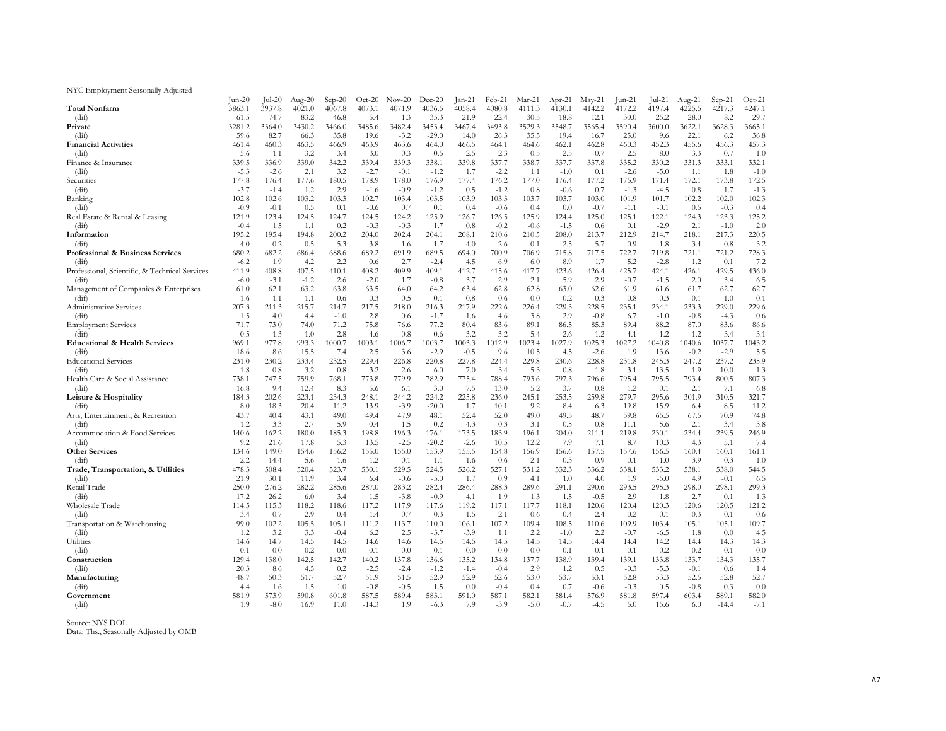### NYC Employment Seasonally Adjusted

|                                                | Jun-20          | $ ul-20$        | Aug- $20$     | $Sep-20$     | $Oct-20$        | $Nov-20$        | $Dec-20$         | $Jan-21$        | Feb-21          | Mar-21        | Apr-21          | $May-21$        | $Jun-21$        | $ ul-21$        | Aug-21       | $Sep-21$     | $Oct-21$        |
|------------------------------------------------|-----------------|-----------------|---------------|--------------|-----------------|-----------------|------------------|-----------------|-----------------|---------------|-----------------|-----------------|-----------------|-----------------|--------------|--------------|-----------------|
| <b>Total Nonfarm</b>                           | 3863.1          | 3937.8          | 4021.0        | 4067.8       | 4073.1          | 4071.9          | 4036.5           | 4058.4          | 4080.8          | 4111.3        | 4130.1          | 4142.2          | 4172.2          | 4197.4          | 4225.5       | 4217.3       | 4247.1          |
| (dif)                                          | 61.5            | 74.7            | 83.2          | 46.8         | 5.4             | $-1.3$          | $-35.3$          | 21.9            | 22.4            | 30.5          | 18.8            | 12.1            | 30.0            | 25.2            | 28.0         | $-8.2$       | 29.7            |
| Private                                        | 3281.2          | 3364.0          | 3430.2        | 3466.0       | 3485.6          | 3482.4          | 3453.4           | 3467.4          | 3493.8          | 3529.3        | 3548.7          | 3565.4          | 3590.4          | 3600.0          | 3622.1       | 3628.3       | 3665.1          |
| (dif)                                          | 59.6            | 82.7            | 66.3          | 35.8         | 19.6            | $-3.2$          | $-29.0$          | 14.0            | 26.3            | 35.5          | 19.4            | 16.7            | 25.0            | 9.6             | 22.1         | 6.2          | 36.8            |
| <b>Financial Activities</b>                    | 461.4           | 460.3           | 463.5         | 466.9        | 463.9           | 463.6           | 464.0            | 466.5           | 464.1           | 464.6         | 462.1           | 462.8           | 460.3           | 452.3           | 455.6        | 456.3        | 457.3           |
| (dif)                                          | $-5.6$          | $-1.1$          | 3.2           | 3.4          | $-3.0$          | $-0.3$          | 0.5              | 2.5             | $-2.3$          | 0.5           | $-2.5$          | 0.7             | $-2.5$          | $-8.0$          | 3.3          | 0.7          | 1.0             |
| Finance & Insurance                            | 339.5           | 336.9           | 339.0         | 342.2        | 339.4           | 339.3           | 338.1            | 339.8           | 337.7           | 338.7         | 337.7           | 337.8           | 335.2           | 330.2           | 331.3        | 333.1        | 332.1           |
| (dif)                                          | $-5.3$          | $-2.6$          | 2.1           | 3.2          | $-2.7$          | $-0.1$          | $-1.2$           | 1.7             | $-2.2$          | 1.1           | $-1.0$          | 0.1             | $-2.6$          | $-5.0$          | 1.1          | 1.8          | $-1.0$          |
| Securities                                     | 177.8           | 176.4           | 177.6<br>1.2  | 180.5<br>2.9 | 178.9           | 178.0<br>$-0.9$ | 176.9<br>$-1.2$  | 177.4<br>0.5    | 176.2           | 177.0         | 176.4<br>$-0.6$ | 177.2           | 175.9<br>$-1.3$ | 171.4           | 172.1        | 173.8<br>1.7 | 172.5           |
| (dif)                                          | $-3.7$<br>102.8 | $-1.4$<br>102.6 | 103.2         | 103.3        | $-1.6$<br>102.7 | 103.4           | 103.5            | 103.9           | $-1.2$<br>103.3 | 0.8<br>103.7  | 103.7           | 0.7             | 101.9           | $-4.5$<br>101.7 | 0.8<br>102.2 | 102.0        | $-1.3$<br>102.3 |
| Banking<br>(dif)                               | $-0.9$          | $-0.1$          | 0.5           | 0.1          | $-0.6$          | 0.7             | 0.1              | 0.4             | $-0.6$          | 0.4           | 0.0             | 103.0<br>$-0.7$ | $-1.1$          | $-0.1$          | 0.5          | $-0.3$       | 0.4             |
| Real Estate & Rental & Leasing                 | 121.9           | 123.4           | 124.5         | 124.7        | 124.5           | 124.2           | 125.9            | 126.7           | 126.5           | 125.9         | 124.4           | 125.0           | 125.1           | 122.1           | 124.3        | 123.3        | 125.2           |
| (dif)                                          | $-0.4$          | 1.5             | 1.1           | 0.2          | $-0.3$          | $-0.3$          | 1.7              | 0.8             | $-0.2$          | $-0.6$        | $-1.5$          | 0.6             | 0.1             | $-2.9$          | 2.1          | $-1.0$       | 2.0             |
| Information                                    | 195.2           | 195.4           | 194.8         | 200.2        | 204.0           | 202.4           | 204.1            | 208.1           | 210.6           | 210.5         | 208.0           | 213.7           | 212.9           | 214.7           | 218.1        | 217.3        | 220.5           |
| (dif)                                          | $-4.0$          | 0.2             | $-0.5$        | 5.3          | 3.8             | $-1.6$          | 1.7              | 4.0             | 2.6             | $-0.1$        | $-2.5$          | 5.7             | $-0.9$          | 1.8             | 3.4          | $-0.8$       | 3.2             |
| <b>Professional &amp; Business Services</b>    | 680.2           | 682.2           | 686.4         | 688.6        | 689.2           | 691.9           | 689.5            | 694.0           | 700.9           | 706.9         | 715.8           | 717.5           | 722.7           | 719.8           | 721.1        | 721.2        | 728.3           |
| (dif)                                          | $-6.2$          | 1.9             | 4.2           | 2.2          | 0.6             | 2.7             | $-2.4$           | 4.5             | 6.9             | 6.0           | 8.9             | 1.7             | 5.2             | $-2.8$          | 1.2          | 0.1          | 7.2             |
| Professional, Scientific, & Technical Services | 411.9           | 408.8           | 407.5         | 410.1        | 408.2           | 409.9           | 409.1            | 412.7           | 415.6           | 417.7         | 423.6           | 426.4           | 425.7           | 424.1           | 426.1        | 429.5        | 436.0           |
| (dif)                                          | $-6.0$          | $-3.1$          | $-1.2$        | 2.6          | $-2.0$          | 1.7             | $-0.8$           | 3.7             | 2.9             | 2.1           | 5.9             | 2.9             | $-0.7$          | $-1.5$          | 2.0          | 3.4          | 6.5             |
| Management of Companies & Enterprises          | 61.0            | 62.1            | 63.2          | 63.8         | 63.5            | 64.0            | 64.2             | 63.4            | 62.8            | 62.8          | 63.0            | 62.6            | 61.9            | 61.6            | 61.7         | 62.7         | 62.7            |
| (dif)                                          | $-1.6$          | 1.1             | 1.1           | 0.6          | $-0.3$          | 0.5             | 0.1              | $-0.8$          | $-0.6$          | 0.0           | 0.2             | $-0.3$          | $-0.8$          | $-0.3$          | 0.1          | 1.0          | 0.1             |
| Administrative Services                        | 207.3           | 211.3           | 215.7         | 214.7        | 217.5           | 218.0           | 216.3            | 217.9           | 222.6           | 226.4         | 229.3           | 228.5           | 235.1           | 234.1           | 233.3        | 229.0        | 229.6           |
| (dif)                                          | 1.5             | 4.0             | 4.4           | $-1.0$       | 2.8             | 0.6             | $-1.7$           | 1.6             | 4.6             | 3.8           | 2.9             | $-0.8$          | 6.7             | $-1.0$          | $-0.8$       | $-4.3$       | 0.6             |
| <b>Employment Services</b>                     | 71.7            | 73.0            | 74.0          | 71.2         | 75.8            | 76.6            | 77.2             | 80.4            | 83.6            | 89.1          | 86.5            | 85.3            | 89.4            | 88.2            | 87.0         | 83.6         | 86.6            |
| (dif)                                          | $-0.5$          | 1.3             | 1.0           | $-2.8$       | 4.6             | 0.8             | 0.6              | 3.2             | 3.2             | 5.4           | $-2.6$          | $-1.2$          | 4.1             | $-1.2$          | $-1.2$       | $-3.4$       | 3.1             |
| <b>Educational &amp; Health Services</b>       | 969.1           | 977.8           | 993.3         | 1000.7       | 1003.1          | 1006.7          | 1003.7           | 1003.3          | 1012.9          | 1023.4        | 1027.9          | 1025.3          | 1027.2          | 1040.8          | 1040.6       | 1037.7       | 1043.2          |
| (dif)                                          | 18.6            | 8.6             | 15.5          | 7.4          | 2.5             | 3.6             | $-2.9$           | $-0.5$          | 9.6             | 10.5          | 4.5             | $-2.6$          | 1.9             | 13.6            | $-0.2$       | $-2.9$       | 5.5             |
| <b>Educational Services</b>                    | 231.0           | 230.2           | 233.4         | 232.5        | 229.4           | 226.8           | 220.8            | 227.8           | 224.4           | 229.8         | 230.6           | 228.8           | 231.8           | 245.3           | 247.2        | 237.2        | 235.9           |
| (dif)                                          | 1.8             | $-0.8$          | 3.2           | $-0.8$       | $-3.2$          | $-2.6$          | $-6.0$           | 7.0             | $-3.4$          | 5.3           | 0.8             | $-1.8$          | 3.1             | 13.5            | 1.9          | $-10.0$      | $-1.3$          |
| Health Care & Social Assistance                | 738.1           | 747.5           | 759.9         | 768.1        | 773.8           | 779.9           | 782.9            | 775.4           | 788.4           | 793.6         | 797.3           | 796.6           | 795.4           | 795.5           | 793.4        | 800.5        | 807.3           |
| (dif)                                          | 16.8            | 9.4             | 12.4          | 8.3          | 5.6             | 6.1             | 3.0              | $-7.5$          | 13.0            | 5.2           | 3.7             | $-0.8$          | $-1.2$          | 0.1             | $-2.1$       | 7.1          | 6.8             |
| Leisure & Hospitality                          | 184.3           | 202.6           | 223.1         | 234.3        | 248.1           | 244.2           | 224.2            | 225.8           | 236.0           | 245.1         | 253.5           | 259.8           | 279.7           | 295.6           | 301.9        | 310.5        | 321.7           |
| (dif)                                          | 8.0             | 18.3            | 20.4          | 11.2         | 13.9            | $-3.9$          | $-20.0$          | 1.7             | 10.1            | 9.2           | 8.4             | 6.3             | 19.8            | 15.9            | 6.4          | 8.5          | 11.2            |
| Arts, Entertainment, & Recreation              | 43.7            | 40.4            | 43.1          | 49.0         | 49.4            | 47.9            | 48.1             | 52.4            | 52.0            | 49.0          | 49.5            | 48.7            | 59.8            | 65.5            | 67.5         | 70.9         | 74.8            |
| (dif)                                          | $-1.2$          | $-3.3$          | 2.7           | 5.9          | 0.4             | $-1.5$          | 0.2              | 4.3             | $-0.3$          | $-3.1$        | 0.5             | $-0.8$          | 11.1            | 5.6             | 2.1          | 3.4          | 3.8             |
| Accommodation & Food Services<br>(dif)         | 140.6<br>9.2    | 162.2<br>21.6   | 180.0<br>17.8 | 185.3<br>5.3 | 198.8<br>13.5   | 196.3<br>$-2.5$ | 176.1<br>$-20.2$ | 173.5<br>$-2.6$ | 183.9<br>10.5   | 196.1<br>12.2 | 204.0<br>7.9    | 211.1<br>7.1    | 219.8<br>8.7    | 230.1<br>10.3   | 234.4<br>4.3 | 239.5<br>5.1 | 246.9<br>7.4    |
| <b>Other Services</b>                          | 134.6           | 149.0           | 154.6         | 156.2        | 155.0           | 155.0           | 153.9            | 155.5           | 154.8           | 156.9         | 156.6           | 157.5           | 157.6           | 156.5           | 160.4        | 160.1        | 161.1           |
| (dif)                                          | 2.2             | 14.4            | 5.6           | 1.6          | $-1.2$          | $-0.1$          | $-1.1$           | 1.6             | $-0.6$          | 2.1           | $-0.3$          | 0.9             | 0.1             | $-1.0$          | 3.9          | $-0.3$       | 1.0             |
| Trade, Transportation, & Utilities             | 478.3           | 508.4           | 520.4         | 523.7        | 530.1           | 529.5           | 524.5            | 526.2           | 527.1           | 531.2         | 532.3           | 536.2           | 538.1           | 533.2           | 538.1        | 538.0        | 544.5           |
| (dif)                                          | 21.9            | 30.1            | 11.9          | 3.4          | 6.4             | $-0.6$          | $-5.0$           | 1.7             | 0.9             | 4.1           | 1.0             | 4.0             | 1.9             | $-5.0$          | 4.9          | $-0.1$       | 6.5             |
| Retail Trade                                   | 250.0           | 276.2           | 282.2         | 285.6        | 287.0           | 283.2           | 282.4            | 286.4           | 288.3           | 289.6         | 291.1           | 290.6           | 293.5           | 295.3           | 298.0        | 298.1        | 299.3           |
| (dif)                                          | 17.2            | 26.2            | 6.0           | 3.4          | 1.5             | $-3.8$          | $-0.9$           | 4.1             | 1.9             | 1.3           | 1.5             | $-0.5$          | 2.9             | 1.8             | 2.7          | 0.1          | 1.3             |
| Wholesale Trade                                | 114.5           | 115.3           | 118.2         | 118.6        | 117.2           | 117.9           | 117.6            | 119.2           | 117.1           | 117.7         | 118.1           | 120.6           | 120.4           | 120.3           | 120.6        | 120.5        | 121.2           |
| (dif)                                          | 3.4             | 0.7             | 2.9           | 0.4          | $-1.4$          | 0.7             | $-0.3$           | 1.5             | $-2.1$          | 0.6           | 0.4             | 2.4             | $-0.2$          | $-0.1$          | 0.3          | $-0.1$       | 0.6             |
| Transportation & Warehousing                   | 99.0            | 102.2           | 105.5         | 105.1        | 111.2           | 113.7           | 110.0            | 106.1           | 107.2           | 109.4         | 108.5           | 110.6           | 109.9           | 103.4           | 105.1        | 105.1        | 109.7           |
| (dif)                                          | 1.2             | 3.2             | 3.3           | $-0.4$       | 6.2             | 2.5             | $-3.7$           | $-3.9$          | 1.1             | 2.2           | $-1.0$          | 2.2             | $-0.7$          | $-6.5$          | 1.8          | 0.0          | 4.5             |
| <b>Utilities</b>                               | 14.6            | 14.7            | 14.5          | 14.5         | 14.6            | 14.6            | 14.5             | 14.5            | 14.5            | 14.5          | 14.5            | 14.4            | 14.4            | 14.2            | 14.4         | 14.3         | 14.3            |
| (dif)                                          | 0.1             | 0.0             | $-0.2$        | 0.0          | 0.1             | 0.0             | $-0.1$           | 0.0             | 0.0             | 0.0           | 0.1             | $-0.1$          | $-0.1$          | $-0.2$          | 0.2          | $-0.1$       | 0.0             |
| Construction                                   | 129.4           | 138.0           | 142.5         | 142.7        | 140.2           | 137.8           | 136.6            | 135.2           | 134.8           | 137.7         | 138.9           | 139.4           | 139.1           | 133.8           | 133.7        | 134.3        | 135.7           |
| (dif)                                          | 20.3            | 8.6             | 4.5           | 0.2          | $-2.5$          | $-2.4$          | $-1.2$           | $-1.4$          | $-0.4$          | 2.9           | 1.2             | 0.5             | $-0.3$          | $-5.3$          | $-0.1$       | 0.6          | 1.4             |
| Manufacturing                                  | 48.7            | 50.3            | 51.7          | 52.7         | 51.9            | 51.5            | 52.9             | 52.9            | 52.6            | 53.0          | 53.7            | 53.1            | 52.8            | 53.3            | 52.5         | 52.8         | 52.7            |
| (dif)                                          | 4.4             | 1.6             | 1.5           | 1.0          | $-0.8$          | $-0.5$          | 1.5              | 0.0             | $-0.4$          | 0.4           | 0.7             | $-0.6$          | $-0.3$          | 0.5             | $-0.8$       | 0.3          | 0.0             |
| Government                                     | 581.9           | 573.9           | 590.8         | 601.8        | 587.5           | 589.4           | 583.1            | 591.0           | 587.1           | 582.1         | 581.4           | 576.9           | 581.8           | 597.4           | 603.4        | 589.1        | 582.0           |
| (dif)                                          | 1.9             | $-8.0$          | 16.9          | 11.0         | $-14.3$         | 1.9             | $-6.3$           | 7.9             | $-3.9$          | $-5.0$        | $-0.7$          | $-4.5$          | 5.0             | 15.6            | 6.0          | $-14.4$      | $-7.1$          |

Source: NYS DOL Data: Ths., Seasonally Adjusted by OMB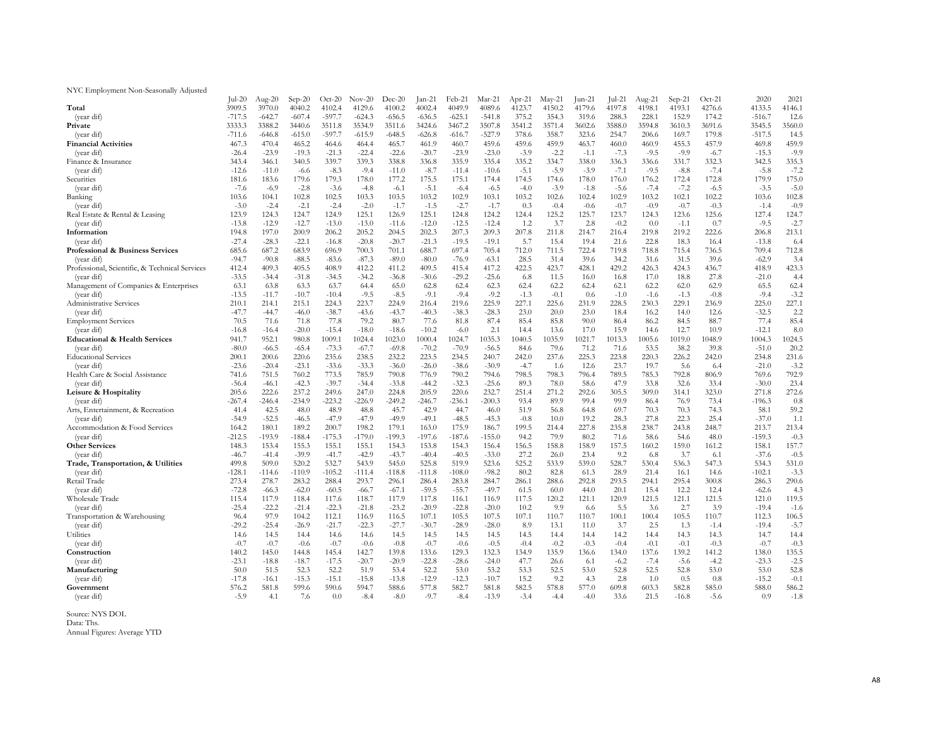### NYC Employment Non-Seasonally Adjusted

|                                                | $Jul-20$         | Aug- $20$ | $Sep-20$ | $Oct-20$ | $Nov-20$ | Dec-20   | $Jan-21$ | Feb-21   | Mar-21   | $Apr-21$ | $May-21$ | $Jun-21$ | $ ul-21$ | $Aug-21$ | $Sep-21$ | $Oct-21$ | 2020     | 2021   |
|------------------------------------------------|------------------|-----------|----------|----------|----------|----------|----------|----------|----------|----------|----------|----------|----------|----------|----------|----------|----------|--------|
| Total                                          | 3909.5           | 3970.0    | 4040.2   | 4102.4   | 4129.6   | 4100.2   | 4002.4   | 4049.9   | 4089.6   | 4123.7   | 4150.2   | 4179.6   | 4197.8   | 4198.1   | 4193.1   | 4276.6   | 4133.5   | 4146.1 |
| (year dif)                                     | $-717.5$         | $-642.7$  | $-607.4$ | $-597.7$ | $-624.3$ | $-656.5$ | $-636.5$ | $-625.1$ | $-541.8$ | 375.2    | 354.3    | 319.6    | 288.3    | 228.1    | 152.9    | 174.2    | $-516.7$ | 12.6   |
| Private                                        | 3333.3           | 3388.2    | 3440.6   | 3511.8   | 3534.9   | 3511.6   | 3424.6   | 3467.2   | 3507.8   | 3541.2   | 3571.4   | 3602.6   | 3588.0   | 3594.8   | 3610.3   | 3691.6   | 3545.5   | 3560.0 |
| (year dif)                                     | $-711.6$         | $-646.8$  | $-615.0$ | $-597.7$ | $-615.9$ | $-648.5$ | $-626.8$ | $-616.7$ | $-527.9$ | 378.6    | 358.7    | 323.6    | 254.7    | 206.6    | 169.7    | 179.8    | $-517.5$ | 14.5   |
| <b>Financial Activities</b>                    | 467.3            | 470.4     | 465.2    | 464.6    | 464.4    | 465.7    | 461.9    | 460.7    | 459.6    | 459.6    | 459.9    | 463.7    | 460.0    | 460.9    | 455.3    | 457.9    | 469.8    | 459.9  |
| (year dif)                                     | $-26.4$          | $-23.9$   | $-19.3$  | $-21.3$  | $-22.4$  | $-22.6$  | $-20.7$  | $-23.9$  | $-23.0$  | $-3.9$   | $-2.2$   | $-1.1$   | $-7.3$   | $-9.5$   | $-9.9$   | $-6.7$   | $-15.3$  | $-9.9$ |
| Finance & Insurance                            | 343.4            | 346.1     | 340.5    | 339.7    | 339.3    | 338.8    | 336.8    | 335.9    | 335.4    | 335.2    | 334.7    | 338.0    | 336.3    | 336.6    | 331.7    | 332.3    | 342.5    | 335.3  |
| (year dif)                                     | $-12.6$          | $-11.0$   | $-6.6$   | $-8.3$   | $-9.4$   | $-11.0$  | $-8.7$   | $-11.4$  | $-10.6$  | $-5.1$   | $-5.9$   | $-3.9$   | $-7.1$   | $-9.5$   | $-8.8$   | $-7.4$   | $-5.8$   | $-7.2$ |
| Securities                                     | 181.6            | 183.6     | 179.6    | 179.3    | 178.0    | 177.2    | 175.5    | 175.1    | 174.4    | 174.5    | 174.6    | 178.0    | 176.0    | 176.2    | 172.4    | 172.8    | 179.9    | 175.0  |
| (year dif)                                     | $-7.6$           | $-6.9$    | $-2.8$   | $-3.6$   | $-4.8$   | $-6.1$   | $-5.1$   | $-6.4$   | $-6.5$   | $-4.0$   | $-3.9$   | $-1.8$   | $-5.6$   | $-7.4$   | $-7.2$   | $-6.5$   | $-3.5$   | $-5.0$ |
| Banking                                        | 103.6            | 104.1     | 102.8    | 102.5    | 103.3    | 103.5    | 103.2    | 102.9    | 103.1    | 103.2    | 102.6    | 102.4    | 102.9    | 103.2    | 102.1    | 102.2    | 103.6    | 102.8  |
| (year dif)                                     | $-3.0$           | $-2.4$    | $-2.1$   | $-2.4$   | $-2.0$   | $-1.7$   | $-1.5$   | $-2.7$   | $-1.7$   | 0.3      | $-0.4$   | $-0.6$   | $-0.7$   | $-0.9$   | $-0.7$   | $-0.3$   | $-1.4$   | $-0.9$ |
| Real Estate & Rental & Leasing                 | 123.9            | 124.3     | 124.7    | 124.9    | 125.1    | 126.9    | 125.1    | 124.8    | 124.2    | 124.4    | 125.2    | 125.7    | 123.7    | 124.3    | 123.6    | 125.6    | 127.4    | 124.7  |
| (year dif)                                     | $-13.8$          | $-12.9$   | $-12.7$  | $-13.0$  | $-13.0$  | $-11.6$  | $-12.0$  | $-12.5$  | $-12.4$  | 1.2      | 3.7      | 2.8      | $-0.2$   | 0.0      | $-1.1$   | 0.7      | $-9.5$   | $-2.7$ |
| Information                                    | 194.8            | 197.0     | 200.9    | 206.2    | 205.2    | 204.5    | 202.3    | 207.3    | 209.3    | 207.8    | 211.8    | 214.7    | 216.4    | 219.8    | 219.2    | 222.6    | 206.8    | 213.1  |
| (year dif)                                     | $-27.4$          | $-28.3$   | $-22.1$  | $-16.8$  | $-20.8$  | $-20.7$  | $-21.3$  | $-19.5$  | $-19.1$  | 5.7      | 15.4     | 19.4     | 21.6     | 22.8     | 18.3     | 16.4     | $-13.8$  | 6.4    |
| Professional & Business Services               | 685.6            | 687.2     | 683.9    | 696.9    | 700.3    | 701.1    | 688.7    | 697.4    | 705.4    | 712.0    | 711.5    | 722.4    | 719.8    | 718.8    | 715.4    | 736.5    | 709.4    | 712.8  |
| (year dif)                                     | $-94.7$          | $-90.8$   | $-88.5$  | $-83.6$  | $-87.3$  | $-89.0$  | $-80.0$  | $-76.9$  | $-63.1$  | 28.5     | 31.4     | 39.6     | 34.2     | 31.6     | 31.5     | 39.6     | $-62.9$  | 3.4    |
| Professional, Scientific, & Technical Services | 412.4            | 409.3     | 405.5    | 408.9    | 412.2    | 411.2    | 409.5    | 415.4    | 417.2    | 422.5    | 423.7    | 428.1    | 429.2    | 426.3    | 424.3    | 436.7    | 418.9    | 423.3  |
| (year dif)                                     | $-33.5$          | $-34.4$   | $-31.8$  | $-34.5$  | $-34.2$  | $-36.8$  | $-30.6$  | $-29.2$  | $-25.6$  | 6.8      | 11.5     | 16.0     | 16.8     | 17.0     | 18.8     | 27.8     | $-21.0$  | 4.4    |
| Management of Companies & Enterprises          | 63.1             | 63.8      | 63.3     | 63.7     | 64.4     | 65.0     | 62.8     | 62.4     | 62.3     | 62.4     | 62.2     | 62.4     | 62.1     | 62.2     | 62.0     | 62.9     | 65.5     | 62.4   |
| (year dif)                                     | $-13.5$          | $-11.7$   | $-10.7$  | $-10.4$  | $-9.5$   | $-8.5$   | $-9.1$   | $-9.4$   | $-9.2$   | $-1.3$   | $-0.1$   | 0.6      | $-1.0$   | $-1.6$   | $-1.3$   | $-0.8$   | $-9.4$   | $-3.2$ |
| Administrative Services                        | 210.1            | 214.1     | 215.1    | 224.3    | 223.7    | 224.9    | 216.4    | 219.6    | 225.9    | 227.1    | 225.6    | 231.9    | 228.5    | 230.3    | 229.1    | 236.9    | 225.0    | 227.1  |
| (year dif)                                     | $-47.7$          | $-44.7$   | $-46.0$  | $-38.7$  | $-43.6$  | $-43.7$  | $-40.3$  | $-38.3$  | $-28.3$  | 23.0     | 20.0     | 23.0     | 18.4     | 16.2     | 14.0     | 12.6     | $-32.5$  | 2.2    |
| <b>Employment Services</b>                     | 70.5             | 71.6      | 71.8     | 77.8     | 79.2     | 80.7     | 77.6     | 81.8     | 87.4     | 85.4     | 85.8     | 90.0     | 86.4     | 86.2     | 84.5     | 88.7     | 77.4     | 85.4   |
| (year dif)                                     | $-16.8$          | $-16.4$   | $-20.0$  | $-15.4$  | $-18.0$  | $-18.6$  | $-10.2$  | $-6.0$   | 2.1      | 14.4     | 13.6     | 17.0     | 15.9     | 14.6     | 12.7     | 10.9     | $-12.1$  | 8.0    |
| <b>Educational &amp; Health Services</b>       | 941.7            | 952.1     | 980.8    | 1009.1   | 1024.4   | 1023.0   | 1000.4   | 1024.7   | 1035.3   | 1040.5   | 1035.9   | 1021.7   | 1013.3   | 1005.6   | 1019.0   | 1048.9   | 1004.3   | 1024.5 |
| (year dif)                                     | $-80.0$          | $-66.5$   | $-65.4$  | $-73.3$  | $-67.7$  | $-69.8$  | $-70.2$  | $-70.9$  | $-56.5$  | 84.6     | 79.6     | 71.2     | 71.6     | 53.5     | 38.2     | 39.8     | $-51.0$  | 20.2   |
| <b>Educational Services</b>                    | 200.1            | 200.6     | 220.6    | 235.6    | 238.5    | 232.2    | 223.5    | 234.5    | 240.7    | 242.0    | 237.6    | 225.3    | 223.8    | 220.3    | 226.2    | 242.0    | 234.8    | 231.6  |
| (year dif)                                     | $-23.6$          | $-20.4$   | $-23.1$  | $-33.6$  | $-33.3$  | $-36.0$  | $-26.0$  | $-38.6$  | $-30.9$  | $-4.7$   | 1.6      | 12.6     | 23.7     | 19.7     | 5.6      | 6.4      | $-21.0$  | $-3.2$ |
|                                                |                  | 751.5     | 760.2    | 773.5    | 785.9    | 790.8    | 776.9    | 790.2    | 794.6    | 798.5    | 798.3    | 796.4    | 789.5    | 785.3    | 792.8    | 806.9    | 769.6    | 792.9  |
| Health Care & Social Assistance<br>(year dif)  | 741.6<br>$-56.4$ | $-46.1$   | $-42.3$  | $-39.7$  | $-34.4$  | $-33.8$  | $-44.2$  | $-32.3$  | $-25.6$  | 89.3     | 78.0     | 58.6     | 47.9     | 33.8     | 32.6     | 33.4     | $-30.0$  | 23.4   |
|                                                | 205.6            | 222.6     | 237.2    | 249.6    | 247.0    | 224.8    | 205.9    | 220.6    | 232.7    | 251.4    | 271.2    | 292.6    | 305.5    | 309.0    | 314.1    | 323.0    | 271.8    | 272.6  |
| Leisure & Hospitality                          | $-267.4$         | $-246.4$  | $-234.9$ | $-223.2$ |          | $-249.2$ | $-246.7$ | $-236.1$ | $-200.3$ | 93.4     | 89.9     | 99.4     | 99.9     | 86.4     | 76.9     | 73.4     | $-196.3$ | 0.8    |
| (year dif)                                     |                  |           |          |          | $-226.9$ | 45.7     | 42.9     |          |          |          |          |          |          |          | 70.3     |          | 58.1     | 59.2   |
| Arts, Entertainment, & Recreation              | 41.4             | 42.5      | 48.0     | 48.9     | 48.8     |          |          | 44.7     | 46.0     | 51.9     | 56.8     | 64.8     | 69.7     | 70.3     |          | 74.3     |          |        |
| (year dif)                                     | $-54.9$          | $-52.5$   | $-46.5$  | $-47.9$  | $-47.9$  | $-49.9$  | $-49.1$  | $-48.5$  | $-45.3$  | $-0.8$   | 10.0     | 19.2     | 28.3     | 27.8     | 22.3     | 25.4     | $-37.0$  | 1.1    |
| Accommodation & Food Services                  | 164.2            | 180.1     | 189.2    | 200.7    | 198.2    | 179.1    | 163.0    | 175.9    | 186.7    | 199.5    | 214.4    | 227.8    | 235.8    | 238.7    | 243.8    | 248.7    | 213.7    | 213.4  |
| (year dif)                                     | $-212.5$         | $-193.9$  | $-188.4$ | $-175.3$ | $-179.0$ | $-199.3$ | $-197.6$ | $-187.6$ | $-155.0$ | 94.2     | 79.9     | 80.2     | 71.6     | 58.6     | 54.6     | 48.0     | $-159.3$ | $-0.3$ |
| <b>Other Services</b>                          | 148.3            | 153.4     | 155.3    | 155.1    | 155.1    | 154.3    | 153.8    | 154.3    | 156.4    | 156.5    | 158.8    | 158.9    | 157.5    | 160.2    | 159.0    | 161.2    | 158.1    | 157.7  |
| (year dif)                                     | $-46.7$          | $-41.4$   | $-39.9$  | $-41.7$  | $-42.9$  | $-43.7$  | $-40.4$  | $-40.5$  | $-33.0$  | 27.2     | 26.0     | 23.4     | 9.2      | 6.8      | 3.7      | 6.1      | $-37.6$  | $-0.5$ |
| Trade, Transportation, & Utilities             | 499.8            | 509.0     | 520.2    | 532.7    | 543.9    | 545.0    | 525.8    | 519.9    | 523.6    | 525.2    | 533.9    | 539.0    | 528.7    | 530.4    | 536.3    | 547.3    | 534.3    | 531.0  |
| (year dif)                                     | $-128.1$         | $-114.6$  | $-110.9$ | $-105.2$ | $-111.4$ | $-118.8$ | $-111.8$ | $-108.0$ | $-98.2$  | 80.2     | 82.8     | 61.3     | 28.9     | 21.4     | 16.1     | 14.6     | $-102.1$ | $-3.3$ |
| Retail Trade                                   | 273.4            | 278.7     | 283.2    | 288.4    | 293.7    | 296.1    | 286.4    | 283.8    | 284.7    | 286.1    | 288.6    | 292.8    | 293.5    | 294.1    | 295.4    | 300.8    | 286.3    | 290.6  |
| (year dif)                                     | $-72.8$          | $-66.3$   | $-62.0$  | $-60.5$  | $-66.7$  | $-67.1$  | $-59.5$  | $-55.7$  | $-49.7$  | 61.5     | 60.0     | 44.0     | 20.1     | 15.4     | 12.2     | 12.4     | $-62.6$  | 4.3    |
| Wholesale Trade                                | 115.4            | 117.9     | 118.4    | 117.6    | 118.7    | 117.9    | 117.8    | 116.1    | 116.9    | 117.5    | 120.2    | 121.1    | 120.9    | 121.5    | 121.1    | 121.5    | 121.0    | 119.5  |
| (year dif)                                     | $-25.4$          | $-22.2$   | $-21.4$  | $-22.3$  | $-21.8$  | $-23.2$  | $-20.9$  | $-22.8$  | $-20.0$  | 10.2     | 9.9      | 6.6      | 5.5      | 3.6      | 2.7      | 3.9      | $-19.4$  | $-1.6$ |
| Transportation & Warehousing                   | 96.4             | 97.9      | 104.2    | 112.1    | 116.9    | 116.5    | 107.1    | 105.5    | 107.5    | 107.1    | 110.7    | 110.7    | 100.1    | 100.4    | 105.5    | 110.7    | 112.3    | 106.5  |
| (year dif)                                     | $-29.2$          | $-25.4$   | $-26.9$  | $-21.7$  | $-22.3$  | $-27.7$  | $-30.7$  | $-28.9$  | $-28.0$  | 8.9      | 13.1     | 11.0     | 3.7      | 2.5      | 1.3      | $-1.4$   | $-19.4$  | $-5.7$ |
| Utilities                                      | 14.6             | 14.5      | 14.4     | 14.6     | 14.6     | 14.5     | 14.5     | 14.5     | 14.5     | 14.5     | 14.4     | 14.4     | 14.2     | 14.4     | 14.3     | 14.3     | 14.7     | 14.4   |
| (year dif)                                     | $-0.7$           | $-0.7$    | $-0.6$   | $-0.7$   | $-0.6$   | $-0.8$   | $-0.7$   | $-0.6$   | $-0.5$   | $-0.4$   | $-0.2$   | $-0.3$   | $-0.4$   | $-0.1$   | $-0.1$   | $-0.3$   | $-0.7$   | $-0.3$ |
| Construction                                   | 140.2            | 145.0     | 144.8    | 145.4    | 142.7    | 139.8    | 133.6    | 129.3    | 132.3    | 134.9    | 135.9    | 136.6    | 134.0    | 137.6    | 139.2    | 141.2    | 138.0    | 135.5  |
| (year dif)                                     | $-23.1$          | $-18.8$   | $-18.7$  | $-17.5$  | $-20.7$  | $-20.9$  | $-22.8$  | $-28.6$  | $-24.0$  | 47.7     | 26.6     | 6.1      | $-6.2$   | $-7.4$   | $-5.6$   | $-4.2$   | $-23.3$  | $-2.5$ |
| Manufacturing                                  | 50.0             | 51.5      | 52.3     | 52.2     | 51.9     | 53.4     | 52.2     | 53.0     | 53.2     | 53.3     | 52.5     | 53.0     | 52.8     | 52.5     | 52.8     | 53.0     | 53.0     | 52.8   |
| (year dif)                                     | $-17.8$          | $-16.1$   | $-15.3$  | $-15.1$  | $-15.8$  | $-13.8$  | $-12.9$  | $-12.3$  | $-10.7$  | 15.2     | 9.2      | 4.3      | 2.8      | 1.0      | 0.5      | 0.8      | $-15.2$  | $-0.1$ |
| Government                                     | 576.2            | 581.8     | 599.6    | 590.6    | 594.7    | 588.6    | 577.8    | 582.7    | 581.8    | 582.5    | 578.8    | 577.0    | 609.8    | 603.3    | 582.8    | 585.0    | 588.0    | 586.2  |
| (year dif)                                     | $-5.9$           | 4.1       | 7.6      | 0.0      | $-8.4$   | $-8.0$   | $-9.7$   | $-8.4$   | $-13.9$  | $-3.4$   | $-4.4$   | $-4.0$   | 33.6     | 21.5     | $-16.8$  | $-5.6$   | 0.9      | $-1.8$ |
|                                                |                  |           |          |          |          |          |          |          |          |          |          |          |          |          |          |          |          |        |

Source: NYS DOL Data: Ths.

Annual Figures: Average YTD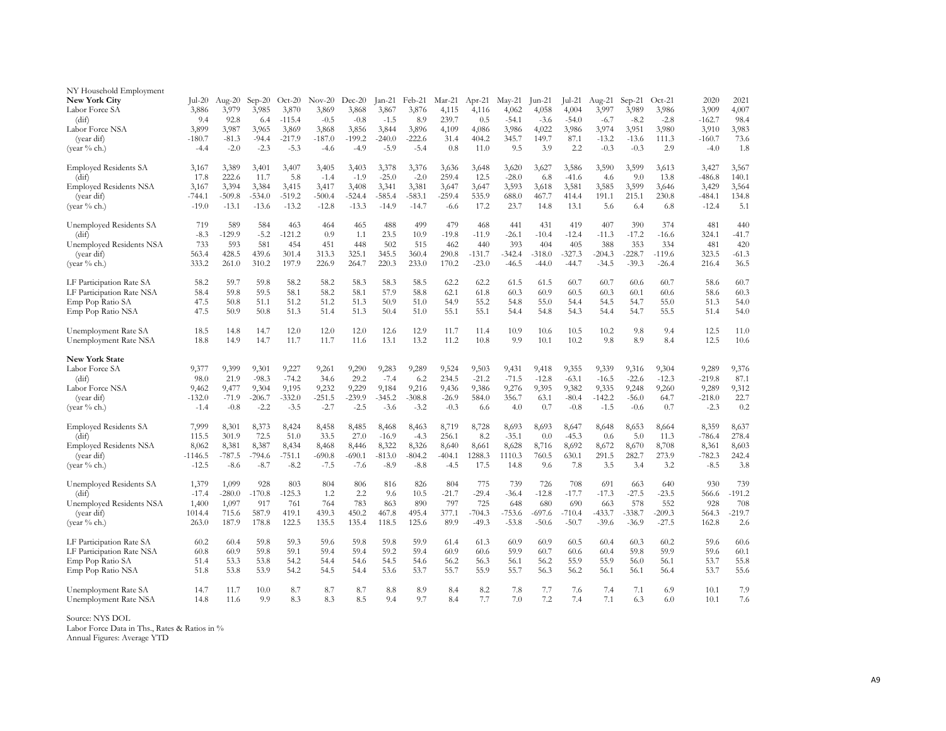| NY Household Employment<br><b>New York City</b><br>Labor Force SA<br>(dif)<br>Labor Force NSA<br>(year dif)<br>(year % ch.) | Jul-20<br>3,886<br>9.4<br>3,899<br>$-180.7$<br>$-4.4$ | Aug- $20$<br>3,979<br>92.8<br>3,987<br>$-81.3$<br>$-2.0$ | $Sep-20$<br>3,985<br>6.4<br>3,965<br>$-94.4$<br>$-2.3$ | $Oct-20$<br>3,870<br>$-115.4$<br>3,869<br>-217.9<br>$-5.3$ | $Nov-20$<br>3,869<br>$-0.5$<br>3,868<br>$-187.0$<br>$-4.6$ | $Dec-20$<br>3,868<br>$-0.8$<br>3,856<br>$-199.2$<br>$-4.9$ | $Jan-21$<br>3,867<br>$-1.5$<br>3,844<br>$-240.0$<br>$-5.9$ | Feb-21<br>3,876<br>8.9<br>3,896<br>$-222.6$<br>$-5.4$ | Mar-21<br>4,115<br>239.7<br>4,109<br>31.4<br>0.8 | $Apr-21$<br>4,116<br>0.5<br>4,086<br>404.2<br>11.0 | $May-21$<br>4,062<br>$-54.1$<br>3,986<br>345.7<br>9.5 | $\text{Jun-21}$<br>4,058<br>$-3.6$<br>4,022<br>149.7<br>3.9 | $\lceil$ ul-21<br>4,004<br>$-54.0$<br>3,986<br>87.1<br>2.2 | Aug-21<br>3,997<br>$-6.7$<br>3,974<br>$-13.2$<br>$-0.3$ | $Sep-21$<br>3,989<br>$-8.2$<br>3,951<br>$-13.6$<br>$-0.3$ | $Oct-21$<br>3,986<br>$-2.8$<br>3,980<br>111.3<br>2.9 | 2020<br>3,909<br>$-162.7$<br>3,910<br>$-160.7$<br>$-4.0$ | 2021<br>4,007<br>98.4<br>3,983<br>73.6<br>1.8 |
|-----------------------------------------------------------------------------------------------------------------------------|-------------------------------------------------------|----------------------------------------------------------|--------------------------------------------------------|------------------------------------------------------------|------------------------------------------------------------|------------------------------------------------------------|------------------------------------------------------------|-------------------------------------------------------|--------------------------------------------------|----------------------------------------------------|-------------------------------------------------------|-------------------------------------------------------------|------------------------------------------------------------|---------------------------------------------------------|-----------------------------------------------------------|------------------------------------------------------|----------------------------------------------------------|-----------------------------------------------|
| <b>Employed Residents SA</b>                                                                                                | 3,167                                                 | 3,389                                                    | 3,401                                                  | 3,407                                                      | 3,405                                                      | 3,403                                                      | 3,378                                                      | 3,376                                                 | 3,636                                            | 3,648                                              | 3,620                                                 | 3,627                                                       | 3,586                                                      | 3,590                                                   | 3,599                                                     | 3,613                                                | 3,427                                                    | 3,567                                         |
| (dif)                                                                                                                       | 17.8                                                  | 222.6                                                    | 11.7                                                   | 5.8                                                        | $-1.4$                                                     | $-1.9$                                                     | $-25.0$                                                    | $-2.0$                                                | 259.4                                            | 12.5                                               | $-28.0$                                               | 6.8                                                         | $-41.6$                                                    | 4.6                                                     | 9.0                                                       | 13.8                                                 | $-486.8$                                                 | 140.1                                         |
| <b>Employed Residents NSA</b>                                                                                               | 3,167                                                 | 3,394                                                    | 3,384                                                  | 3,415                                                      | 3,417                                                      | 3,408                                                      | 3,341                                                      | 3,381                                                 | 3,647                                            | 3,647                                              | 3,593                                                 | 3,618                                                       | 3,581                                                      | 3,585                                                   | 3,599                                                     | 3,646                                                | 3,429                                                    | 3,564                                         |
| (year dif)                                                                                                                  | $-744.1$                                              | $-509.8$                                                 | $-534.0$                                               | -519.2                                                     | $-500.4$                                                   | $-524.4$                                                   | -585.4                                                     | -583.1                                                | $-259.4$                                         | 535.9                                              | 688.0                                                 | 467.7                                                       | 414.4                                                      | 191.1                                                   | 215.1                                                     | 230.8                                                | $-484.1$                                                 | 134.8                                         |
| (year % ch.)                                                                                                                | $-19.0$                                               | $-13.1$                                                  | $-13.6$                                                | $-13.2$                                                    | $-12.8$                                                    | $-13.3$                                                    | $-14.9$                                                    | $-14.7$                                               | $-6.6$                                           | 17.2                                               | 23.7                                                  | 14.8                                                        | 13.1                                                       | 5.6                                                     | 6.4                                                       | 6.8                                                  | $-12.4$                                                  | 5.1                                           |
| Unemployed Residents SA                                                                                                     | 719                                                   | 589                                                      | 584                                                    | 463                                                        | 464                                                        | 465                                                        | 488                                                        | 499                                                   | 479                                              | 468                                                | 441                                                   | 431                                                         | 419                                                        | 407                                                     | 390                                                       | 374                                                  | 481                                                      | 440                                           |
| (dif)                                                                                                                       | $-8.3$                                                | $-129.9$                                                 | $-5.2$                                                 | $-121.2$                                                   | 0.9                                                        | 1.1                                                        | 23.5                                                       | 10.9                                                  | $-19.8$                                          | $-11.9$                                            | $-26.1$                                               | $-10.4$                                                     | $-12.4$                                                    | $-11.3$                                                 | $-17.2$                                                   | $-16.6$                                              | 324.1                                                    | $-41.7$                                       |
| Unemployed Residents NSA                                                                                                    | 733                                                   | 593                                                      | 581                                                    | 454                                                        | 451                                                        | 448                                                        | 502                                                        | 515                                                   | 462                                              | 440                                                | 393                                                   | 404                                                         | 405                                                        | 388                                                     | 353                                                       | 334                                                  | 481                                                      | 420                                           |
| (year dif)                                                                                                                  | 563.4                                                 | 428.5                                                    | 439.6                                                  | 301.4                                                      | 313.3                                                      | 325.1                                                      | 345.5                                                      | 360.4                                                 | 290.8                                            | $-131.7$                                           | $-342.4$                                              | $-318.0$                                                    | $-327.3$                                                   | $-204.3$                                                | $-228.7$                                                  | $-119.6$                                             | 323.5                                                    | $-61.3$                                       |
| (vear $%$ ch.)                                                                                                              | 333.2                                                 | 261.0                                                    | 310.2                                                  | 197.9                                                      | 226.9                                                      | 264.7                                                      | 220.3                                                      | 233.0                                                 | 170.2                                            | $-23.0$                                            | $-46.5$                                               | $-44.0$                                                     | $-44.7$                                                    | $-34.5$                                                 | $-39.3$                                                   | $-26.4$                                              | 216.4                                                    | 36.5                                          |
| LF Participation Rate SA                                                                                                    | 58.2                                                  | 59.7                                                     | 59.8                                                   | 58.2                                                       | 58.2                                                       | 58.3                                                       | 58.3                                                       | 58.5                                                  | 62.2                                             | 62.2                                               | 61.5                                                  | 61.5                                                        | 60.7                                                       | 60.7                                                    | 60.6                                                      | 60.7                                                 | 58.6                                                     | 60.7                                          |
| LF Participation Rate NSA                                                                                                   | 58.4                                                  | 59.8                                                     | 59.5                                                   | 58.1                                                       | 58.2                                                       | 58.1                                                       | 57.9                                                       | 58.8                                                  | 62.1                                             | 61.8                                               | 60.3                                                  | 60.9                                                        | 60.5                                                       | 60.3                                                    | 60.1                                                      | 60.6                                                 | 58.6                                                     | 60.3                                          |
| Emp Pop Ratio SA                                                                                                            | 47.5                                                  | 50.8                                                     | 51.1                                                   | 51.2                                                       | 51.2                                                       | 51.3                                                       | 50.9                                                       | 51.0                                                  | 54.9                                             | 55.2                                               | 54.8                                                  | 55.0                                                        | 54.4                                                       | 54.5                                                    | 54.7                                                      | 55.0                                                 | 51.3                                                     | 54.0                                          |
| Emp Pop Ratio NSA                                                                                                           | 47.5                                                  | 50.9                                                     | 50.8                                                   | 51.3                                                       | 51.4                                                       | 51.3                                                       | 50.4                                                       | 51.0                                                  | 55.1                                             | 55.1                                               | 54.4                                                  | 54.8                                                        | 54.3                                                       | 54.4                                                    | 54.7                                                      | 55.5                                                 | 51.4                                                     | 54.0                                          |
| Unemployment Rate SA                                                                                                        | 18.5                                                  | 14.8                                                     | 14.7                                                   | 12.0                                                       | 12.0                                                       | 12.0                                                       | 12.6                                                       | 12.9                                                  | 11.7                                             | 11.4                                               | 10.9                                                  | 10.6                                                        | 10.5                                                       | 10.2                                                    | 9.8                                                       | 9.4                                                  | 12.5                                                     | 11.0                                          |
| Unemployment Rate NSA<br><b>New York State</b><br>Labor Force SA<br>(dif)<br>Labor Force NSA<br>(year dif)                  | 18.8<br>9,377<br>98.0<br>9,462<br>$-132.0$            | 14.9<br>9,399<br>21.9<br>9,477<br>$-71.9$                | 14.7<br>9,301<br>$-98.3$<br>9,304<br>$-206.7$          | 11.7<br>9,227<br>$-74.2$<br>9,195<br>$-332.0$              | 11.7<br>9,261<br>34.6<br>9,232<br>-251.5                   | 11.6<br>9,290<br>29.2<br>9,229<br>$-239.9$                 | 13.1<br>9,283<br>$-7.4$<br>9,184<br>-345.2                 | 13.2<br>9,289<br>6.2<br>9,216<br>$-308.8$             | 11.2<br>9,524<br>234.5<br>9,436<br>$-26.9$       | 10.8<br>9,503<br>$-21.2$<br>9,386<br>584.0         | 9.9<br>9,431<br>$-71.5$<br>9,276<br>356.7             | 10.1<br>9,418<br>$-12.8$<br>9,395<br>63.1                   | 10.2<br>9,355<br>$-63.1$<br>9,382<br>$-80.4$               | 9.8<br>9,339<br>$-16.5$<br>9,335<br>$-142.2$            | 8.9<br>9,316<br>$-22.6$<br>9,248<br>$-56.0$               | 8.4<br>9,304<br>$-12.3$<br>9,260<br>64.7             | 12.5<br>9,289<br>$-219.8$<br>9,289<br>$-218.0$           | 10.6<br>9,376<br>87.1<br>9,312<br>22.7        |
| (year % ch.)                                                                                                                | $-1.4$                                                | $-0.8$                                                   | $-2.2$                                                 | $-3.5$                                                     | $-2.7$                                                     | $-2.5$                                                     | $-3.6$                                                     | $-3.2$                                                | $-0.3$                                           | 6.6                                                | 4.0                                                   | 0.7                                                         | $-0.8$                                                     | $-1.5$                                                  | $-0.6$                                                    | 0.7                                                  | $-2.3$                                                   | 0.2                                           |
| <b>Employed Residents SA</b>                                                                                                | 7,999                                                 | 8,301                                                    | 8,373                                                  | 8,424                                                      | 8,458                                                      | 8,485                                                      | 8,468                                                      | 8,463                                                 | 8,719                                            | 8,728                                              | 8,693                                                 | 8,693                                                       | 8,647                                                      | 8,648                                                   | 8,653                                                     | 8,664                                                | 8,359                                                    | 8,637                                         |
| (dif)                                                                                                                       | 115.5                                                 | 301.9                                                    | 72.5                                                   | 51.0                                                       | 33.5                                                       | 27.0                                                       | $-16.9$                                                    | $-4.3$                                                | 256.1                                            | 8.2                                                | $-35.1$                                               | 0.0                                                         | $-45.3$                                                    | 0.6                                                     | 5.0                                                       | 11.3                                                 | $-786.4$                                                 | 278.4                                         |
| <b>Employed Residents NSA</b>                                                                                               | 8,062                                                 | 8,381                                                    | 8,387                                                  | 8,434                                                      | 8,468                                                      | 8,446                                                      | 8,322                                                      | 8,326                                                 | 8,640                                            | 8,661                                              | 8,628                                                 | 8,716                                                       | 8,692                                                      | 8,672                                                   | 8,670                                                     | 8,708                                                | 8,361                                                    | 8,603                                         |
| (year dif)                                                                                                                  | $-1146.5$                                             | $-787.5$                                                 | $-794.6$                                               | -751.1                                                     | $-690.8$                                                   | $-690.1$                                                   | $-813.0$                                                   | $-804.2$                                              | $-404.1$                                         | 1288.3                                             | 1110.3                                                | 760.5                                                       | 630.1                                                      | 291.5                                                   | 282.7                                                     | 273.9                                                | $-782.3$                                                 | 242.4                                         |
| (vear $%$ ch.)                                                                                                              | $-12.5$                                               | $-8.6$                                                   | $-8.7$                                                 | $-8.2$                                                     | $-7.5$                                                     | $-7.6$                                                     | $-8.9$                                                     | $-8.8$                                                | $-4.5$                                           | 17.5                                               | 14.8                                                  | 9.6                                                         | 7.8                                                        | 3.5                                                     | 3.4                                                       | 3.2                                                  | $-8.5$                                                   | 3.8                                           |
| Unemployed Residents SA                                                                                                     | 1,379                                                 | 1,099                                                    | 928                                                    | 803                                                        | 804                                                        | 806                                                        | 816                                                        | 826                                                   | 804                                              | 775                                                | 739                                                   | 726                                                         | 708                                                        | 691                                                     | 663                                                       | 640                                                  | 930                                                      | 739                                           |
| (dif)                                                                                                                       | $-17.4$                                               | $-280.0$                                                 | $-170.8$                                               | $-125.3$                                                   | 1.2                                                        | 2.2                                                        | 9.6                                                        | 10.5                                                  | $-21.7$                                          | $-29.4$                                            | $-36.4$                                               | $-12.8$                                                     | $-17.7$                                                    | $-17.3$                                                 | $-27.5$                                                   | $-23.5$                                              | 566.6                                                    | $-191.2$                                      |
| Unemployed Residents NSA                                                                                                    | 1,400                                                 | 1,097                                                    | 917                                                    | 761                                                        | 764                                                        | 783                                                        | 863                                                        | 890                                                   | 797                                              | 725                                                | 648                                                   | 680                                                         | 690                                                        | 663                                                     | 578                                                       | 552                                                  | 928                                                      | 708                                           |
| (year dif)                                                                                                                  | 1014.4                                                | 715.6                                                    | 587.9                                                  | 419.1                                                      | 439.3                                                      | 450.2                                                      | 467.8                                                      | 495.4                                                 | 377.1                                            | $-704.3$                                           | $-753.6$                                              | $-697.6$                                                    | $-710.4$                                                   | -433.7                                                  | $-338.7$                                                  | $-209.3$                                             | 564.3                                                    | $-219.7$                                      |
| (year % ch.)                                                                                                                | 263.0                                                 | 187.9                                                    | 178.8                                                  | 122.5                                                      | 135.5                                                      | 135.4                                                      | 118.5                                                      | 125.6                                                 | 89.9                                             | $-49.3$                                            | $-53.8$                                               | $-50.6$                                                     | $-50.7$                                                    | $-39.6$                                                 | $-36.9$                                                   | $-27.5$                                              | 162.8                                                    | 2.6                                           |
| LF Participation Rate SA                                                                                                    | 60.2                                                  | 60.4                                                     | 59.8                                                   | 59.3                                                       | 59.6                                                       | 59.8                                                       | 59.8                                                       | 59.9                                                  | 61.4                                             | 61.3                                               | 60.9                                                  | 60.9                                                        | 60.5                                                       | 60.4                                                    | 60.3                                                      | 60.2                                                 | 59.6                                                     | 60.6                                          |
| LF Participation Rate NSA                                                                                                   | 60.8                                                  | 60.9                                                     | 59.8                                                   | 59.1                                                       | 59.4                                                       | 59.4                                                       | 59.2                                                       | 59.4                                                  | 60.9                                             | 60.6                                               | 59.9                                                  | 60.7                                                        | 60.6                                                       | 60.4                                                    | 59.8                                                      | 59.9                                                 | 59.6                                                     | 60.1                                          |
| Emp Pop Ratio SA                                                                                                            | 51.4                                                  | 53.3                                                     | 53.8                                                   | 54.2                                                       | 54.4                                                       | 54.6                                                       | 54.5                                                       | 54.6                                                  | 56.2                                             | 56.3                                               | 56.1                                                  | 56.2                                                        | 55.9                                                       | 55.9                                                    | 56.0                                                      | 56.1                                                 | 53.7                                                     | 55.8                                          |
| Emp Pop Ratio NSA                                                                                                           | 51.8                                                  | 53.8                                                     | 53.9                                                   | 54.2                                                       | 54.5                                                       | 54.4                                                       | 53.6                                                       | 53.7                                                  | 55.7                                             | 55.9                                               | 55.7                                                  | 56.3                                                        | 56.2                                                       | 56.1                                                    | 56.1                                                      | 56.4                                                 | 53.7                                                     | 55.6                                          |
| Unemployment Rate SA                                                                                                        | 14.7                                                  | 11.7                                                     | 10.0                                                   | 8.7                                                        | 8.7                                                        | 8.7                                                        | 8.8                                                        | 8.9                                                   | 8.4                                              | 8.2                                                | 7.8                                                   | 7.7                                                         | 7.6                                                        | 7.4                                                     | 7.1                                                       | 6.9                                                  | 10.1                                                     | 7.9                                           |
| Unemployment Rate NSA                                                                                                       | 14.8                                                  | 11.6                                                     | 9.9                                                    | 8.3                                                        | 8.3                                                        | 8.5                                                        | 9.4                                                        | 9.7                                                   | 8.4                                              | 7.7                                                | 7.0                                                   | 7.2                                                         | 7.4                                                        | 7.1                                                     | 6.3                                                       | 6.0                                                  | 10.1                                                     | 7.6                                           |

Source: NYS DOL

Labor Force Data in Ths., Rates & Ratios in %

Annual Figures: Average YTD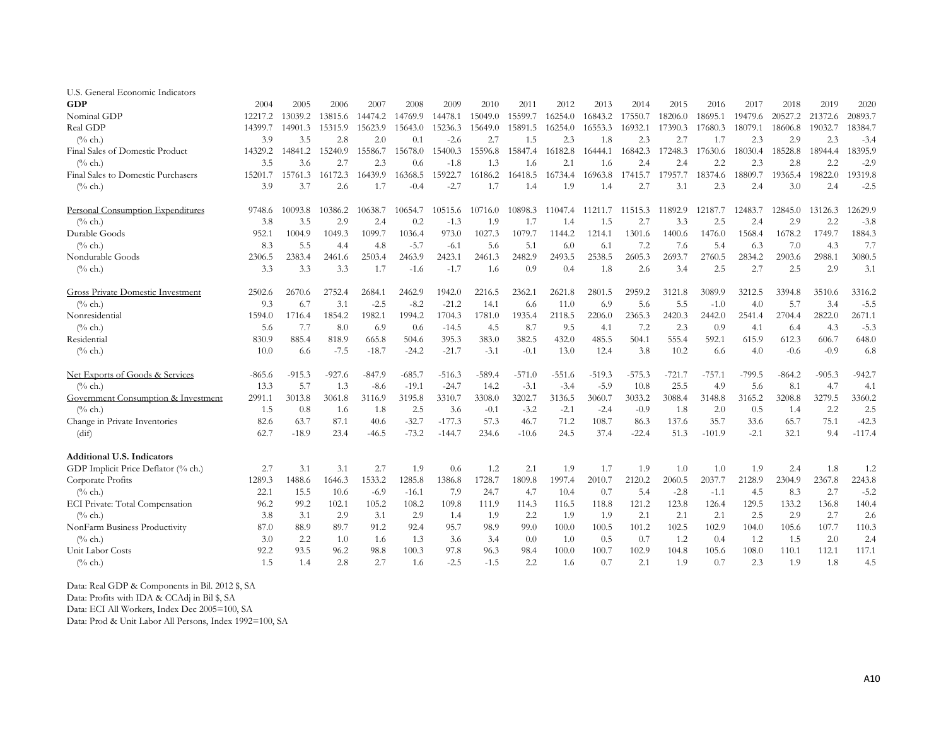| U.S. General Economic Indicators         |          |          |          |          |          |          |          |          |          |          |          |          |          |          |          |          |          |
|------------------------------------------|----------|----------|----------|----------|----------|----------|----------|----------|----------|----------|----------|----------|----------|----------|----------|----------|----------|
| <b>GDP</b>                               | 2004     | 2005     | 2006     | 2007     | 2008     | 2009     | 2010     | 2011     | 2012     | 2013     | 2014     | 2015     | 2016     | 2017     | 2018     | 2019     | 2020     |
| Nominal GDP                              | 12217.2  | 13039.2  | 13815.6  | 14474.2  | 14769.9  | 14478.1  | 15049.0  | 15599.7  | 16254.0  | 16843.2  | 17550.7  | 18206.0  | 18695.1  | 19479.6  | 20527.2  | 21372.6  | 20893.7  |
| Real GDP                                 | 14399.7  | 14901.3  | 15315.9  | 15623.9  | 15643.0  | 15236.3  | 15649.0  | 15891.5  | 16254.0  | 16553.3  | 16932.1  | 17390.3  | 17680.3  | 18079.1  | 18606.8  | 19032.7  | 18384.7  |
| $(\%$ ch.)                               | 3.9      | 3.5      | 2.8      | 2.0      | 0.1      | $-2.6$   | 2.7      | 1.5      | 2.3      | 1.8      | 2.3      | 2.7      | 1.7      | 2.3      | 2.9      | 2.3      | $-3.4$   |
| Final Sales of Domestic Product          | 14329.2  | 14841.2  | 15240.9  | 15586.7  | 15678.0  | 15400.3  | 15596.8  | 15847.4  | 16182.8  | 16444.1  | 16842.3  | 17248.3  | 17630.6  | 18030.4  | 18528.8  | 18944.4  | 18395.9  |
| $\frac{0}{6}$ ch.)                       | 3.5      | 3.6      | 2.7      | 2.3      | 0.6      | $-1.8$   | 1.3      | 1.6      | 2.1      | 1.6      | 2.4      | 2.4      | 2.2      | 2.3      | 2.8      | 2.2      | $-2.9$   |
| Final Sales to Domestic Purchasers       | 15201.7  | 15761.3  | 16172.3  | 16439.9  | 16368.5  | 15922.7  | 16186.2  | 16418.5  | 16734.4  | 16963.8  | 17415.7  | 17957.7  | 18374.6  | 18809.7  | 19365.4  | 19822.0  | 19319.8  |
| $\frac{6}{6}$ ch.)                       | 3.9      | 3.7      | 2.6      | 1.7      | $-0.4$   | $-2.7$   | 1.7      | 1.4      | 1.9      | 1.4      | 2.7      | 3.1      | 2.3      | 2.4      | 3.0      | 2.4      | $-2.5$   |
| Personal Consumption Expenditures        | 9748.6   | 10093.8  | 10386.2  | 10638.7  | 10654.7  | 10515.6  | 10716.0  | 10898.3  | 11047.4  | 1121     | 11515.3  | 11892.9  | 12187.7  | 12483.7  | 12845.0  | 13126.3  | 12629.9  |
| $(\%$ ch.)                               | 3.8      | 3.5      | 2.9      | 2.4      | 0.2      | $-1.3$   | 1.9      | 1.7      | 1.4      | 1.5      | 2.7      | 3.3      | 2.5      | 2.4      | 2.9      | 2.2      | $-3.8$   |
| Durable Goods                            | 952.1    | 1004.9   | 1049.3   | 1099.7   | 1036.4   | 973.0    | 1027.3   | 1079.7   | 1144.2   | 1214.1   | 1301.6   | 1400.6   | 1476.0   | 1568.4   | 1678.2   | 1749.7   | 1884.3   |
| $(\%$ ch.)                               | 8.3      | 5.5      | 4.4      | -4.8     | $-5.7$   | $-6.1$   | 5.6      | 5.1      | 6.0      | 6.1      | 7.2      | 7.6      | 5.4      | 6.3      | 7.0      | 4.3      | 7.7      |
| Nondurable Goods                         | 2306.5   | 2383.4   | 2461.6   | 2503.4   | 2463.9   | 2423.1   | 2461.3   | 2482.9   | 2493.5   | 2538.5   | 2605.3   | 2693.7   | 2760.5   | 2834.2   | 2903.6   | 2988.1   | 3080.5   |
| $(\%$ ch.)                               | 3.3      | 3.3      | 3.3      | 1.7      | $-1.6$   | $-1.7$   | 1.6      | 0.9      | 0.4      | 1.8      | 2.6      | 3.4      | 2.5      | 2.7      | 2.5      | 2.9      | 3.1      |
| <b>Gross Private Domestic Investment</b> | 2502.6   | 2670.6   | 2752.4   | 2684.1   | 2462.9   | 1942.0   | 2216.5   | 2362.1   | 2621.8   | 2801.5   | 2959.2   | 3121.8   | 3089.9   | 3212.5   | 3394.8   | 3510.6   | 3316.2   |
| $(\%$ ch.)                               | 9.3      | 6.7      | 3.1      | $-2.5$   | $-8.2$   | $-21.2$  | 14.1     | 6.6      | 11.0     | 6.9      | 5.6      | 5.5      | $-1.0$   | 4.0      | 5.7      | 3.4      | $-5.5$   |
| Nonresidential                           | 1594.0   | 1716.4   | 1854.2   | 1982.1   | 1994.2   | 1704.3   | 1781.0   | 1935.4   | 2118.5   | 2206.0   | 2365.3   | 2420.3   | 2442.0   | 2541.4   | 2704.4   | 2822.0   | 2671.1   |
| $(\%$ ch.)                               | 5.6      | 7.7      | 8.0      | 6.9      | 0.6      | $-14.5$  | 4.5      | 8.7      | 9.5      | 4.1      | 7.2      | 2.3      | 0.9      | 4.1      | 6.4      | 4.3      | $-5.3$   |
| Residential                              | 830.9    | 885.4    | 818.9    | 665.8    | 504.6    | 395.3    | 383.0    | 382.5    | 432.0    | 485.5    | 504.1    | 555.4    | 592.1    | 615.9    | 612.3    | 606.7    | 648.0    |
| $(\%$ ch.)                               | 10.0     | 6.6      | $-7.5$   | $-18.7$  | $-24.2$  | $-21.7$  | $-3.1$   | $-0.1$   | 13.0     | 12.4     | 3.8      | 10.2     | 6.6      | 4.0      | $-0.6$   | $-0.9$   | 6.8      |
| Net Exports of Goods & Services          | $-865.6$ | $-915.3$ | $-927.6$ | $-847.9$ | $-685.7$ | $-516.3$ | $-589.4$ | $-571.0$ | $-551.6$ | $-519.3$ | $-575.3$ | $-721.7$ | $-757.1$ | $-799.5$ | $-864.2$ | $-905.3$ | $-942.7$ |
| $(\%$ ch.)                               | 13.3     | 5.7      | 1.3      | $-8.6$   | $-19.1$  | $-24.7$  | 14.2     | $-3.1$   | $-3.4$   | $-5.9$   | 10.8     | 25.5     | 4.9      | 5.6      | 8.1      | 4.7      | 4.1      |
| Government Consumption & Investment      | 2991.1   | 3013.8   | 3061.8   | 3116.9   | 3195.8   | 3310.7   | 3308.0   | 3202.7   | 3136.5   | 3060.7   | 3033.2   | 3088.4   | 3148.8   | 3165.2   | 3208.8   | 3279.5   | 3360.2   |
| $(\%$ ch.)                               | 1.5      | 0.8      | 1.6      | 1.8      | 2.5      | 3.6      | $-0.1$   | $-3.2$   | $-2.1$   | $-2.4$   | $-0.9$   | 1.8      | 2.0      | 0.5      | 1.4      | 2.2      | 2.5      |
| Change in Private Inventories            | 82.6     | 63.7     | 87.1     | 40.6     | $-32.7$  | $-177.3$ | 57.3     | 46.7     | 71.2     | 108.7    | 86.3     | 137.6    | 35.7     | 33.6     | 65.7     | 75.1     | $-42.3$  |
| (dif)                                    | 62.7     | $-18.9$  | 23.4     | -46.5    | $-73.2$  | $-144.7$ | 234.6    | $-10.6$  | 24.5     | 37.4     | $-22.4$  | 51.3     | $-101.9$ | $-2.1$   | 32.1     | 9.4      | $-117.4$ |
| <b>Additional U.S. Indicators</b>        |          |          |          |          |          |          |          |          |          |          |          |          |          |          |          |          |          |
| GDP Implicit Price Deflator (% ch.)      | 2.7      | 3.1      | 3.1      | 2.7      | 1.9      | 0.6      | 1.2      | 2.1      | 1.9      | 1.7      | 1.9      | 1.0      | 1.0      | 1.9      | 2.4      | 1.8      | 1.2      |
| Corporate Profits                        | 1289.3   | 1488.6   | 1646.3   | 1533.2   | 1285.8   | 1386.8   | 1728.7   | 1809.8   | 1997.4   | 2010.7   | 2120.2   | 2060.5   | 2037.7   | 2128.9   | 2304.9   | 2367.8   | 2243.8   |
| $(\%$ ch.)                               | 22.1     | 15.5     | 10.6     | $-6.9$   | $-16.1$  | 7.9      | 24.7     | 4.7      | 10.4     | 0.7      | 5.4      | $-2.8$   | $-1.1$   | 4.5      | 8.3      | 2.7      | $-5.2$   |
| ECI Private: Total Compensation          | 96.2     | 99.2     | 102.1    | 105.2    | 108.2    | 109.8    | 111.9    | 114.3    | 116.5    | 118.8    | 121.2    | 123.8    | 126.4    | 129.5    | 133.2    | 136.8    | 140.4    |
| $(\%$ ch.)                               | 3.8      | 3.1      | 2.9      | 3.1      | 2.9      | 1.4      | 1.9      | 2.2      | 1.9      | 1.9      | 2.1      | 2.1      | 2.1      | 2.5      | 2.9      | 2.7      | 2.6      |
| NonFarm Business Productivity            | 87.0     | 88.9     | 89.7     | 91.2     | 92.4     | 95.7     | 98.9     | 99.0     | 100.0    | 100.5    | 101.2    | 102.5    | 102.9    | 104.0    | 105.6    | 107.7    | 110.3    |
| $(\%$ ch.)                               | 3.0      | 2.2      | 1.0      | 1.6      | 1.3      | 3.6      | 3.4      | 0.0      | 1.0      | 0.5      | 0.7      | 1.2      | 0.4      | 1.2      | 1.5      | 2.0      | 2.4      |
| Unit Labor Costs                         | 92.2     | 93.5     | 96.2     | 98.8     | 100.3    | 97.8     | 96.3     | 98.4     | 100.0    | 100.7    | 102.9    | 104.8    | 105.6    | 108.0    | 110.1    | 112.1    | 117.1    |
| $(\%$ ch.)                               | 1.5      | 1.4      | 2.8      | 2.7      | 1.6      | $-2.5$   | $-1.5$   | 2.2      | 1.6      | 0.7      | 2.1      | 1.9      | 0.7      | 2.3      | 1.9      | 1.8      | 4.5      |

Data: Real GDP & Components in Bil. 2012 \$, SA Data: Profits with IDA & CCAdj in Bil \$, SA Data: ECI All Workers, Index Dec 2005=100, SA

Data: Prod & Unit Labor All Persons, Index 1992=100, SA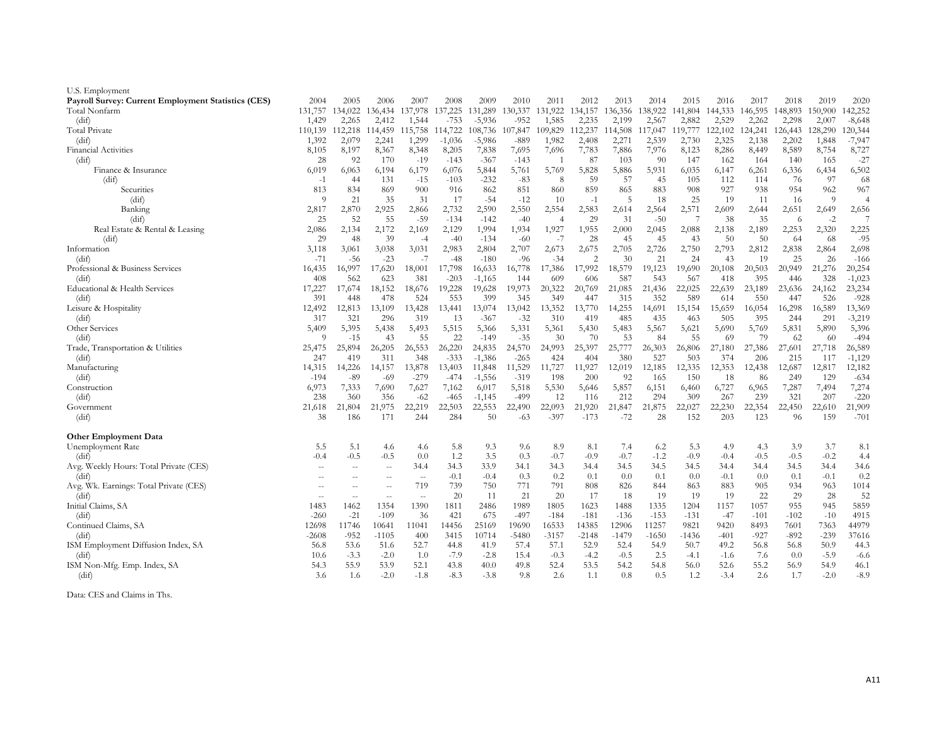| U.S. Employment                                            |               |               |                          |               |                  |                    |                 |                |                |              |               |               |               |               |               |              |                  |
|------------------------------------------------------------|---------------|---------------|--------------------------|---------------|------------------|--------------------|-----------------|----------------|----------------|--------------|---------------|---------------|---------------|---------------|---------------|--------------|------------------|
| <b>Payroll Survey: Current Employment Statistics (CES)</b> | 2004          | 2005          | 2006                     | 2007          | 2008             | 2009               | 2010            | 2011           | 2012           | 2013         | 2014          | 2015          | 2016          | 2017          | 2018          | 2019         | 2020             |
| Total Nonfarm                                              | 131,757       | 134,022       | 136,434                  | 137,978       | 137,225          | 131,289            | 130,337         | 131,922        | 134,157        | 136,356      | 138,922       | 141,804       | 144,333       | 146,595       | 148,893       | 150,900      | 142,252          |
| (dif)                                                      | 1,429         | 2,265         | 2,412                    | 1,544         | $-753$           | $-5,936$           | $-952$          | 1,585          | 2,235          | 2,199        | 2,567         | 2,882         | 2,529         | 2,262         | 2,298         | 2,007        | $-8,648$         |
| <b>Total Private</b>                                       | 110,139       | 112,218       | 114,459                  | 115,758       | 114,722          | 108,736            | 107,847         | 109,829        | 112,237        | 114,508      | 117,047       | 119,777       | 122,102       | 124,241       | 126,443       | 128,290      | 120,344          |
| (dif)                                                      | 1,392         | 2,079         | 2,241                    | 1,299         | $-1,036$         | -5,986             | $-889$          | 1,982          | 2,408          | 2,271        | 2,539         | 2,730         | 2,325         | 2,138         | 2,202         | 1,848        | $-7,947$         |
| <b>Financial Activities</b>                                | 8,105         | 8,197         | 8,367                    | 8,348         | 8,205            | 7,838              | 7,695           | 7,696          | 7,783          | 7,886        | 7,976         | 8,123         | 8,286         | 8,449         | 8,589         | 8,754        | 8,727            |
| (dif)                                                      | 28            | 92            | 170                      | $-19$         | $-143$           | $-367$             | $-143$          |                | 87             | 103          | -90           | 147           | 162           | 164           | 140           | 165          | $-27$            |
| Finance & Insurance                                        | 6,019         | 6,063         | 6,194                    | 6,179         | 6,076            | 5,844              | 5,761           | 5,769          | 5,828          | 5,886        | 5,931         | 6,035         | 6,147         | 6,261         | 6,336         | 6,434        | 6,502            |
| (dif)                                                      | $-1$          | 44            | 131                      | $-15$         | $-103$           | $-232$             | $-83$           | 8              | 59             | 57           | 45            | 105           | 112           | 114           | 76            | 97           | 68               |
| Securities                                                 | 813           | 834           | 869                      | 900           | 916              | 862                | 851             | 860            | 859            | 865          | 883           | 908           | 927           | 938           | 954           | 962          | 967              |
| (dif)                                                      | $\Omega$      | 21            | 35                       | 31            | 17               | $-54$              | $-12$           | -10            | $-1$           | 5            | 18            | 25            | 19            | 11            | 16            | 9            | $\overline{4}$   |
| Banking                                                    | 2,817         | 2,870         | 2,925                    | 2,866         | 2,732            | 2,590              | 2,550           | 2,554          | 2,583          | 2,614        | 2,564         | 2,571         | 2,609         | 2,644         | 2,651         | 2,649        | 2,656            |
| (dif)                                                      | 25            | 52            | 55                       | $-59$         | $-134$           | $-142$             | $-40$           | $\overline{4}$ | 29             | 31           | $-50$         | -7            | 38            | 35            | -6            | $-2$         | $\overline{7}$   |
| Real Estate & Rental & Leasing                             | 2,086         | 2,134         | 2,172                    | 2,169         | 2,129            | 1,994              | 1,934           | 1,927          | 1,955          | 2,000        | 2,045         | 2,088         | 2,138         | 2,189         | 2,253         | 2,320        | 2,225            |
| (dif)                                                      | 29            | 48            | 39                       | $-4$          | $-40$            | $-134$             | $-60$           | -7             | 28             | 45           | 45            | 43            | 50            | 50            | -64           | -68          | $-95$            |
| Information                                                | 3,118         | 3,061         | 3,038                    | 3,031         | 2,983            | 2,804              | 2,707           | 2,673          | 2,675          | 2,705        | 2,726         | 2,750         | 2,793         | 2,812         | 2,838         | 2,864        | 2,698            |
| (dif)                                                      | $-71$         | $-56$         | $-23$                    | $-7$          | $-48$            | $-180$             | $-96$<br>16,778 | $-34$          | $\overline{2}$ | 30<br>18,579 | 21            | 24            | 43            | 19<br>20,503  | 25            | 26<br>21,276 | $-166$<br>20,254 |
| Professional & Business Services                           | 16,435<br>408 | 16,997<br>562 | 17,620<br>623            | 18,001<br>381 | 17,798<br>$-203$ | 16,633             | 144             | 17,386<br>609  | 17,992<br>606  | 587          | 19,123<br>543 | 19,690<br>567 | 20,108<br>418 | 395           | 20,949<br>446 | 328          | $-1,023$         |
| (dif)<br>Educational & Health Services                     | 17,227        | 17,674        | 18,152                   | 18,676        | 19,228           | $-1,165$<br>19,628 | 19,973          | 20,322         | 20,769         | 21,085       | 21,436        | 22,025        | 22,639        | 23,189        | 23,636        | 24,162       | 23,234           |
| (dif)                                                      | 391           | 448           | 478                      | 524           | 553              | 399                | 345             | 349            | 447            | 315          | 352           | 589           | 614           | 550           | 447           | 526          | $-928$           |
| Leisure & Hospitality                                      | 12,492        | 12,813        | 13,109                   | 13,428        | 13,441           | 13,074             | 13,042          | 13,352         | 13,770         | 14,255       | 14,691        | 15,154        | 15,659        | 16,054        | 16,298        | 16,589       | 13,369           |
| (dif)                                                      | 317           | 321           | 296                      | 319           | 13               | $-367$             | $-32$           | 310            | 419            | 485          | 435           | 463           | 505           | 395           | 244           | 291          | $-3,219$         |
| Other Services                                             | 5,409         | 5,395         | 5,438                    | 5,493         | 5,515            | 5,366              | 5,331           | 5,361          | 5,430          | 5,483        | 5,567         | 5,621         | 5,690         | 5,769         | 5,831         | 5,890        | 5,396            |
| (dif)                                                      | -9            | $-15$         | 43                       | 55            | 22               | $-149$             | $-35$           | 30             | 70             | 53           | 84            | 55            | 69            | 79            | 62            | 60           | $-494$           |
| Trade, Transportation & Utilities                          | 25,475        | 25,894        | 26,205                   | 26,553        | 26,220           | 24,835             | 24,570          | 24,993         | 25,397         | 25,777       | 26,303        | 26,806        | 27,180        | 27,386        | 27,601        | 27,718       | 26,589           |
| (dif)                                                      | 247           | 419           | 311                      | 348           | $-333$           | $-1,386$           | $-265$          | 424            | 404            | 380          | 527           | 503           | 374           | 206           | 215           | 117          | $-1,129$         |
| Manufacturing                                              | 14,315        | 14,226        | 14,157                   | 13,878        | 13,403           | 11,848             | 11,529          | 11,727         | 11,927         | 12,019       | 12,185        | 12,335        | 12,353        | 12,438        | 12,687        | 12,817       | 12,182           |
| (dif)                                                      | $-194$        | $-89$         | -69                      | $-279$        | $-474$           | $-1,556$           | $-319$          | 198            | 200            | 92           | 165           | 150           | 18            | 86            | 249           | 129          | $-634$           |
| Construction                                               | 6,973         | 7,333         | 7,690                    | 7,627         | 7,162            | 6,017              | 5,518           | 5,530          | 5,646          | 5,857        | 6,151         | 6,460         | 6,727         | 6,965         | 7,287         | 7,494        | 7,274            |
| (dif)                                                      | 238           | 360           | 356                      | $-62$         | $-465$           | $-1,145$           | -499            | 12             | 116            | 212          | 294           | 309           | 267           | 239           | 321           | 207          | $-220$           |
| Government                                                 | 21,618        | 21,804        | 21,975                   | 22,219        | 22,503           | 22,553             | 22,490          | 22,093         | 21,920         | 21,847       | 21,875        | 22,027        | 22,230        | 22,354        | 22,450        | 22,610       | 21,909           |
| (dif)                                                      | 38            | 186           | 171                      | 244           | 284              | 50                 | $-63$           | $-397$         | $-173$         | $-72$        | 28            | 152           | 203           | 123           | 96            | 159          | $-701$           |
|                                                            |               |               |                          |               |                  |                    |                 |                |                |              |               |               |               |               |               |              |                  |
| <b>Other Employment Data</b>                               |               | 5.1           | 4.6                      | 4.6           | 5.8              | 9.3                | 9.6             | 8.9            | 8.1            | 7.4          |               | 5.3           | 4.9           |               | 3.9           | 3.7          | 8.1              |
| Unemployment Rate<br>(dif)                                 | 5.5<br>$-0.4$ | $-0.5$        | $-0.5$                   | 0.0           | 1.2              | 3.5                | 0.3             | $-0.7$         | $-0.9$         | $-0.7$       | 6.2<br>$-1.2$ | $-0.9$        | $-0.4$        | 4.3<br>$-0.5$ | $-0.5$        | $-0.2$       | 4.4              |
| Avg. Weekly Hours: Total Private (CES)                     | ×.            | $\sim$        | $\overline{\phantom{a}}$ | 34.4          | 34.3             | 33.9               | 34.1            | 34.3           | 34.4           | 34.5         | 34.5          | 34.5          | 34.4          | 34.4          | 34.5          | 34.4         | 34.6             |
| (dif)                                                      | $\sim$        | $-$           | $\sim$                   | $\sim$ $-$    | $-0.1$           | $-0.4$             | 0.3             | 0.2            | 0.1            | 0.0          | 0.1           | 0.0           | $-0.1$        | 0.0           | 0.1           | $-0.1$       | 0.2              |
| Avg. Wk. Earnings: Total Private (CES)                     | $\sim$        | $\sim$        | $\hspace{0.05cm} -$      | 719           | 739              | 750                | 771             | 791            | 808            | 826          | 844           | 863           | 883           | 905           | 934           | 963          | 1014             |
| (dif)                                                      | $\sim$        | $\sim$ $\sim$ | $\overline{\phantom{a}}$ | $\sim$ $-$    | 20               | 11                 | 21              | 20             | 17             | 18           | 19            | 19            | 19            | 22            | 29            | 28           | 52               |
| Initial Claims, SA                                         | 1483          | 1462          | 1354                     | 1390          | 1811             | 2486               | 1989            | 1805           | 1623           | 1488         | 1335          | 1204          | 1157          | 1057          | 955           | 945          | 5859             |
| (dif)                                                      | $-260$        | $-21$         | $-109$                   | 36            | 421              | 675                | $-497$          | $-184$         | $-181$         | $-136$       | $-153$        | $-131$        | $-47$         | $-101$        | $-102$        | $-10$        | 4915             |
| Continued Claims, SA                                       | 12698         | 11746         | 10641                    | 11041         | 14456            | 25169              | 19690           | 16533          | 14385          | 12906        | 11257         | 9821          | 9420          | 8493          | 7601          | 7363         | 44979            |
| (dif)                                                      | -2608         | $-952$        | $-1105$                  | 400           | 3415             | 10714              | $-5480$         | $-3157$        | $-2148$        | $-1479$      | $-1650$       | $-1436$       | $-401$        | $-927$        | $-892$        | $-239$       | 37616            |
| ISM Employment Diffusion Index, SA                         | 56.8          | 53.6          | 51.6                     | 52.7          | 44.8             | 41.9               | 57.4            | 57.1           | 52.9           | 52.4         | 54.9          | 50.7          | 49.2          | 56.8          | 56.8          | 50.9         | 44.3             |
| (dif)                                                      | 10.6          | $-3.3$        | $-2.0$                   | 1.0           | $-7.9$           | $-2.8$             | 15.4            | $-0.3$         | $-4.2$         | $-0.5$       | 2.5           | $-4.1$        | $-1.6$        | 7.6           | 0.0           | $-5.9$       | $-6.6$           |
| ISM Non-Mfg. Emp. Index, SA                                | 54.3          | 55.9          | 53.9                     | 52.1          | 43.8             | 40.0               | 49.8            | 52.4           | 53.5           | 54.2         | 54.8          | 56.0          | 52.6          | 55.2          | 56.9          | 54.9         | 46.1             |
| (dif)                                                      | 3.6           | 1.6           | $-2.0$                   | $-1.8$        | $-8.3$           | $-3.8$             | 9.8             | 2.6            | 1.1            | 0.8          | 0.5           | 1.2           | $-3.4$        | 2.6           | 1.7           | $-2.0$       | $-8.9$           |
|                                                            |               |               |                          |               |                  |                    |                 |                |                |              |               |               |               |               |               |              |                  |

Data: CES and Claims in Ths.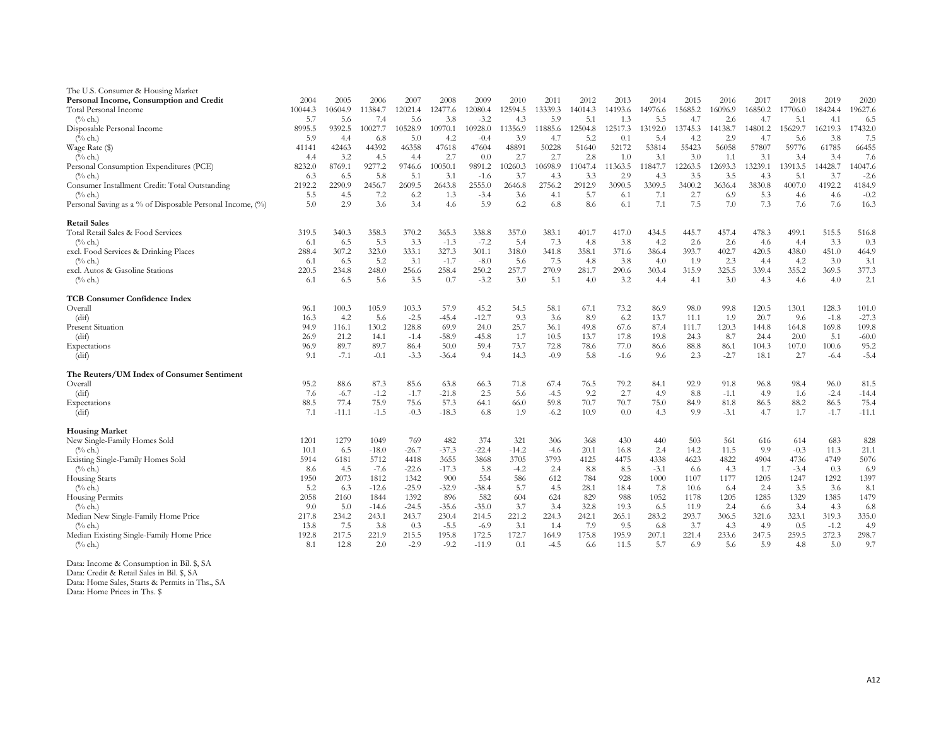| The U.S. Consumer & Housing Market                        |         |         |         |         |         |         |         |         |                 |         |         |         |         |         |         |         |         |
|-----------------------------------------------------------|---------|---------|---------|---------|---------|---------|---------|---------|-----------------|---------|---------|---------|---------|---------|---------|---------|---------|
| Personal Income, Consumption and Credit                   | 2004    | 2005    | 2006    | 2007    | 2008    | 2009    | 2010    | 2011    | 2012            | 2013    | 2014    | 2015    | 2016    | 2017    | 2018    | 2019    | 2020    |
| Total Personal Income                                     | 10044.3 | 10604.9 | 11384.7 | 12021.4 | 12477.6 | 12080.4 | 12594.5 | 13339.3 | 14014.3         | 14193.6 | 14976.6 | 15685.2 | 16096.9 | 16850.2 | 17706.0 | 18424.4 | 19627.6 |
| $(\%$ ch.)                                                | 5.7     | 5.6     | 7.4     | 5.6     | 3.8     | $-3.2$  | 4.3     | 5.9     | 5.1             | 1.3     | 5.5     | 4.7     | 2.6     | 4.7     | 5.1     | 4.1     | 6.5     |
| Disposable Personal Income                                | 8995.5  | 9392.5  | 10027.7 | 10528.9 | 10970.1 | 10928.0 | 11356.9 | 11885.6 | 12504.8         | 12517.3 | 13192.0 | 13745.3 | 14138.7 | 14801.2 | 15629.7 | 16219.3 | 17432.0 |
| $(\%$ ch.)                                                | 5.9     | 4.4     | 6.8     | 5.0     | 4.2     | $-0.4$  | 3.9     | 4.7     | 5.2             | 0.1     | 5.4     | 4.2     | 2.9     | 4.7     | 5.6     | 3.8     | 7.5     |
| Wage Rate (\$)                                            | 41141   | 42463   | 44392   | 46358   | 47618   | 47604   | 48891   | 50228   | 51640           | 52172   | 53814   | 55423   | 56058   | 57807   | 59776   | 61785   | 66455   |
| $(\%$ ch.)                                                | 4.4     | 3.2     | 4.5     | 4.4     | 2.7     | 0.0     | 2.7     | 2.7     | 2.8             | 1.0     | 3.1     | 3.0     | 1.1     | 3.1     | 3.4     | 3.4     | 7.6     |
| Personal Consumption Expenditures (PCE)                   | 8232.0  | 8769.1  | 9277.2  | 9746.6  | 10050.1 | 9891.2  | 10260.3 | 10698.9 | 11047.4         | 11363.5 | 11847.7 | 12263.5 | 12693.3 | 13239.1 | 13913.5 | 14428.7 | 14047.6 |
| $(\%$ ch.)                                                | 6.3     | 6.5     | 5.8     | 5.1     | 3.1     | $-1.6$  | 3.7     | 4.3     | 3.3             | 2.9     | 4.3     | 3.5     | 3.5     | 4.3     | 5.1     | 3.7     | $-2.6$  |
| Consumer Installment Credit: Total Outstanding            | 2192.2  | 2290.9  | 2456.7  | 2609.5  | 2643.8  | 2555.0  | 2646.8  | 2756.2  | 2912.9          | 3090.5  | 3309.5  | 3400.2  | 3636.4  | 3830.8  | 4007.0  | 4192.2  | 4184.9  |
| $(\%$ ch.)                                                | 5.5     | 4.5     | 7.2     | 6.2     | 1.3     | $-3.4$  | 3.6     | 4.1     | 5.7             | 6.1     | 7.1     | 2.7     | 6.9     | 5.3     | 4.6     | 4.6     | $-0.2$  |
| Personal Saving as a % of Disposable Personal Income, (%) | 5.0     | 2.9     | 3.6     | 3.4     | 4.6     | 5.9     | 6.2     | 6.8     | 8.6             | 6.1     | 7.1     | 7.5     | 7.0     | 7.3     | 7.6     | 7.6     | 16.3    |
| <b>Retail Sales</b>                                       |         |         |         |         |         |         |         |         |                 |         |         |         |         |         |         |         |         |
| Total Retail Sales & Food Services                        | 319.5   | 340.3   | 358.3   | 370.2   | 365.3   | 338.8   | 357.0   | 383.1   | 401.7           | 417.0   | 434.5   | 445.7   | 457.4   | 478.3   | 499.1   | 515.5   | 516.8   |
| $(\%$ ch.)                                                | 6.1     | 6.5     | 5.3     | 3.3     | $-1.3$  | $-7.2$  | 5.4     | 7.3     | 4.8             | 3.8     | 4.2     | 2.6     | 2.6     | 4.6     | 4.4     | 3.3     | 0.3     |
| excl. Food Services & Drinking Places                     | 288.4   | 307.2   | 323.0   | 333.1   | 327.3   | 301.1   | 318.0   | 341.8   | 358.1           | 371.6   | 386.4   | 393.7   | 402.7   | 420.5   | 438.0   | 451.0   | 464.9   |
| $(\%$ ch.)                                                | 6.1     | 6.5     | 5.2     | 3.1     | $-1.7$  | $-8.0$  | 5.6     | 7.5     | 4.8             | 3.8     | 4.0     | 1.9     | 2.3     | 4.4     | 4.2     | 3.0     | 3.1     |
| excl. Autos & Gasoline Stations                           | 220.5   | 234.8   | 248.0   | 256.6   | 258.4   | 250.2   | 257.7   | 270.9   | 281.7           | 290.6   | 303.4   | 315.9   | 325.5   | 339.4   | 355.2   | 369.5   | 377.3   |
| $(\%$ ch.)                                                | 6.1     | 6.5     | 5.6     | 3.5     | 0.7     | $-3.2$  | 3.0     | 5.1     | 4.0             | 3.2     | 4.4     | 4.1     | 3.0     | 4.3     | 4.6     | 4.0     | 2.1     |
| <b>TCB Consumer Confidence Index</b>                      |         |         |         |         |         |         |         |         |                 |         |         |         |         |         |         |         |         |
| Overall                                                   | 96.1    | 100.3   | 105.9   | 103.3   | 57.9    | 45.2    | 54.5    | 58.1    | 67.1            | 73.2    | 86.9    | 98.0    | 99.8    | 120.5   | 130.1   | 128.3   | 101.0   |
| (dif)                                                     | 16.3    | 4.2     | 5.6     | $-2.5$  | $-45.4$ | $-12.7$ | 9.3     | 3.6     | 8.9             | 6.2     | 13.7    | 11.1    | 1.9     | 20.7    | 9.6     | $-1.8$  | $-27.3$ |
| Present Situation                                         | 94.9    | 116.1   | 130.2   | 128.8   | 69.9    | 24.0    | 25.7    | 36.1    | 49.8            | 67.6    | 87.4    | 111.7   | 120.3   | 144.8   | 164.8   | 169.8   | 109.8   |
| (dif)                                                     | 26.9    | 21.2    | 14.1    | $-1.4$  | $-58.9$ | $-45.8$ | 1.7     | 10.5    | 13.7            | 17.8    | 19.8    | 24.3    | 8.7     | 24.4    | 20.0    | 5.1     | $-60.0$ |
| Expectations                                              | 96.9    | 89.7    | 89.7    | 86.4    | 50.0    | 59.4    | 73.7    | 72.8    | 78.6            | 77.0    | 86.6    | 88.8    | 86.1    | 104.3   | 107.0   | 100.6   | 95.2    |
| (dif)                                                     | 9.1     | $-7.1$  | $-0.1$  | $-3.3$  | $-36.4$ | 9.4     | 14.3    | $-0.9$  | 5.8             | $-1.6$  | 9.6     | 2.3     | -2.7    | 18.1    | 2.7     | $-6.4$  | $-5.4$  |
| The Reuters/UM Index of Consumer Sentiment                |         |         |         |         |         |         |         |         |                 |         |         |         |         |         |         |         |         |
| Overall                                                   | 95.2    | 88.6    | 87.3    | 85.6    | 63.8    | 66.3    | 71.8    | 67.4    | 76.5            | 79.2    | 84.1    | 92.9    | 91.8    | 96.8    | 98.4    | 96.0    | 81.5    |
| (dif)                                                     | 7.6     | $-6.7$  | $-1.2$  | $-1.7$  | $-21.8$ | 2.5     | 5.6     | $-4.5$  | 9.2             | 2.7     | 4.9     | 8.8     | $-1.1$  | 4.9     | 1.6     | $-2.4$  | $-14.4$ |
| Expectations                                              | 88.5    | 77.4    | 75.9    | 75.6    | 57.3    | 64.1    | 66.0    | 59.8    | 70.7            | 70.7    | 75.0    | 84.9    | 81.8    | 86.5    | 88.2    | 86.5    | 75.4    |
| (dif)                                                     | 7.1     | $-11.1$ | $-1.5$  | $-0.3$  | $-18.3$ | 6.8     | 1.9     | $-6.2$  | 10.9            | 0.0     | 4.3     | 9.9     | $-3.1$  | 4.7     | 1.7     | $-1.7$  | $-11.1$ |
| <b>Housing Market</b>                                     |         |         |         |         |         |         |         |         |                 |         |         |         |         |         |         |         |         |
| New Single-Family Homes Sold                              | 1201    | 1279    | 1049    | 769     | 482     | 374     | 321     | 306     | 368             | 430     | 440     | 503     | 561     | 616     | 614     | 683     | 828     |
| $(\%$ ch.)                                                | 10.1    | 6.5     | $-18.0$ | $-26.7$ | $-37.3$ | $-22.4$ | $-14.2$ | $-4.6$  | 20.1            | 16.8    | 2.4     | 14.2    | 11.5    | 9.9     | $-0.3$  | 11.3    | 21.1    |
| Existing Single-Family Homes Sold                         | 5914    | 6181    | 5712    | 4418    | 3655    | 3868    | 3705    | 3793    | 4125            | 4475    | 4338    | 4623    | 4822    | 4904    | 4736    | 4749    | 5076    |
| $(^{0}/_{0}$ ch.)                                         | 8.6     | 4.5     | $-7.6$  | $-22.6$ | $-17.3$ | 5.8     | $-4.2$  | 2.4     | $\!\!\!\!\!8.8$ | 8.5     | $-3.1$  | 6.6     | 4.3     | 1.7     | $-3.4$  | 0.3     | 6.9     |
| <b>Housing Starts</b>                                     | 1950    | 2073    | 1812    | 1342    | 900     | 554     | 586     | 612     | 784             | 928     | 1000    | 1107    | 1177    | 1205    | 1247    | 1292    | 1397    |
| $\frac{6}{6}$ ch.)                                        | 5.2     | 6.3     | $-12.6$ | $-25.9$ | $-32.9$ | $-38.4$ | 5.7     | 4.5     | 28.1            | 18.4    | 7.8     | 10.6    | 6.4     | 2.4     | 3.5     | 3.6     | 8.1     |
| Housing Permits                                           | 2058    | 2160    | 1844    | 1392    | 896     | 582     | 604     | 624     | 829             | 988     | 1052    | 1178    | 1205    | 1285    | 1329    | 1385    | 1479    |
| $(\%$ ch.)                                                | 9.0     | 5.0     | $-14.6$ | $-24.5$ | $-35.6$ | $-35.0$ | 3.7     | 3.4     | 32.8            | 19.3    | 6.5     | 11.9    | 2.4     | 6.6     | 3.4     | 4.3     | 6.8     |
| Median New Single-Family Home Price                       | 217.8   | 234.2   | 243.1   | 243.7   | 230.4   | 214.5   | 221.2   | 224.3   | 242.1           | 265.1   | 283.2   | 293.7   | 306.5   | 321.6   | 323.1   | 319.3   | 335.0   |
| $(\%$ ch.)                                                | 13.8    | 7.5     | 3.8     | 0.3     | $-5.5$  | $-6.9$  | 3.1     | 1.4     | 7.9             | 9.5     | 6.8     | 3.7     | 4.3     | 4.9     | 0.5     | $-1.2$  | 4.9     |
| Median Existing Single-Family Home Price                  | 192.8   | 217.5   | 221.9   | 215.5   | 195.8   | 172.5   | 172.7   | 164.9   | 175.8           | 195.9   | 207.1   | 221.4   | 233.6   | 247.5   | 259.5   | 272.3   | 298.7   |
| $(\%$ ch.)                                                | 8.1     | 12.8    | 2.0     | $-2.9$  | $-9.2$  | $-11.9$ | 0.1     | $-4.5$  | 6.6             | 11.5    | 5.7     | 6.9     | 5.6     | 5.9     | 4.8     | 5.0     | 9.7     |
|                                                           |         |         |         |         |         |         |         |         |                 |         |         |         |         |         |         |         |         |

Data: Income & Consumption in Bil. \$, SA Data: Credit & Retail Sales in Bil. \$, SA Data: Home Sales, Starts & Permits in Ths., SA Data: Home Prices in Ths. \$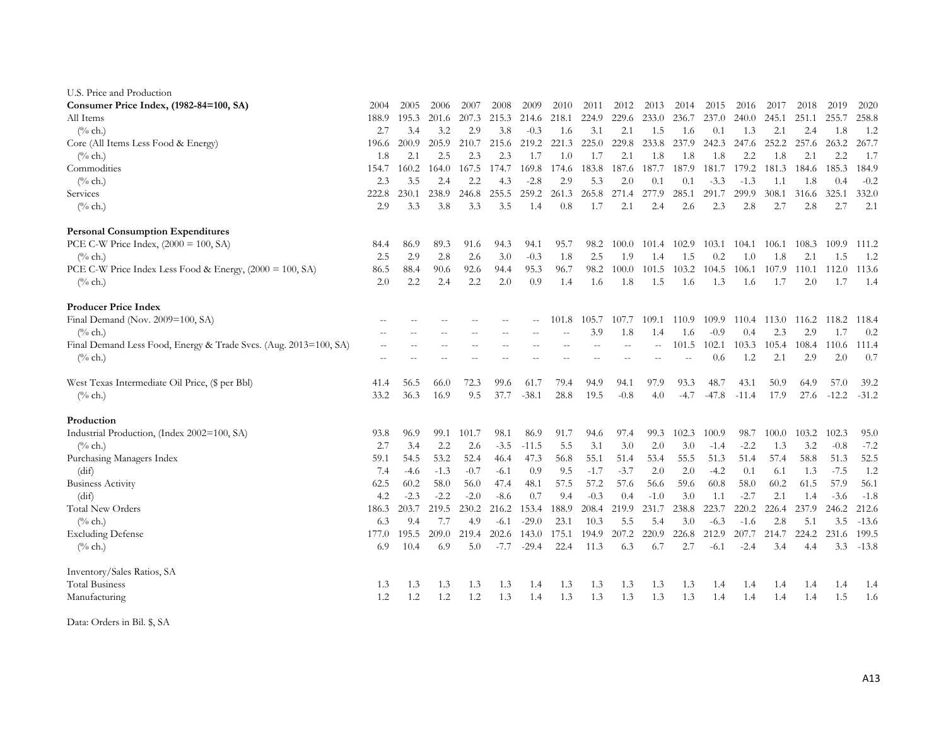| U.S. Price and Production                                        |       |        |        |        |        |         |       |        |        |               |        |         |         |       |       |         |         |
|------------------------------------------------------------------|-------|--------|--------|--------|--------|---------|-------|--------|--------|---------------|--------|---------|---------|-------|-------|---------|---------|
| Consumer Price Index, (1982-84=100, SA)                          | 2004  | 2005   | 2006   | 2007   | 2008   | 2009    | 2010  | 2011   | 2012   | 2013          | 2014   | 2015    | 2016    | 2017  | 2018  | 2019    | 2020    |
| All Items                                                        | 188.9 | 195.3  | 201.6  | 207.3  | 215.3  | 214.6   | 218.1 | 224.9  | 229.6  | 233.0         | 236.7  | 237.0   | 240.0   | 245.1 | 251.1 | 255.7   | 258.8   |
| $\frac{0}{6}$ ch.)                                               | 2.7   | 3.4    | 3.2    | 2.9    | 3.8    | $-0.3$  | 1.6   | 3.1    | 2.1    | 1.5           | 1.6    | 0.1     | 1.3     | 2.1   | 2.4   | 1.8     | 1.2     |
| Core (All Items Less Food & Energy)                              | 196.6 | 200.9  | 205.9  | 210.7  | 215.6  | 219.2   | 221.3 | 225.0  | 229.8  | 233.8         | 237.9  | 242.3   | 247.6   | 252.2 | 257.6 | 263.2   | 267.7   |
| $(\%$ ch.)                                                       | 1.8   | 2.1    | 2.5    | 2.3    | 2.3    | 1.7     | 1.0   | 1.7    | 2.1    | 1.8           | 1.8    | 1.8     | 2.2     | 1.8   | 2.1   | 2.2     | 1.7     |
| Commodities                                                      | 154.7 | 160.2  | 164.0  | 167.5  | 174.7  | 169.8   | 174.6 | 183.8  | 187.6  | 187.7         | 187.9  | 181.7   | 179.2   | 181.3 | 184.6 | 185.3   | 184.9   |
| $(^{0}/_{0}$ ch.)                                                | 2.3   | 3.5    | 2.4    | 2.2    | 4.3    | $-2.8$  | 2.9   | 5.3    | 2.0    | 0.1           | 0.1    | $-3.3$  | $-1.3$  | 1.1   | 1.8   | 0.4     | $-0.2$  |
| Services                                                         | 222.8 | 230.1  | 238.9  | 246.8  | 255.5  | 259.2   | 261.3 | 265.8  | 271.4  | 277.9         | 285.1  | 291.7   | 299.9   | 308.1 | 316.6 | 325.1   | 332.0   |
| $(\%$ ch.)                                                       | 2.9   | 3.3    | 3.8    | 3.3    | 3.5    | 1.4     | 0.8   | 1.7    | 2.1    | 2.4           | 2.6    | 2.3     | 2.8     | 2.7   | 2.8   | 2.7     | 2.1     |
| <b>Personal Consumption Expenditures</b>                         |       |        |        |        |        |         |       |        |        |               |        |         |         |       |       |         |         |
| PCE C-W Price Index, $(2000 = 100, SA)$                          | 84.4  | 86.9   | 89.3   | 91.6   | 94.3   | 94.1    | 95.7  | 98.2   | 100.0  | 101.4         | 102.9  | 103.1   | 104.1   | 106.1 | 108.3 | 109.9   | 111.2   |
| $(\%$ ch.)                                                       | 2.5   | 2.9    | 2.8    | 2.6    | 3.0    | $-0.3$  | 1.8   | 2.5    | 1.9    | 1.4           | 1.5    | 0.2     | 1.0     | 1.8   | 2.1   | 1.5     | 1.2     |
| PCE C-W Price Index Less Food & Energy, (2000 = 100, SA)         | 86.5  | 88.4   | 90.6   | 92.6   | 94.4   | 95.3    | 96.7  | 98.2   | 100.0  | 101.5         | 103.2  | 104.5   | 106.1   | 107.9 | 110.1 | 112.0   | 113.6   |
| $(\%$ ch.)                                                       | 2.0   | 2.2    | 2.4    | 2.2    | 2.0    | 0.9     | 1.4   | 1.6    | 1.8    | 1.5           | 1.6    | 1.3     | 1.6     | 1.7   | 2.0   | 1.7     | 1.4     |
| <b>Producer Price Index</b>                                      |       |        |        |        |        |         |       |        |        |               |        |         |         |       |       |         |         |
| Final Demand (Nov. 2009=100, SA)                                 |       |        |        |        |        | --      | 101.8 | 105.7  | 107.7  | 109.1         | 110.9  | 109.9   | 110.4   | 113.0 | 116.2 | 118.2   | 118.4   |
| $(\%$ ch.)                                                       |       |        |        |        |        |         |       | 3.9    | 1.8    | 1.4           | 1.6    | $-0.9$  | 0.4     | 2.3   | 2.9   | 1.7     | 0.2     |
| Final Demand Less Food, Energy & Trade Svcs. (Aug. 2013=100, SA) |       |        |        |        |        |         |       |        |        | $\sim$ $\sim$ | 101.5  | 102.1   | 103.3   | 105.4 | 108.4 | 110.6   | 111.4   |
| $(\%$ ch.)                                                       |       |        |        |        |        |         |       |        |        |               |        | 0.6     | 1.2     | 2.1   | 2.9   | 2.0     | 0.7     |
| West Texas Intermediate Oil Price, (\$ per Bbl)                  | 41.4  | 56.5   | 66.0   | 72.3   | 99.6   | 61.7    | 79.4  | 94.9   | 94.1   | 97.9          | 93.3   | 48.7    | 43.1    | 50.9  | 64.9  | 57.0    | 39.2    |
| $(\%$ ch.)                                                       | 33.2  | 36.3   | 16.9   | 9.5    | 37.7   | $-38.1$ | 28.8  | 19.5   | $-0.8$ | 4.0           | $-4.7$ | $-47.8$ | $-11.4$ | 17.9  | 27.6  | $-12.2$ | $-31.2$ |
| Production                                                       |       |        |        |        |        |         |       |        |        |               |        |         |         |       |       |         |         |
| Industrial Production, (Index 2002=100, SA)                      | 93.8  | 96.9   | 99.1   | 101.7  | 98.1   | 86.9    | 91.7  | 94.6   | 97.4   | 99.3          | 102.3  | 100.9   | 98.7    | 100.0 | 103.2 | 102.3   | 95.0    |
| $(%$ ch.)                                                        | 2.7   | 3.4    | 2.2    | 2.6    | $-3.5$ | $-11.5$ | 5.5   | 3.1    | 3.0    | 2.0           | 3.0    | $-1.4$  | $-2.2$  | 1.3   | 3.2   | $-0.8$  | $-7.2$  |
| Purchasing Managers Index                                        | 59.1  | 54.5   | 53.2   | 52.4   | 46.4   | 47.3    | 56.8  | 55.1   | 51.4   | 53.4          | 55.5   | 51.3    | 51.4    | 57.4  | 58.8  | 51.3    | 52.5    |
| (dif)                                                            | 7.4   | $-4.6$ | $-1.3$ | $-0.7$ | $-6.1$ | 0.9     | 9.5   | $-1.7$ | $-3.7$ | 2.0           | 2.0    | $-4.2$  | 0.1     | 6.1   | 1.3   | $-7.5$  | 1.2     |
| <b>Business Activity</b>                                         | 62.5  | 60.2   | 58.0   | 56.0   | 47.4   | 48.1    | 57.5  | 57.2   | 57.6   | 56.6          | 59.6   | 60.8    | 58.0    | 60.2  | 61.5  | 57.9    | 56.1    |
| (dif)                                                            | 4.2   | $-2.3$ | $-2.2$ | $-2.0$ | $-8.6$ | 0.7     | 9.4   | $-0.3$ | 0.4    | $-1.0$        | 3.0    | 1.1     | $-2.7$  | 2.1   | 1.4   | $-3.6$  | $-1.8$  |
| <b>Total New Orders</b>                                          | 186.3 | 203.7  | 219.5  | 230.2  | 216.2  | 153.4   | 188.9 | 208.4  | 219.9  | 231.7         | 238.8  | 223.7   | 220.2   | 226.4 | 237.9 | 246.2   | 212.6   |
| $(\%$ ch.)                                                       | 6.3   | 9.4    | 7.7    | 4.9    | $-6.1$ | $-29.0$ | 23.1  | 10.3   | 5.5    | 5.4           | 3.0    | $-6.3$  | $-1.6$  | 2.8   | 5.1   | 3.5     | $-13.6$ |
| <b>Excluding Defense</b>                                         | 177.0 | 195.5  | 209.0  | 219.4  | 202.6  | 143.0   | 175.1 | 194.9  | 207.2  | 220.9         | 226.8  | 212.9   | 207.7   | 214.7 | 224.2 | 231.6   | 199.5   |
| $(\%$ ch.)                                                       | 6.9   | 10.4   | 6.9    | 5.0    | $-7.7$ | $-29.4$ | 22.4  | 11.3   | 6.3    | 6.7           | 2.7    | $-6.1$  | $-2.4$  | 3.4   | 4.4   | 3.3     | $-13.8$ |
| Inventory/Sales Ratios, SA                                       |       |        |        |        |        |         |       |        |        |               |        |         |         |       |       |         |         |
| <b>Total Business</b>                                            | 1.3   | 1.3    | 1.3    | 1.3    | 1.3    | 1.4     | 1.3   | 1.3    | 1.3    | 1.3           | 1.3    | 1.4     | 1.4     | 1.4   | 1.4   | 1.4     | 1.4     |
| Manufacturing                                                    | 1.2   | 1.2    | 1.2    | 1.2    | 1.3    | 1.4     | 1.3   | 1.3    | 1.3    | 1.3           | 1.3    | 1.4     | 1.4     | 1.4   | 1.4   | 1.5     | 1.6     |

Data: Orders in Bil. \$, SA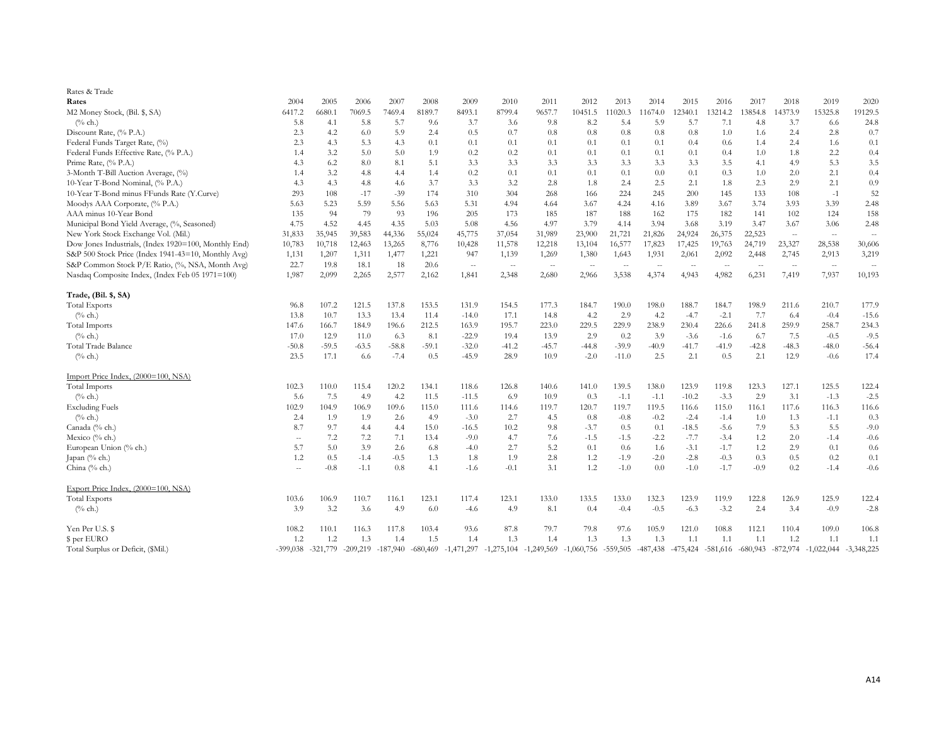| Rates & Trade                                        |                |            |            |         |         |                                    |                          |                                                   |                          |         |            |         |                       |            |            |              |              |
|------------------------------------------------------|----------------|------------|------------|---------|---------|------------------------------------|--------------------------|---------------------------------------------------|--------------------------|---------|------------|---------|-----------------------|------------|------------|--------------|--------------|
| Rates                                                | 2004           | 2005       | 2006       | 2007    | 2008    | 2009                               | 2010                     | 2011                                              | 2012                     | 2013    | 2014       | 2015    | 2016                  | 2017       | 2018       | 2019         | 2020         |
| M2 Money Stock, (Bil. \$, SA)                        | 6417.2         | 6680.1     | 7069.5     | 7469.4  | 8189.7  | 8493.1                             | 8799.4                   | 9657.7                                            | 10451.5                  | 11020.3 | 11674.0    | 12340.1 | 13214.2               | 13854.8    | 4373.9     | 15325.8      | 19129.5      |
| $(%$ ch.)                                            | 5.8            | 4.1        | 5.8        | 5.7     | 9.6     | 3.7                                | 3.6                      | 9.8                                               | 8.2                      | 5.4     | 5.9        | 5.7     | 7.1                   | 4.8        | 3.7        | 6.6          | 24.8         |
| Discount Rate, (% P.A.)                              | 2.3            | 4.2        | 6.0        | 5.9     | 2.4     | 0.5                                | 0.7                      | 0.8                                               | 0.8                      | 0.8     | 0.8        | 0.8     | 1.0                   | 1.6        | 2.4        | 2.8          | 0.7          |
| Federal Funds Target Rate, (%)                       | 2.3            | 4.3        | 5.3        | 4.3     | 0.1     | 0.1                                | 0.1                      | 0.1                                               | 0.1                      | 0.1     | 0.1        | 0.4     | 0.6                   | 1.4        | 2.4        | 1.6          | 0.1          |
| Federal Funds Effective Rate, (% P.A.)               | 1.4            | 3.2        | 5.0        | 5.0     | 1.9     | 0.2                                | 0.2                      | 0.1                                               | 0.1                      | 0.1     | 0.1        | 0.1     | 0.4                   | 1.0        | 1.8        | 2.2          | 0.4          |
| Prime Rate, (% P.A.)                                 | 4.3            | 6.2        | 8.0        | 8.1     | 5.1     | 3.3                                | 3.3                      | 3.3                                               | 3.3                      | 3.3     | 3.3        | 3.3     | 3.5                   | 4.1        | 4.9        | 5.3          | 3.5          |
| 3-Month T-Bill Auction Average, (%)                  | 1.4            | 3.2        | 4.8        | 4.4     | 1.4     | 0.2                                | 0.1                      | 0.1                                               | 0.1                      | 0.1     | 0.0        | 0.1     | 0.3                   | 1.0        | 2.0        | 2.1          | 0.4          |
| 10-Year T-Bond Nominal, (% P.A.)                     | 4.3            | 4.3        | 4.8        | 4.6     | 3.7     | 3.3                                | 3.2                      | 2.8                                               | 1.8                      | 2.4     | 2.5        | 2.1     | 1.8                   | 2.3        | 2.9        | 2.1          | 0.9          |
| 10-Year T-Bond minus FFunds Rate (Y.Curve)           | 293            | 108        | $-17$      | $-39$   | 174     | 310                                | 304                      | 268                                               | 166                      | 224     | 245        | 200     | 145                   | 133        | 108        | $-1$         | 52           |
| Moodys AAA Corporate, (% P.A.)                       | 5.63           | 5.23       | 5.59       | 5.56    | 5.63    | 5.31                               | 4.94                     | 4.64                                              | 3.67                     | 4.24    | 4.16       | 3.89    | 3.67                  | 3.74       | 3.93       | 3.39         | 2.48         |
| AAA minus 10-Year Bond                               | 135            | 94         | 79         | 93      | 196     | 205                                | 173                      | 185                                               | 187                      | 188     | 162        | 175     | 182                   | 141        | 102        | 124          | 158          |
| Municipal Bond Yield Average, (%, Seasoned)          | 4.75           | 4.52       | 4.45       | 4.35    | 5.03    | 5.08                               | 4.56                     | 4.97                                              | 3.79                     | 4.14    | 3.94       | 3.68    | 3.19                  | 3.47       | 3.67       | 3.06         | 2.48         |
| New York Stock Exchange Vol. (Mil.)                  | 31,833         | 35,945     | 39,583     | 44,336  | 55,024  | 45,775                             | 37,054                   | 31,989                                            | 23,900                   | 21,721  | 21,826     | 24,924  | 26,375                | 22,523     | $\sim$     | $\sim$       | $\sim$       |
| Dow Jones Industrials, (Index 1920=100, Monthly End) | 10,783         | 10,718     | 12,463     | 13,265  | 8,776   | 10,428                             | 11,578                   | 12,218                                            | 13,104                   | 16,577  | 17,823     | 17,425  | 19,763                | 24,719     | 23,327     | 28,538       | 30,606       |
| S&P 500 Stock Price (Index 1941-43=10, Monthly Avg)  | 1,131          | 1,207      | 1,311      | 1,477   | 1,221   | 947                                | 1,139                    | 1,269                                             | 1,380                    | 1,643   | 1,931      | 2,061   | 2,092                 | 2,448      | 2,745      | 2,913        | 3,219        |
| S&P Common Stock P/E Ratio, (%, NSA, Month Avg)      | 22.7           | 19.8       | 18.1       | 18      | 20.6    | $\sim$                             | $\overline{\phantom{a}}$ | $\sim$                                            | $\overline{\phantom{a}}$ | $\sim$  | $\sim$     | $\sim$  | $\sim$                | $\sim$     | $\sim$     | $\sim$ $-$   | $\sim$       |
| Nasdaq Composite Index, (Index Feb 05 1971=100)      | 1,987          | 2,099      | 2,265      | 2,577   | 2,162   | 1,841                              | 2,348                    | 2,680                                             | 2,966                    | 3,538   | 4,374      | 4,943   | 4,982                 | 6,231      | 7,419      | 7,937        | 10,193       |
| Trade, (Bil. \$, SA)                                 |                |            |            |         |         |                                    |                          |                                                   |                          |         |            |         |                       |            |            |              |              |
| <b>Total Exports</b>                                 | 96.8           | 107.2      | 121.5      | 137.8   | 153.5   | 131.9                              | 154.5                    | 177.3                                             | 184.7                    | 190.0   | 198.0      | 188.7   | 184.7                 | 198.9      | 211.6      | 210.7        | 177.9        |
| $(^{0}/_{0}$ ch.)                                    | 13.8           | 10.7       | 13.3       | 13.4    | 11.4    | $-14.0$                            | 17.1                     | 14.8                                              | 4.2                      | 2.9     | 4.2        | $-4.7$  | $-2.1$                | 7.7        | 6.4        | $-0.4$       | $-15.6$      |
| <b>Total Imports</b>                                 | 147.6          | 166.7      | 184.9      | 196.6   | 212.5   | 163.9                              | 195.7                    | 223.0                                             | 229.5                    | 229.9   | 238.9      | 230.4   | 226.6                 | 241.8      | 259.9      | 258.7        | 234.3        |
| $(%$ ch.)                                            | 17.0           | 12.9       | 11.0       | 6.3     | 8.1     | $-22.9$                            | 19.4                     | 13.9                                              | 2.9                      | 0.2     | 3.9        | $-3.6$  | $-1.6$                | 6.7        | 7.5        | $-0.5$       | $-9.5$       |
| Total Trade Balance                                  | $-50.8$        | $-59.5$    | $-63.5$    | $-58.8$ | $-59.1$ | $-32.0$                            | $-41.2$                  | $-45.7$                                           | $-44.8$                  | $-39.9$ | $-40.9$    | $-41.7$ | $-41.9$               | $-42.8$    | $-48.3$    | $-48.0$      | $-56.4$      |
| $(\%$ ch.)                                           | 23.5           | 17.1       | 6.6        | $-7.4$  | 0.5     | $-45.9$                            | 28.9                     | 10.9                                              | $-2.0$                   | $-11.0$ | 2.5        | 2.1     | 0.5                   | 2.1        | 12.9       | $-0.6$       | 17.4         |
| Import Price Index, (2000=100, NSA)                  |                |            |            |         |         |                                    |                          |                                                   |                          |         |            |         |                       |            |            |              |              |
| <b>Total Imports</b>                                 | 102.3          | 110.0      | 115.4      | 120.2   | 134.1   | 118.6                              | 126.8                    | 140.6                                             | 141.0                    | 139.5   | 138.0      | 123.9   | 119.8                 | 123.3      | 127.1      | 125.5        | 122.4        |
| $(\%$ ch.)                                           | 5.6            | 7.5        | 4.9        | 4.2     | 11.5    | $-11.5$                            | 6.9                      | 10.9                                              | 0.3                      | $-1.1$  | $-1.1$     | $-10.2$ | $-3.3$                | 2.9        | 3.1        | $-1.3$       | $-2.5$       |
| <b>Excluding Fuels</b>                               | 102.9          | 104.9      | 106.9      | 109.6   | 115.0   | 111.6                              | 114.6                    | 119.7                                             | 120.7                    | 119.7   | 119.5      | 116.6   | 115.0                 | 116.1      | 117.6      | 116.3        | 116.6        |
| $(\%$ ch.)                                           | 2.4            | 1.9        | 1.9        | 2.6     | 4.9     | $-3.0$                             | 2.7                      | 4.5                                               | 0.8                      | $-0.8$  | $-0.2$     | $-2.4$  | $-1.4$                | 1.0        | 1.3        | $-1.1$       | 0.3          |
| Canada (% ch.)                                       | 8.7            | 9.7        | 4.4        | 4.4     | 15.0    | $-16.5$                            | 10.2                     | 9.8                                               | $-3.7$                   | 0.5     | 0.1        | $-18.5$ | $-5.6$                | 7.9        | 5.3        | 5.5          | $-9.0$       |
| Mexico (% ch.)                                       | $\overline{a}$ | 7.2        | 7.2        | 7.1     | 13.4    | $-9.0$                             | 4.7                      | 7.6                                               | $-1.5$                   | $-1.5$  | $-2.2$     | $-7.7$  | $-3.4$                | 1.2        | 2.0        | $-1.4$       | $-0.6$       |
| European Union (% ch.)                               | 5.7            | 5.0        | 3.9        | 2.6     | 6.8     | $-4.0$                             | 2.7                      | 5.2                                               | 0.1                      | 0.6     | 1.6        | $-3.1$  | $-1.7$                | 1.2        | 2.9        | 0.1          | 0.6          |
| Japan $(\%$ ch.)                                     | 1.2            | 0.5        | $-1.4$     | $-0.5$  | 1.3     | 1.8                                | 1.9                      | 2.8                                               | 1.2                      | $-1.9$  | $-2.0$     | $-2.8$  | $-0.3$                | 0.3        | 0.5        | 0.2          | 0.1          |
| China (% ch.)                                        | $\sim$         | $-0.8$     | $-1.1$     | 0.8     | 4.1     | $-1.6$                             | $-0.1$                   | 3.1                                               | 1.2                      | $-1.0$  | 0.0        | $-1.0$  | $-1.7$                | $-0.9$     | 0.2        | $-1.4$       | $-0.6$       |
| Export Price Index, (2000=100, NSA)                  |                |            |            |         |         |                                    |                          |                                                   |                          |         |            |         |                       |            |            |              |              |
| <b>Total Exports</b>                                 | 103.6          | 106.9      | 110.7      | 116.1   | 123.1   | 117.4                              | 123.1                    | 133.0                                             | 133.5                    | 133.0   | 132.3      | 123.9   | 119.9                 | 122.8      | 126.9      | 125.9        | 122.4        |
| $(\%$ ch.)                                           | 3.9            | 3.2        | 3.6        | 4.9     | 6.0     | $-4.6$                             | 4.9                      | 8.1                                               | 0.4                      | $-0.4$  | $-0.5$     | $-6.3$  | $-3.2$                | 2.4        | 3.4        | $-0.9$       | $-2.8$       |
| Yen Per U.S. \$                                      | 108.2          | 110.1      | 116.3      | 117.8   | 103.4   | 93.6                               | 87.8                     | 79.7                                              | 79.8                     | 97.6    | 105.9      | 121.0   | 108.8                 | 112.1      | 110.4      | 109.0        | 106.8        |
| \$ per EURO                                          | 1.2            | 1.2        | 1.3        | 1.4     | 1.5     | 1.4                                | 1.3                      | 1.4                                               | 1.3                      | 1.3     | 1.3        | 1.1     | 1.1                   | 1.1        | 1.2        | 1.1          | 1.1          |
| Total Surplus or Deficit, (\$Mil.)                   | $-399,038$     | $-321,779$ | $-209,219$ |         |         | $-187,940$ $-680,469$ $-1,471,297$ |                          | $-1,275,104$ $-1,249,569$ $-1,060,756$ $-559,505$ |                          |         | $-487,438$ |         | $-475,424$ $-581,616$ | $-680,943$ | $-872,974$ | $-1,022,044$ | $-3,348,225$ |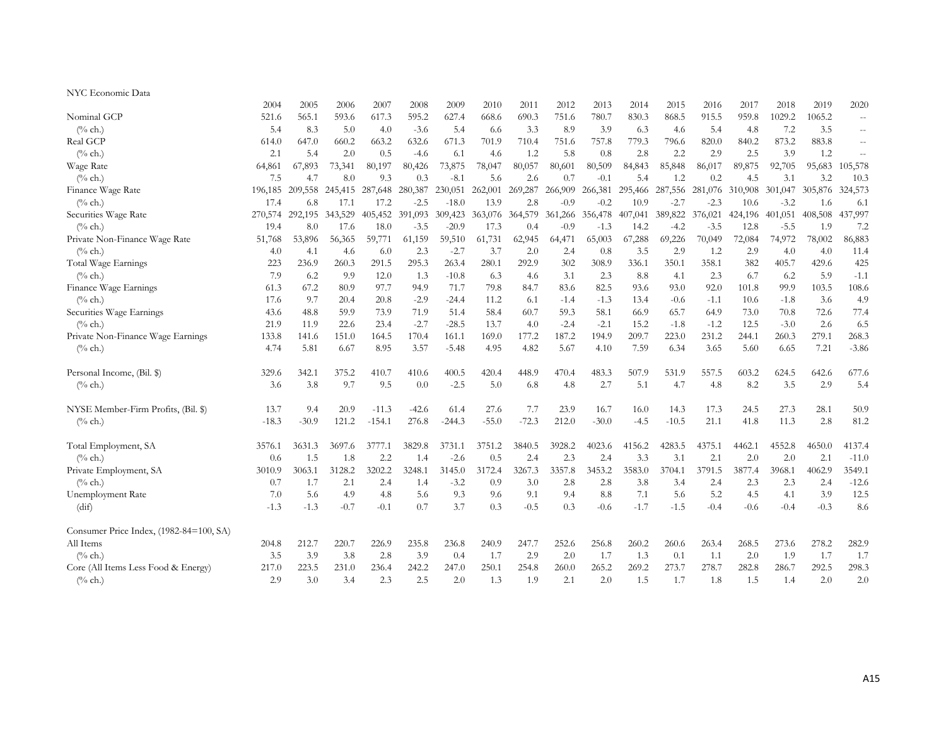### NYC Economic Data

|                                         | 2004    | 2005    | 2006    | 2007     | 2008    | 2009     | 2010    | 2011    | 2012    | 2013    | 2014    | 2015    | 2016    | 2017    | 2018    | 2019    | 2020                                          |
|-----------------------------------------|---------|---------|---------|----------|---------|----------|---------|---------|---------|---------|---------|---------|---------|---------|---------|---------|-----------------------------------------------|
| Nominal GCP                             | 521.6   | 565.1   | 593.6   | 617.3    | 595.2   | 627.4    | 668.6   | 690.3   | 751.6   | 780.7   | 830.3   | 868.5   | 915.5   | 959.8   | 1029.2  | 1065.2  | $\mathcal{L}_{\mathcal{F}}$                   |
| $(^{0}/_{0}$ ch.)                       | 5.4     | 8.3     | 5.0     | 4.0      | $-3.6$  | 5.4      | 6.6     | 3.3     | 8.9     | 3.9     | 6.3     | 4.6     | 5.4     | 4.8     | 7.2     | 3.5     | $\mathord{\hspace{1pt}\text{--}\hspace{1pt}}$ |
| Real GCP                                | 614.0   | 647.0   | 660.2   | 663.2    | 632.6   | 671.3    | 701.9   | 710.4   | 751.6   | 757.8   | 779.3   | 796.6   | 820.0   | 840.2   | 873.2   | 883.8   |                                               |
| $\frac{6}{6}$ ch.)                      | 2.1     | 5.4     | 2.0     | 0.5      | $-4.6$  | 6.1      | 4.6     | 1.2     | 5.8     | 0.8     | 2.8     | 2.2     | 2.9     | 2.5     | 3.9     | 1.2     | $=$                                           |
| Wage Rate                               | 64,861  | 67,893  | 73,341  | 80,197   | 80,426  | 73,875   | 78,047  | 80,057  | 80,601  | 80,509  | 84,843  | 85,848  | 86,017  | 89,875  | 92,705  | 95,683  | 105,578                                       |
| $(\%$ ch.)                              | 7.5     | 4.7     | 8.0     | 9.3      | 0.3     | $-8.1$   | 5.6     | 2.6     | 0.7     | $-0.1$  | 5.4     | 1.2     | 0.2     | 4.5     | 3.1     | 3.2     | 10.3                                          |
| Finance Wage Rate                       | 196,185 | 209,558 | 245,415 | 287,648  | 280,387 | 230,051  | 262,001 | 269,287 | 266,909 | 266,381 | 295,466 | 287,556 | 281,076 | 310,908 | 301,047 | 305,876 | 324,573                                       |
| $(^{0}/_{0}$ ch.)                       | 17.4    | 6.8     | 17.1    | 17.2     | $-2.5$  | $-18.0$  | 13.9    | 2.8     | $-0.9$  | $-0.2$  | 10.9    | $-2.7$  | $-2.3$  | 10.6    | $-3.2$  | 1.6     | 6.1                                           |
| Securities Wage Rate                    | 270,574 | 292,195 | 343,529 | 405,452  | 391,093 | 309,423  | 363,076 | 364,579 | 361,266 | 356,478 | 407,041 | 389,822 | 376,021 | 424,196 | 401,051 | 408,508 | 437,997                                       |
| $\frac{6}{6}$ ch.)                      | 19.4    | 8.0     | 17.6    | 18.0     | $-3.5$  | $-20.9$  | 17.3    | 0.4     | $-0.9$  | $-1.3$  | 14.2    | $-4.2$  | $-3.5$  | 12.8    | $-5.5$  | 1.9     | 7.2                                           |
| Private Non-Finance Wage Rate           | 51,768  | 53,896  | 56,365  | 59,771   | 61,159  | 59,510   | 61,731  | 62,945  | 64,471  | 65,003  | 67,288  | 69,226  | 70,049  | 72,084  | 74,972  | 78,002  | 86,883                                        |
| $\frac{6}{6}$ ch.)                      | 4.0     | 4.1     | 4.6     | 6.0      | 2.3     | $-2.7$   | 3.7     | 2.0     | 2.4     | 0.8     | 3.5     | 2.9     | 1.2     | 2.9     | 4.0     | 4.0     | 11.4                                          |
| Total Wage Earnings                     | 223     | 236.9   | 260.3   | 291.5    | 295.3   | 263.4    | 280.1   | 292.9   | 302     | 308.9   | 336.1   | 350.1   | 358.1   | 382     | 405.7   | 429.6   | 425                                           |
| $(\%$ ch.)                              | 7.9     | 6.2     | 9.9     | 12.0     | 1.3     | $-10.8$  | 6.3     | 4.6     | 3.1     | 2.3     | 8.8     | 4.1     | 2.3     | 6.7     | 6.2     | 5.9     | $-1.1$                                        |
| Finance Wage Earnings                   | 61.3    | 67.2    | 80.9    | 97.7     | 94.9    | 71.7     | 79.8    | 84.7    | 83.6    | 82.5    | 93.6    | 93.0    | 92.0    | 101.8   | 99.9    | 103.5   | 108.6                                         |
| $\frac{6}{6}$ ch.)                      | 17.6    | 9.7     | 20.4    | 20.8     | $-2.9$  | $-24.4$  | 11.2    | 6.1     | $-1.4$  | $-1.3$  | 13.4    | $-0.6$  | $-1.1$  | 10.6    | $-1.8$  | 3.6     | 4.9                                           |
| Securities Wage Earnings                | 43.6    | 48.8    | 59.9    | 73.9     | 71.9    | 51.4     | 58.4    | 60.7    | 59.3    | 58.1    | 66.9    | 65.7    | 64.9    | 73.0    | 70.8    | 72.6    | 77.4                                          |
| $\frac{0}{6}$ ch.)                      | 21.9    | 11.9    | 22.6    | 23.4     | $-2.7$  | $-28.5$  | 13.7    | 4.0     | $-2.4$  | $-2.1$  | 15.2    | $-1.8$  | $-1.2$  | 12.5    | $-3.0$  | 2.6     | 6.5                                           |
| Private Non-Finance Wage Earnings       | 133.8   | 141.6   | 151.0   | 164.5    | 170.4   | 161.1    | 169.0   | 177.2   | 187.2   | 194.9   | 209.7   | 223.0   | 231.2   | 244.1   | 260.3   | 279.1   | 268.3                                         |
| $(^{0}/_{0}$ ch.)                       | 4.74    | 5.81    | 6.67    | 8.95     | 3.57    | $-5.48$  | 4.95    | 4.82    | 5.67    | 4.10    | 7.59    | 6.34    | 3.65    | 5.60    | 6.65    | 7.21    | $-3.86$                                       |
| Personal Income, (Bil. \$)              | 329.6   | 342.1   | 375.2   | 410.7    | 410.6   | 400.5    | 420.4   | 448.9   | 470.4   | 483.3   | 507.9   | 531.9   | 557.5   | 603.2   | 624.5   | 642.6   | 677.6                                         |
| $(^{0}/_{0}$ ch.)                       | 3.6     | 3.8     | 9.7     | 9.5      | 0.0     | $-2.5$   | 5.0     | 6.8     | 4.8     | 2.7     | 5.1     | 4.7     | 4.8     | 8.2     | 3.5     | 2.9     | 5.4                                           |
| NYSE Member-Firm Profits, (Bil. \$)     | 13.7    | 9.4     | 20.9    | $-11.3$  | $-42.6$ | 61.4     | 27.6    | 7.7     | 23.9    | 16.7    | 16.0    | 14.3    | 17.3    | 24.5    | 27.3    | 28.1    | 50.9                                          |
| $\frac{0}{6}$ ch.)                      | $-18.3$ | $-30.9$ | 121.2   | $-154.1$ | 276.8   | $-244.3$ | $-55.0$ | $-72.3$ | 212.0   | $-30.0$ | $-4.5$  | $-10.5$ | 21.1    | 41.8    | 11.3    | 2.8     | 81.2                                          |
| Total Employment, SA                    | 3576.1  | 3631.3  | 3697.6  | 3777.1   | 3829.8  | 3731.1   | 3751.2  | 3840.5  | 3928.2  | 4023.6  | 4156.2  | 4283.5  | 4375.1  | 4462.1  | 4552.8  | 4650.0  | 4137.4                                        |
| $\frac{0}{6}$ ch.)                      | 0.6     | 1.5     | 1.8     | 2.2      | 1.4     | $-2.6$   | 0.5     | 2.4     | 2.3     | 2.4     | 3.3     | 3.1     | 2.1     | 2.0     | 2.0     | 2.1     | $-11.0$                                       |
| Private Employment, SA                  | 3010.9  | 3063.1  | 3128.2  | 3202.2   | 3248.1  | 3145.0   | 3172.4  | 3267.3  | 3357.8  | 3453.2  | 3583.0  | 3704.1  | 3791.5  | 3877.4  | 3968.1  | 4062.9  | 3549.1                                        |
| $(^{0}/_{0}$ ch.)                       | 0.7     | 1.7     | 2.1     | 2.4      | 1.4     | $-3.2$   | 0.9     | 3.0     | 2.8     | 2.8     | 3.8     | 3.4     | 2.4     | 2.3     | 2.3     | 2.4     | $-12.6$                                       |
| Unemployment Rate                       | 7.0     | 5.6     | 4.9     | 4.8      | 5.6     | 9.3      | 9.6     | 9.1     | 9.4     | 8.8     | 7.1     | 5.6     | 5.2     | 4.5     | 4.1     | 3.9     | 12.5                                          |
| (dif)                                   | $-1.3$  | $-1.3$  | $-0.7$  | $-0.1$   | 0.7     | 3.7      | 0.3     | $-0.5$  | 0.3     | $-0.6$  | $-1.7$  | $-1.5$  | $-0.4$  | $-0.6$  | $-0.4$  | $-0.3$  | 8.6                                           |
| Consumer Price Index, (1982-84=100, SA) |         |         |         |          |         |          |         |         |         |         |         |         |         |         |         |         |                                               |
| All Items                               | 204.8   | 212.7   | 220.7   | 226.9    | 235.8   | 236.8    | 240.9   | 247.7   | 252.6   | 256.8   | 260.2   | 260.6   | 263.4   | 268.5   | 273.6   | 278.2   | 282.9                                         |
| $(\%$ ch.)                              | 3.5     | 3.9     | 3.8     | 2.8      | 3.9     | 0.4      | 1.7     | 2.9     | 2.0     | 1.7     | 1.3     | 0.1     | 1.1     | 2.0     | 1.9     | 1.7     | 1.7                                           |
| Core (All Items Less Food & Energy)     | 217.0   | 223.5   | 231.0   | 236.4    | 242.2   | 247.0    | 250.1   | 254.8   | 260.0   | 265.2   | 269.2   | 273.7   | 278.7   | 282.8   | 286.7   | 292.5   | 298.3                                         |
| $(^{0}/_{0}$ ch.)                       | 2.9     | 3.0     | 3.4     | 2.3      | 2.5     | 2.0      | 1.3     | 1.9     | 2.1     | 2.0     | 1.5     | 1.7     | 1.8     | 1.5     | 1.4     | 2.0     | 2.0                                           |